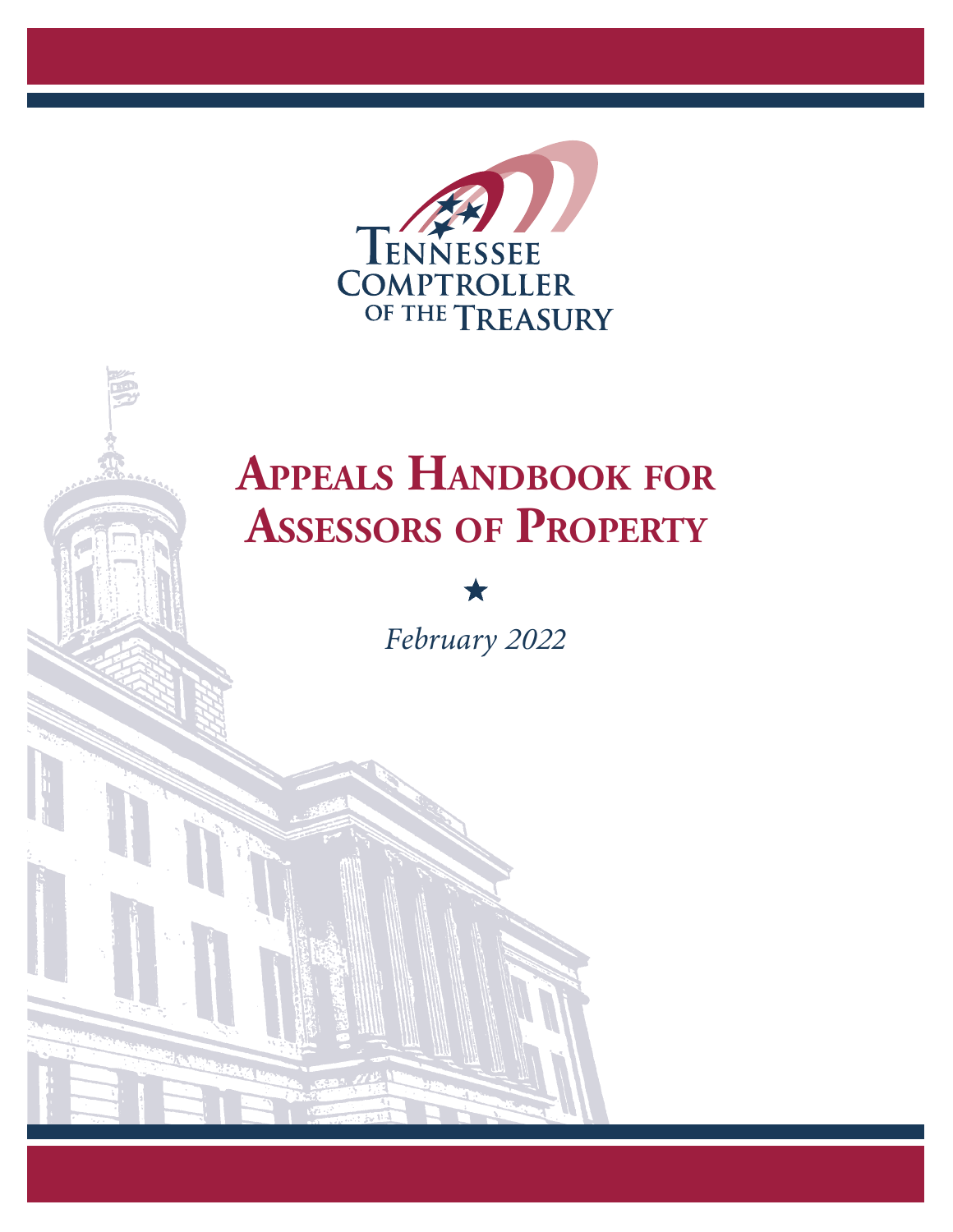

# **Appeals Handbook for Assessors of Property**

 $\bigstar$ 

*February 2022*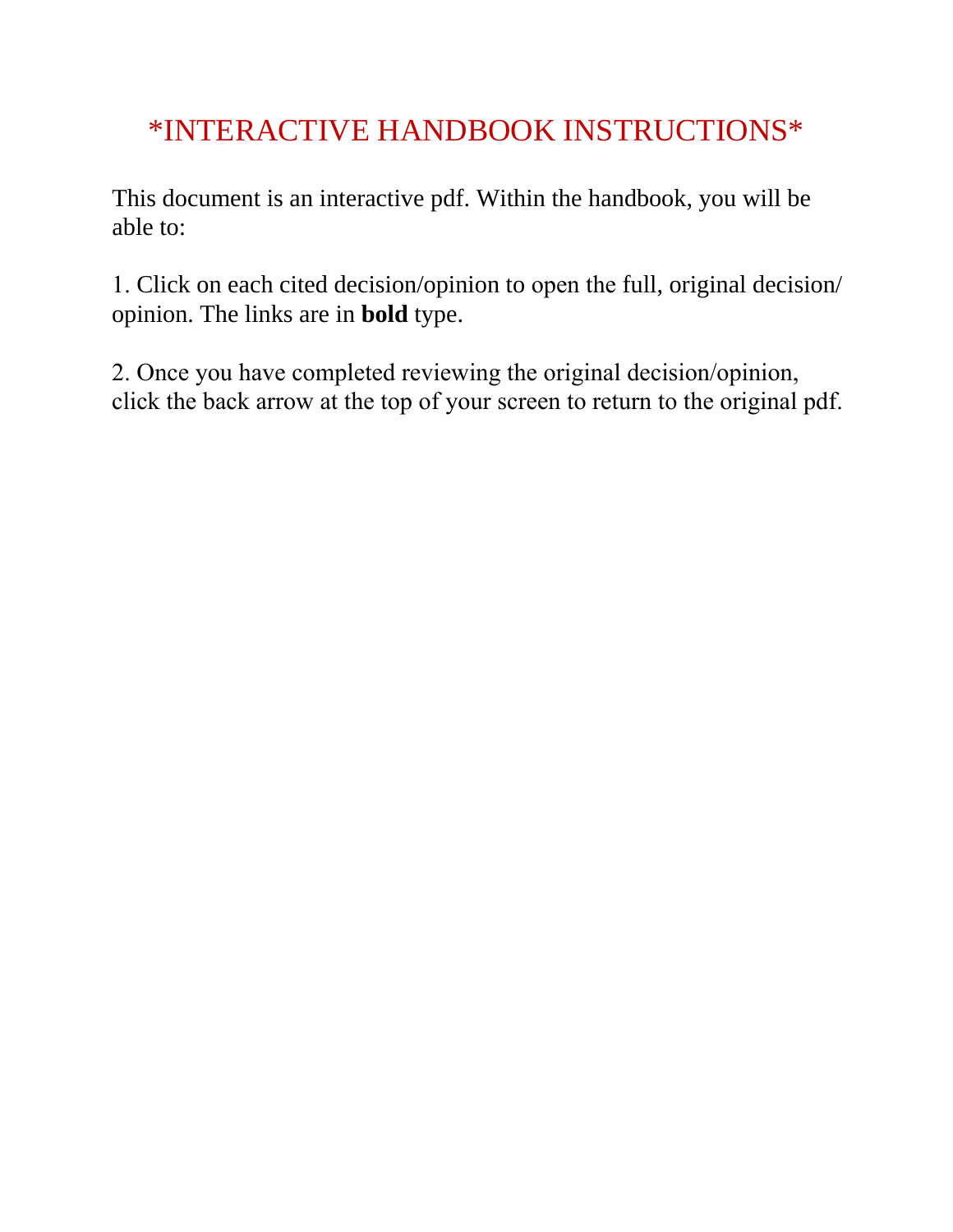## \*INTERACTIVE HANDBOOK INSTRUCTIONS\*

This document is an interactive pdf. Within the handbook, you will be able to:

1. Click on each cited decision/opinion to open the full, original decision/ opinion. The links are in **bold** type.

2. Once you have completed reviewing the original decision/opinion, click the back arrow at the top of your screen to return to the original pdf.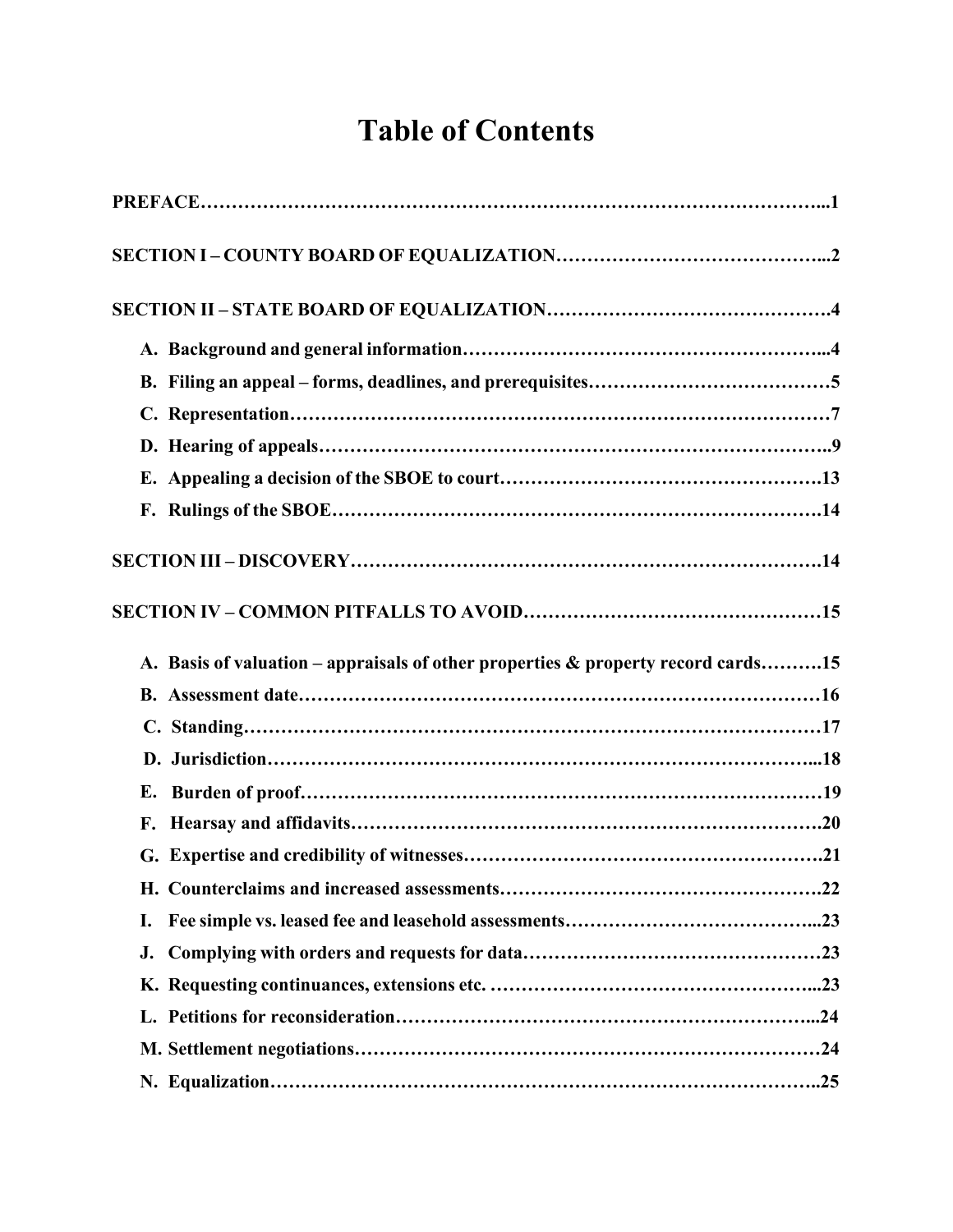## **Table of Contents**

|    | A. Basis of valuation - appraisals of other properties & property record cards15 |
|----|----------------------------------------------------------------------------------|
|    |                                                                                  |
|    |                                                                                  |
|    |                                                                                  |
|    |                                                                                  |
|    |                                                                                  |
|    |                                                                                  |
|    |                                                                                  |
| I. |                                                                                  |
| J. |                                                                                  |
|    |                                                                                  |
|    |                                                                                  |
|    |                                                                                  |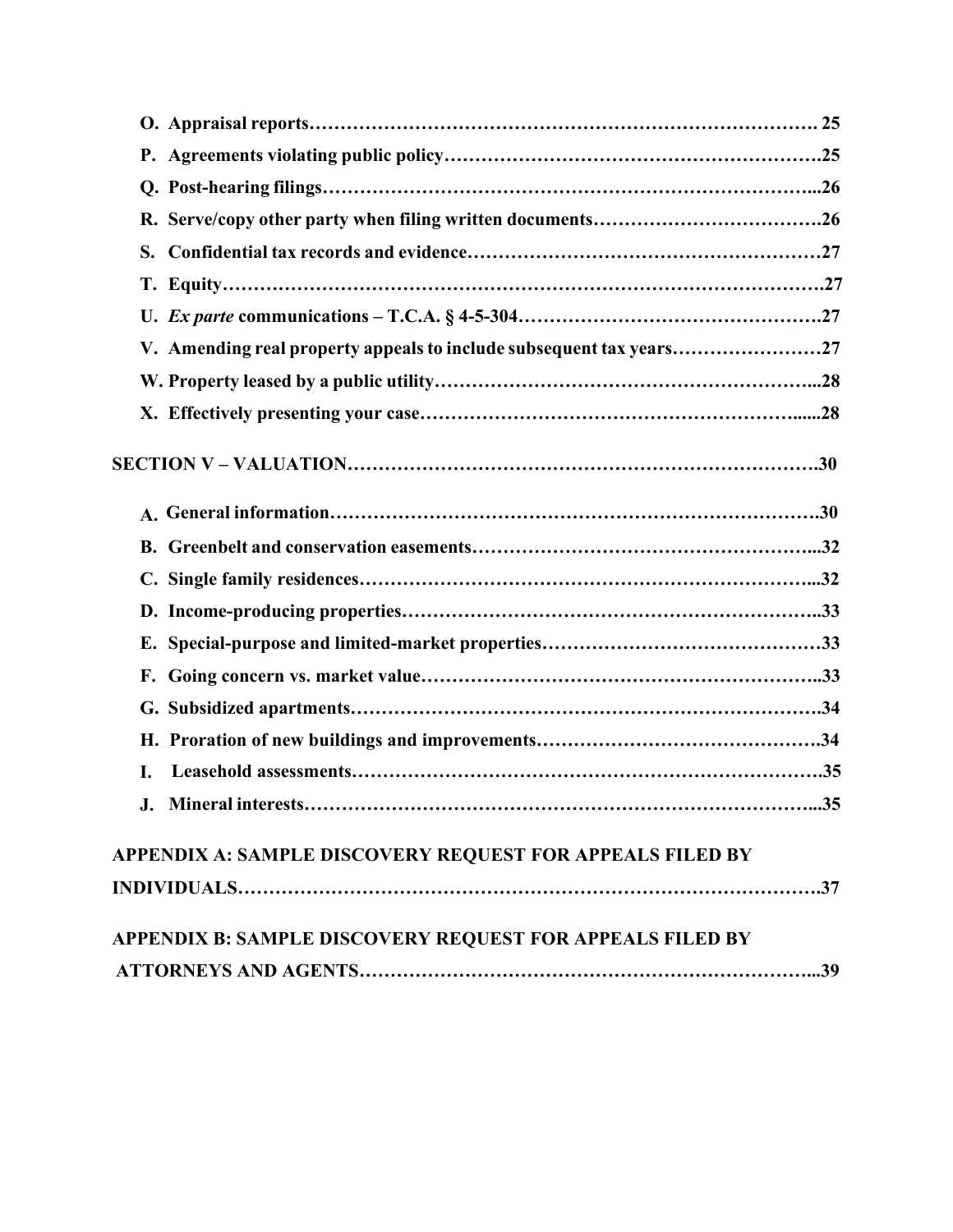| S.                                                                  |    |
|---------------------------------------------------------------------|----|
|                                                                     |    |
|                                                                     |    |
| V. Amending real property appeals to include subsequent tax years27 |    |
|                                                                     |    |
|                                                                     |    |
|                                                                     |    |
|                                                                     |    |
|                                                                     |    |
|                                                                     |    |
|                                                                     |    |
|                                                                     |    |
|                                                                     |    |
|                                                                     |    |
|                                                                     |    |
| L.                                                                  |    |
| J. Mineral interests.                                               | 35 |
| APPENDIX A: SAMPLE DISCOVERY REQUEST FOR APPEALS FILED BY           |    |
|                                                                     |    |
| APPENDIX B: SAMPLE DISCOVERY REQUEST FOR APPEALS FILED BY           |    |
|                                                                     |    |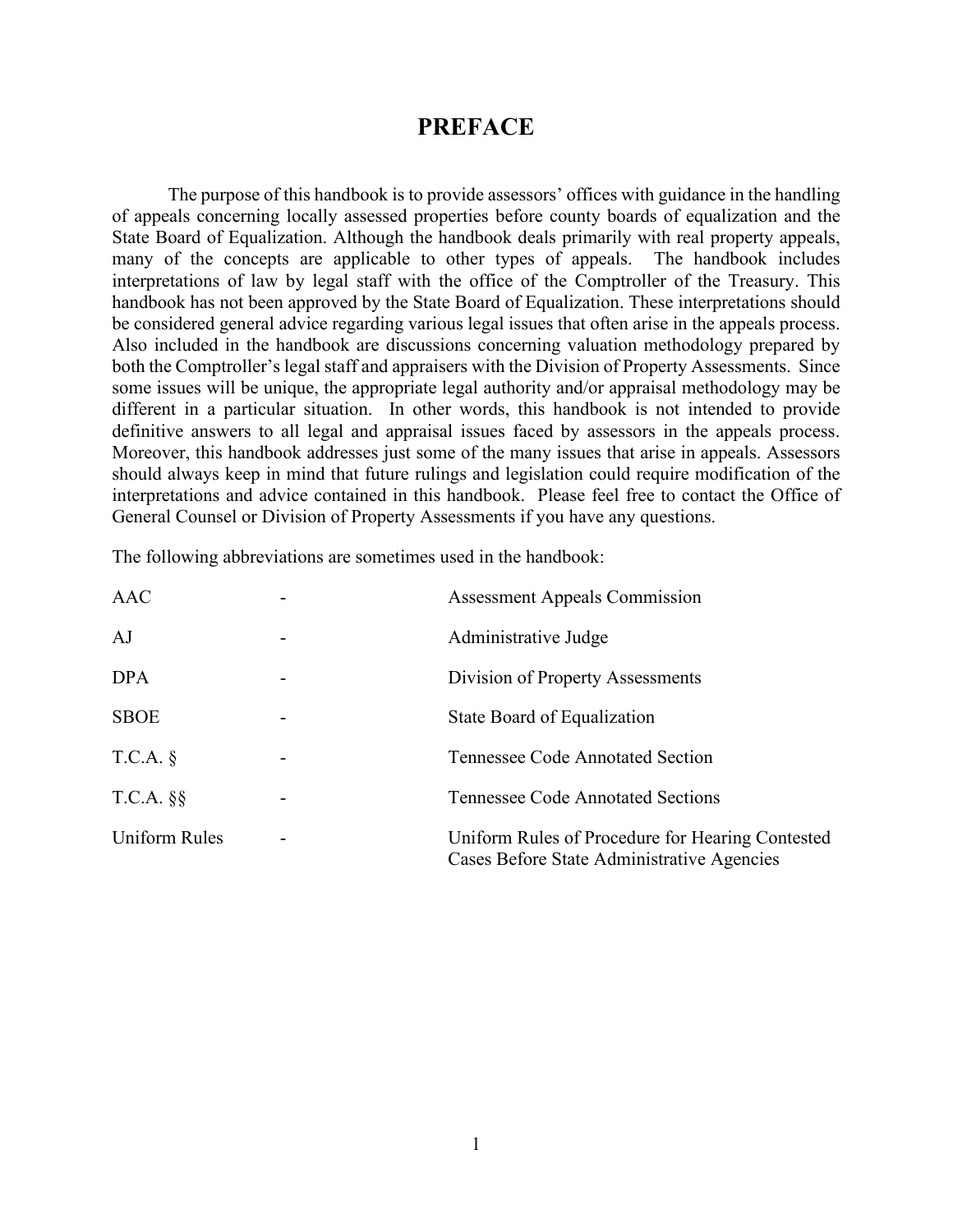## **PREFACE**

The purpose of this handbook is to provide assessors' offices with guidance in the handling of appeals concerning locally assessed properties before county boards of equalization and the State Board of Equalization. Although the handbook deals primarily with real property appeals, many of the concepts are applicable to other types of appeals. The handbook includes interpretations of law by legal staff with the office of the Comptroller of the Treasury. This handbook has not been approved by the State Board of Equalization. These interpretations should be considered general advice regarding various legal issues that often arise in the appeals process. Also included in the handbook are discussions concerning valuation methodology prepared by both the Comptroller's legal staff and appraisers with the Division of Property Assessments. Since some issues will be unique, the appropriate legal authority and/or appraisal methodology may be different in a particular situation. In other words, this handbook is not intended to provide definitive answers to all legal and appraisal issues faced by assessors in the appeals process. Moreover, this handbook addresses just some of the many issues that arise in appeals. Assessors should always keep in mind that future rulings and legislation could require modification of the interpretations and advice contained in this handbook. Please feel free to contact the Office of General Counsel or Division of Property Assessments if you have any questions.

The following abbreviations are sometimes used in the handbook:

| <b>AAC</b>    | <b>Assessment Appeals Commission</b>                                                           |
|---------------|------------------------------------------------------------------------------------------------|
| AJ            | Administrative Judge                                                                           |
| <b>DPA</b>    | Division of Property Assessments                                                               |
| <b>SBOE</b>   | State Board of Equalization                                                                    |
| T.C.A. §      | <b>Tennessee Code Annotated Section</b>                                                        |
| $T.C.A.$ §§   | <b>Tennessee Code Annotated Sections</b>                                                       |
| Uniform Rules | Uniform Rules of Procedure for Hearing Contested<br>Cases Before State Administrative Agencies |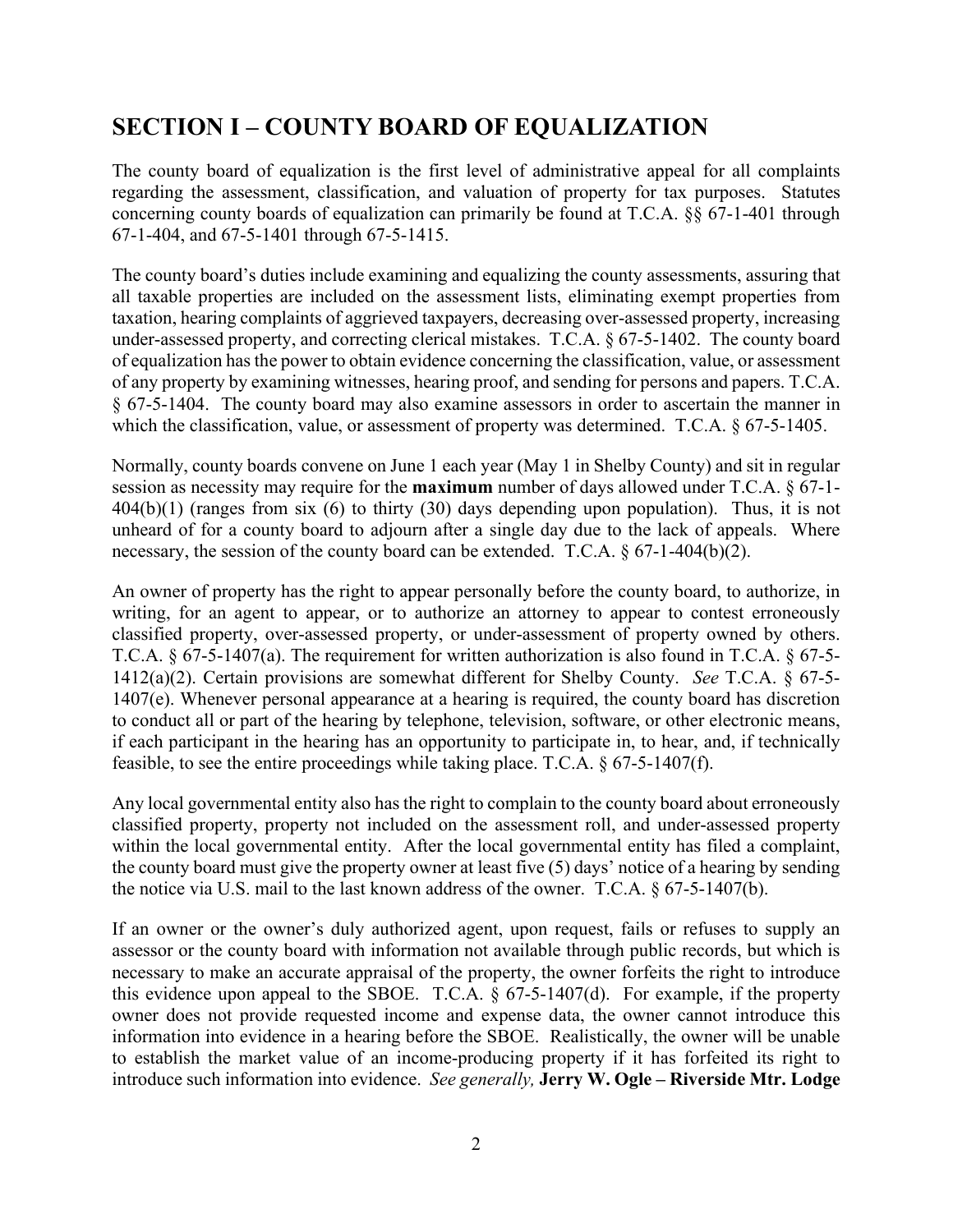## **SECTION I – COUNTY BOARD OF EQUALIZATION**

The county board of equalization is the first level of administrative appeal for all complaints regarding the assessment, classification, and valuation of property for tax purposes. Statutes concerning county boards of equalization can primarily be found at T.C.A. §§ 67-1-401 through 67-1-404, and 67-5-1401 through 67-5-1415.

The county board's duties include examining and equalizing the county assessments, assuring that all taxable properties are included on the assessment lists, eliminating exempt properties from taxation, hearing complaints of aggrieved taxpayers, decreasing over-assessed property, increasing under-assessed property, and correcting clerical mistakes. T.C.A. § 67-5-1402. The county board of equalization has the power to obtain evidence concerning the classification, value, or assessment of any property by examining witnesses, hearing proof, and sending for persons and papers. T.C.A. § 67-5-1404. The county board may also examine assessors in order to ascertain the manner in which the classification, value, or assessment of property was determined. T.C.A.  $\S 67-5-1405$ .

Normally, county boards convene on June 1 each year (May 1 in Shelby County) and sit in regular session as necessity may require for the **maximum** number of days allowed under T.C.A. § 67-1-  $404(b)(1)$  (ranges from six (6) to thirty (30) days depending upon population). Thus, it is not unheard of for a county board to adjourn after a single day due to the lack of appeals. Where necessary, the session of the county board can be extended. T.C.A. § 67-1-404(b)(2).

An owner of property has the right to appear personally before the county board, to authorize, in writing, for an agent to appear, or to authorize an attorney to appear to contest erroneously classified property, over-assessed property, or under-assessment of property owned by others. T.C.A. § 67-5-1407(a). The requirement for written authorization is also found in T.C.A. § 67-5- 1412(a)(2). Certain provisions are somewhat different for Shelby County. *See* T.C.A. § 67-5- 1407(e). Whenever personal appearance at a hearing is required, the county board has discretion to conduct all or part of the hearing by telephone, television, software, or other electronic means, if each participant in the hearing has an opportunity to participate in, to hear, and, if technically feasible, to see the entire proceedings while taking place. T.C.A. § 67-5-1407(f).

Any local governmental entity also has the right to complain to the county board about erroneously classified property, property not included on the assessment roll, and under-assessed property within the local governmental entity. After the local governmental entity has filed a complaint, the county board must give the property owner at least five (5) days' notice of a hearing by sending the notice via U.S. mail to the last known address of the owner. T.C.A. § 67-5-1407(b).

If an owner or the owner's duly authorized agent, upon request, fails or refuses to supply an assessor or the county board with information not available through public records, but which is necessary to make an accurate appraisal of the property, the owner forfeits the right to introduce this evidence upon appeal to the SBOE. T.C.A.  $\S$  67-5-1407(d). For example, if the property owner does not provide requested income and expense data, the owner cannot introduce this information into evidence in a hearing before the SBOE. Realistically, the owner will be unable to establish the market value of an income-producing property if it has forfeited its right to introduce such information into evidence. *See generally,* **Jerry W. Ogle – [Riverside Mtr. Lodge](https://comptroller.tn.gov/content/dam/cot/administration/documents/o-g-c/Jerry-W-Ogle-Riverside-Mtr-Lodge.pdf)**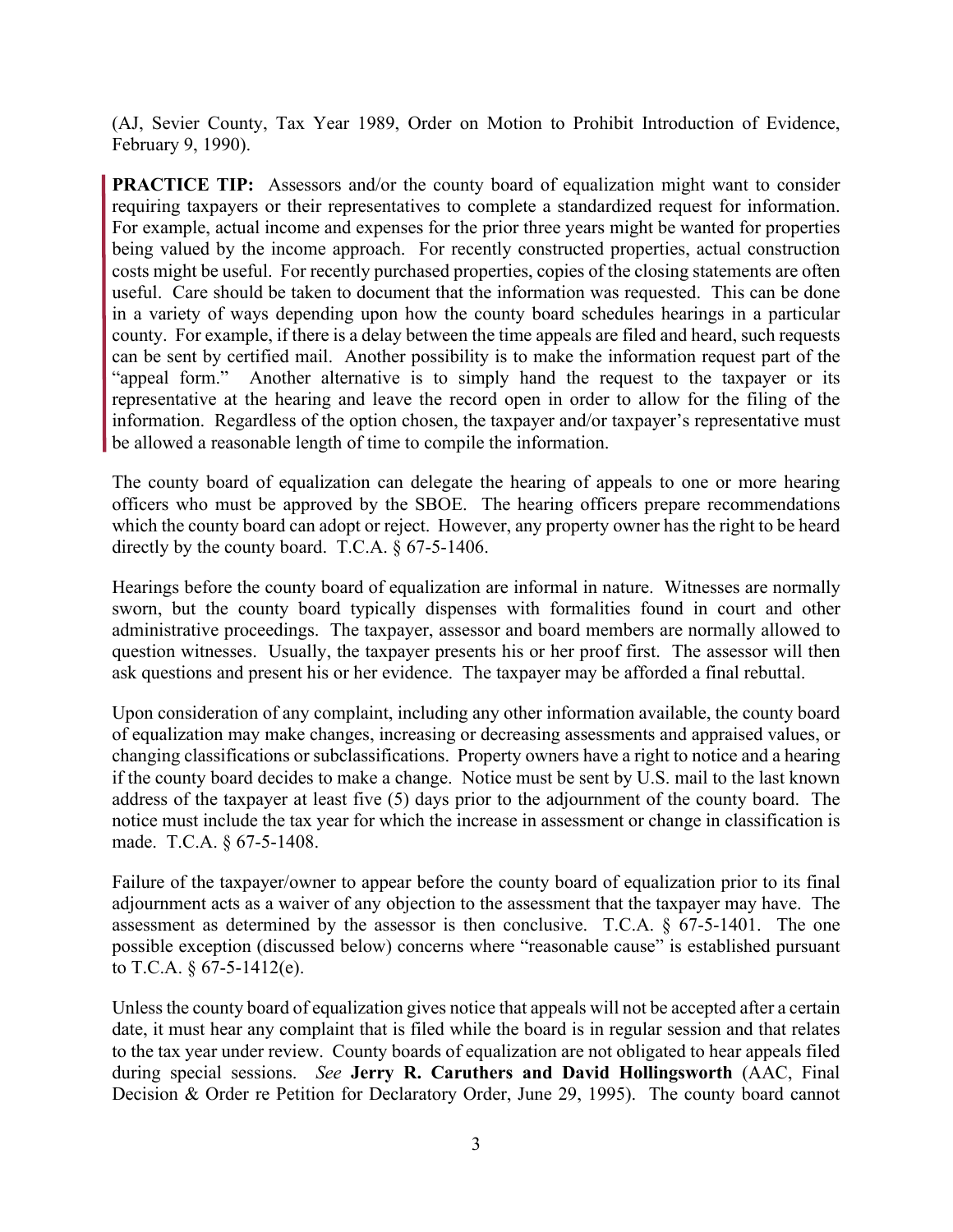(AJ, Sevier County, Tax Year 1989, Order on Motion to Prohibit Introduction of Evidence, February 9, 1990).

**PRACTICE TIP:** Assessors and/or the county board of equalization might want to consider requiring taxpayers or their representatives to complete a standardized request for information. For example, actual income and expenses for the prior three years might be wanted for properties being valued by the income approach. For recently constructed properties, actual construction costs might be useful. For recently purchased properties, copies of the closing statements are often useful. Care should be taken to document that the information was requested. This can be done in a variety of ways depending upon how the county board schedules hearings in a particular county. For example, if there is a delay between the time appeals are filed and heard, such requests can be sent by certified mail. Another possibility is to make the information request part of the "appeal form." Another alternative is to simply hand the request to the taxpayer or its representative at the hearing and leave the record open in order to allow for the filing of the information. Regardless of the option chosen, the taxpayer and/or taxpayer's representative must be allowed a reasonable length of time to compile the information.

The county board of equalization can delegate the hearing of appeals to one or more hearing officers who must be approved by the SBOE. The hearing officers prepare recommendations which the county board can adopt or reject. However, any property owner has the right to be heard directly by the county board. T.C.A. § 67-5-1406.

Hearings before the county board of equalization are informal in nature. Witnesses are normally sworn, but the county board typically dispenses with formalities found in court and other administrative proceedings. The taxpayer, assessor and board members are normally allowed to question witnesses. Usually, the taxpayer presents his or her proof first. The assessor will then ask questions and present his or her evidence. The taxpayer may be afforded a final rebuttal.

Upon consideration of any complaint, including any other information available, the county board of equalization may make changes, increasing or decreasing assessments and appraised values, or changing classifications or subclassifications. Property owners have a right to notice and a hearing if the county board decides to make a change. Notice must be sent by U.S. mail to the last known address of the taxpayer at least five (5) days prior to the adjournment of the county board. The notice must include the tax year for which the increase in assessment or change in classification is made. T.C.A. § 67-5-1408.

Failure of the taxpayer/owner to appear before the county board of equalization prior to its final adjournment acts as a waiver of any objection to the assessment that the taxpayer may have. The assessment as determined by the assessor is then conclusive. T.C.A. § 67-5-1401. The one possible exception (discussed below) concerns where "reasonable cause" is established pursuant to T.C.A. § 67-5-1412(e).

Unless the county board of equalization gives notice that appeals will not be accepted after a certain date, it must hear any complaint that is filed while the board is in regular session and that relates to the tax year under review. County boards of equalization are not obligated to hear appeals filed during special sessions. *See* **[Jerry R. Caruthers and David Hollingsworth](https://comptroller.tn.gov/content/dam/cot/administration/documents/o-g-c/Jerry-R-Caruthers-and-David-Hollingsworth.pdf)** (AAC, Final Decision & Order re Petition for Declaratory Order, June 29, 1995). The county board cannot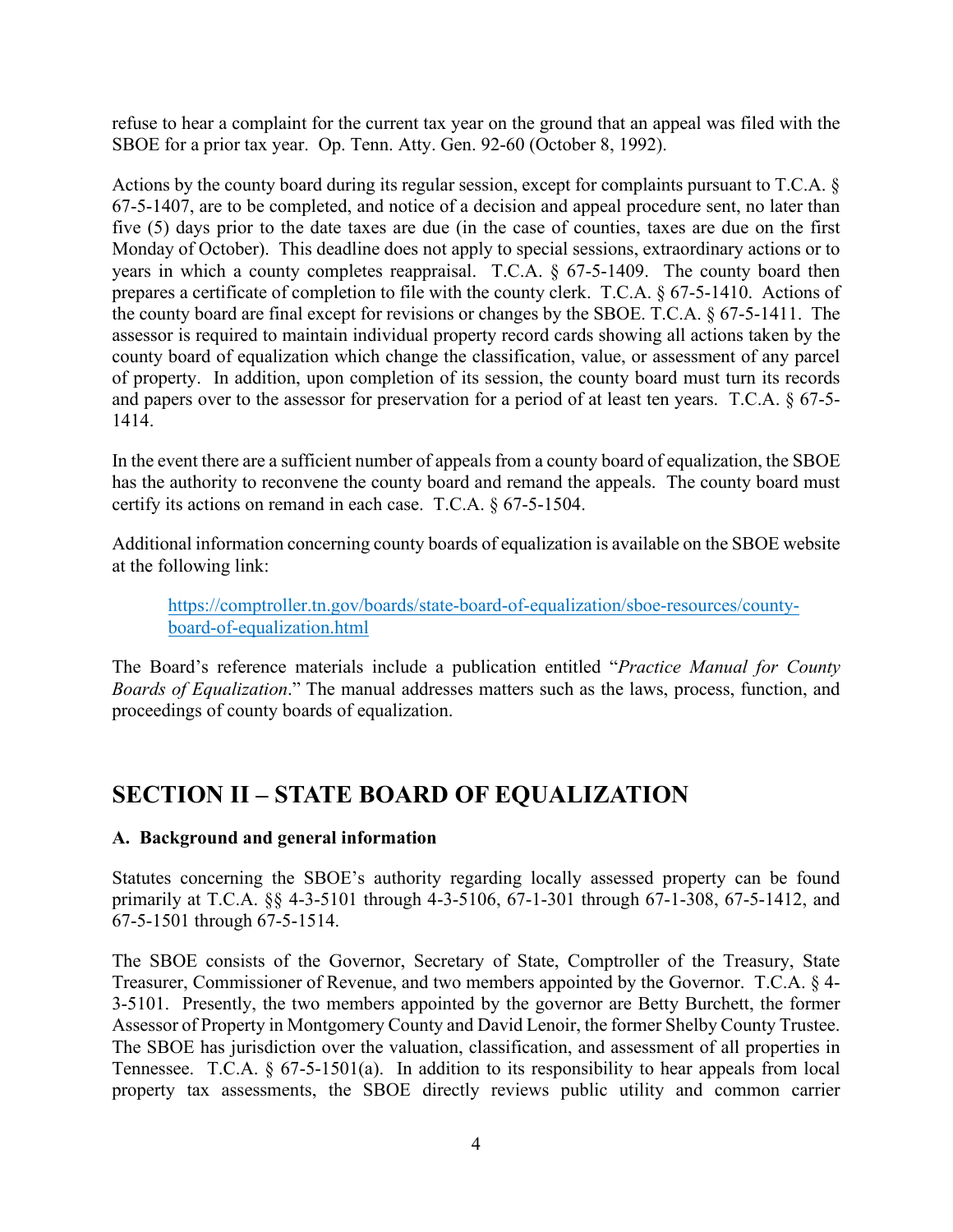refuse to hear a complaint for the current tax year on the ground that an appeal was filed with the SBOE for a prior tax year. Op. Tenn. Atty. Gen. 92-60 (October 8, 1992).

Actions by the county board during its regular session, except for complaints pursuant to T.C.A. § 67-5-1407, are to be completed, and notice of a decision and appeal procedure sent, no later than five (5) days prior to the date taxes are due (in the case of counties, taxes are due on the first Monday of October). This deadline does not apply to special sessions, extraordinary actions or to years in which a county completes reappraisal. T.C.A. § 67-5-1409. The county board then prepares a certificate of completion to file with the county clerk. T.C.A. § 67-5-1410. Actions of the county board are final except for revisions or changes by the SBOE. T.C.A. § 67-5-1411. The assessor is required to maintain individual property record cards showing all actions taken by the county board of equalization which change the classification, value, or assessment of any parcel of property. In addition, upon completion of its session, the county board must turn its records and papers over to the assessor for preservation for a period of at least ten years. T.C.A. § 67-5- 1414.

In the event there are a sufficient number of appeals from a county board of equalization, the SBOE has the authority to reconvene the county board and remand the appeals. The county board must certify its actions on remand in each case. T.C.A. § 67-5-1504.

Additional information concerning county boards of equalization is available on the SBOE website at the following link:

[https://comptroller.tn.gov/boards/state-board-of-equalization/sboe-resources/county](https://comptroller.tn.gov/boards/state-board-of-equalization/sboe-resources/county-board-of-equalization.html)[board-of-equalization.html](https://comptroller.tn.gov/boards/state-board-of-equalization/sboe-resources/county-board-of-equalization.html)

The Board's reference materials include a publication entitled "*Practice Manual for County Boards of Equalization*." The manual addresses matters such as the laws, process, function, and proceedings of county boards of equalization.

## **SECTION II – STATE BOARD OF EQUALIZATION**

## **A. Background and general information**

Statutes concerning the SBOE's authority regarding locally assessed property can be found primarily at T.C.A. §§ 4-3-5101 through 4-3-5106, 67-1-301 through 67-1-308, 67-5-1412, and 67-5-1501 through 67-5-1514.

The SBOE consists of the Governor, Secretary of State, Comptroller of the Treasury, State Treasurer, Commissioner of Revenue, and two members appointed by the Governor. T.C.A. § 4- 3-5101. Presently, the two members appointed by the governor are Betty Burchett, the former Assessor of Property in Montgomery County and David Lenoir, the former Shelby County Trustee. The SBOE has jurisdiction over the valuation, classification, and assessment of all properties in Tennessee. T.C.A. § 67-5-1501(a). In addition to its responsibility to hear appeals from local property tax assessments, the SBOE directly reviews public utility and common carrier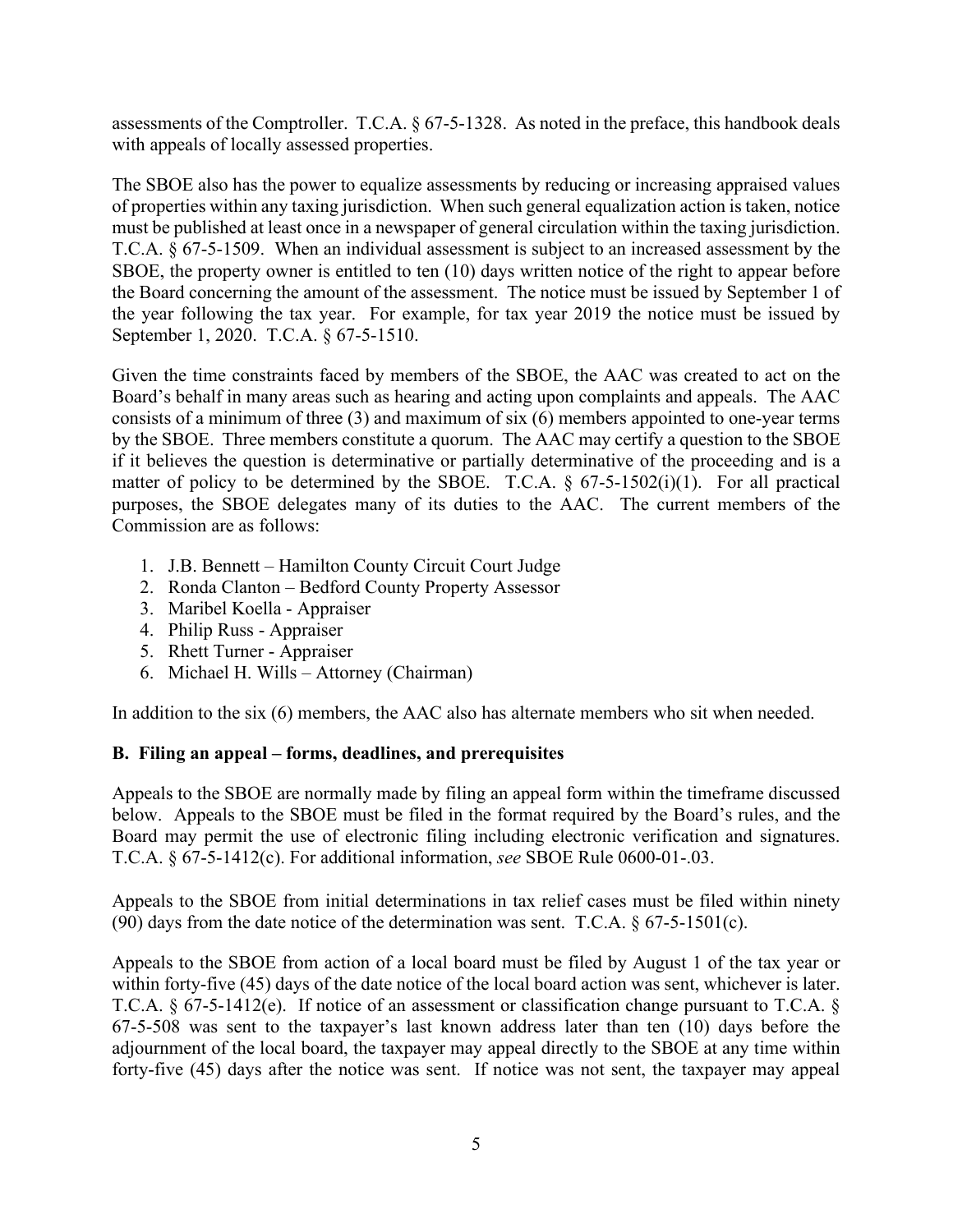assessments of the Comptroller. T.C.A. § 67-5-1328. As noted in the preface, this handbook deals with appeals of locally assessed properties.

The SBOE also has the power to equalize assessments by reducing or increasing appraised values of properties within any taxing jurisdiction. When such general equalization action is taken, notice must be published at least once in a newspaper of general circulation within the taxing jurisdiction. T.C.A. § 67-5-1509. When an individual assessment is subject to an increased assessment by the SBOE, the property owner is entitled to ten (10) days written notice of the right to appear before the Board concerning the amount of the assessment. The notice must be issued by September 1 of the year following the tax year. For example, for tax year 2019 the notice must be issued by September 1, 2020. T.C.A. § 67-5-1510.

Given the time constraints faced by members of the SBOE, the AAC was created to act on the Board's behalf in many areas such as hearing and acting upon complaints and appeals. The AAC consists of a minimum of three (3) and maximum of six (6) members appointed to one-year terms by the SBOE. Three members constitute a quorum. The AAC may certify a question to the SBOE if it believes the question is determinative or partially determinative of the proceeding and is a matter of policy to be determined by the SBOE. T.C.A.  $\S$  67-5-1502(i)(1). For all practical purposes, the SBOE delegates many of its duties to the AAC. The current members of the Commission are as follows:

- 1. J.B. Bennett Hamilton County Circuit Court Judge
- 2. Ronda Clanton Bedford County Property Assessor
- 3. Maribel Koella Appraiser
- 4. Philip Russ Appraiser
- 5. Rhett Turner Appraiser
- 6. Michael H. Wills Attorney (Chairman)

In addition to the six (6) members, the AAC also has alternate members who sit when needed.

## **B. Filing an appeal – forms, deadlines, and prerequisites**

Appeals to the SBOE are normally made by filing an appeal form within the timeframe discussed below. Appeals to the SBOE must be filed in the format required by the Board's rules, and the Board may permit the use of electronic filing including electronic verification and signatures. T.C.A. § 67-5-1412(c). For additional information, *see* SBOE Rule 0600-01-.03.

Appeals to the SBOE from initial determinations in tax relief cases must be filed within ninety (90) days from the date notice of the determination was sent. T.C.A.  $\S 67-5-1501(c)$ .

Appeals to the SBOE from action of a local board must be filed by August 1 of the tax year or within forty-five (45) days of the date notice of the local board action was sent, whichever is later. T.C.A. § 67-5-1412(e). If notice of an assessment or classification change pursuant to T.C.A. § 67-5-508 was sent to the taxpayer's last known address later than ten (10) days before the adjournment of the local board, the taxpayer may appeal directly to the SBOE at any time within forty-five (45) days after the notice was sent. If notice was not sent, the taxpayer may appeal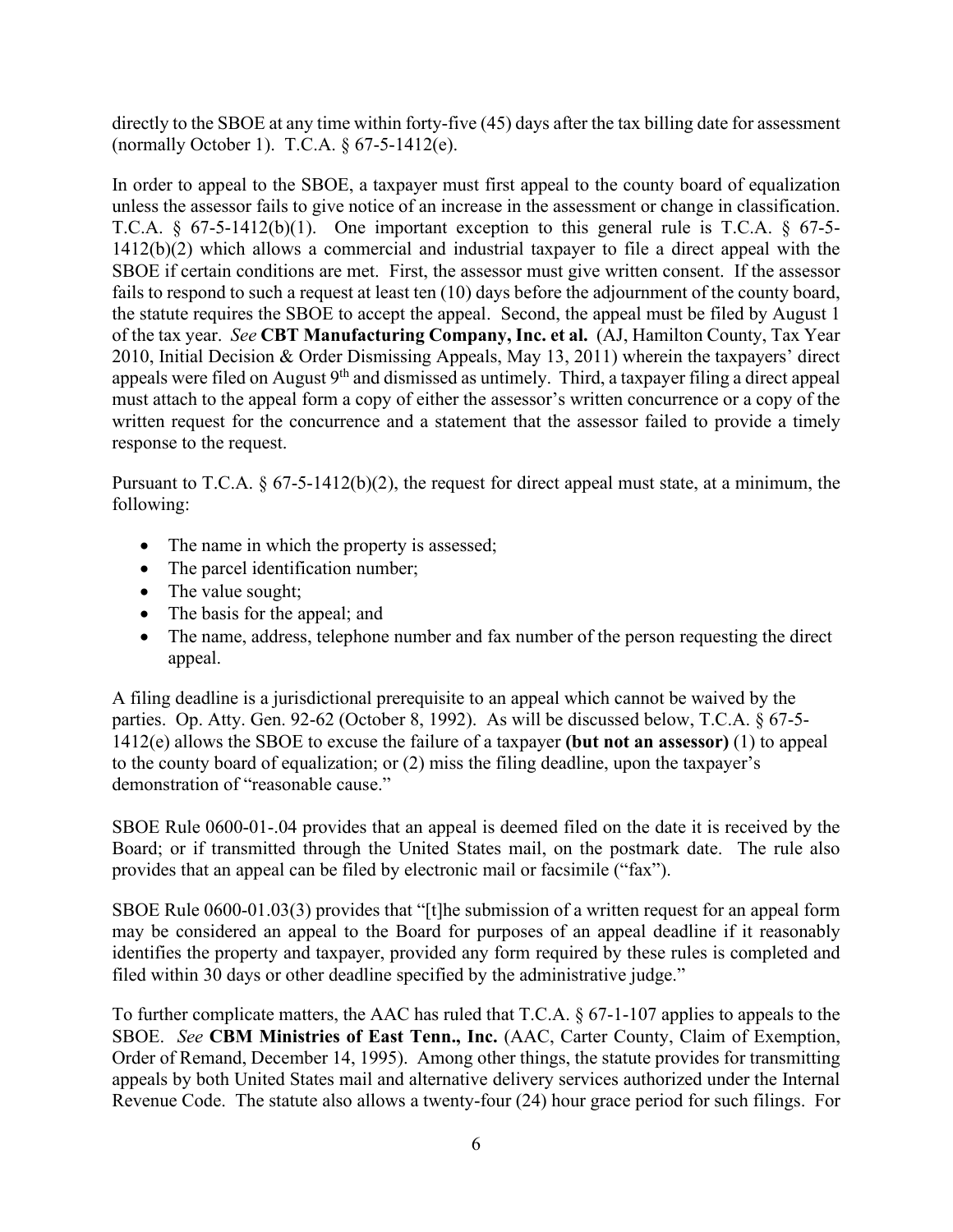directly to the SBOE at any time within forty-five (45) days after the tax billing date for assessment (normally October 1). T.C.A. § 67-5-1412(e).

In order to appeal to the SBOE, a taxpayer must first appeal to the county board of equalization unless the assessor fails to give notice of an increase in the assessment or change in classification. T.C.A. § 67-5-1412(b)(1). One important exception to this general rule is T.C.A. § 67-5- 1412(b)(2) which allows a commercial and industrial taxpayer to file a direct appeal with the SBOE if certain conditions are met. First, the assessor must give written consent. If the assessor fails to respond to such a request at least ten (10) days before the adjournment of the county board, the statute requires the SBOE to accept the appeal. Second, the appeal must be filed by August 1 of the tax year. *See* **[CBT Manufacturing Company, Inc. et al.](https://comptroller.tn.gov/content/dam/cot/administration/documents/o-g-c/CBT-Manufacturing-Company-Inc.pdf)** (AJ, Hamilton County, Tax Year 2010, Initial Decision & Order Dismissing Appeals, May 13, 2011) wherein the taxpayers' direct appeals were filed on August 9th and dismissed as untimely. Third, a taxpayer filing a direct appeal must attach to the appeal form a copy of either the assessor's written concurrence or a copy of the written request for the concurrence and a statement that the assessor failed to provide a timely response to the request.

Pursuant to T.C.A. § 67-5-1412(b)(2), the request for direct appeal must state, at a minimum, the following:

- The name in which the property is assessed;
- The parcel identification number;
- The value sought;
- The basis for the appeal; and
- The name, address, telephone number and fax number of the person requesting the direct appeal.

A filing deadline is a jurisdictional prerequisite to an appeal which cannot be waived by the parties. Op. Atty. Gen. 92-62 (October 8, 1992). As will be discussed below, T.C.A. § 67-5- 1412(e) allows the SBOE to excuse the failure of a taxpayer **(but not an assessor)** (1) to appeal to the county board of equalization; or (2) miss the filing deadline, upon the taxpayer's demonstration of "reasonable cause."

SBOE Rule 0600-01-.04 provides that an appeal is deemed filed on the date it is received by the Board; or if transmitted through the United States mail, on the postmark date. The rule also provides that an appeal can be filed by electronic mail or facsimile ("fax").

SBOE Rule 0600-01.03(3) provides that "[t]he submission of a written request for an appeal form may be considered an appeal to the Board for purposes of an appeal deadline if it reasonably identifies the property and taxpayer, provided any form required by these rules is completed and filed within 30 days or other deadline specified by the administrative judge."

To further complicate matters, the AAC has ruled that T.C.A. § 67-1-107 applies to appeals to the SBOE. *See* **[CBM Ministries of East Tenn., Inc.](https://comptroller.tn.gov/content/dam/cot/administration/documents/o-g-c/CBM-Ministries-of-East-Tenn-Inc.pdf)** (AAC, Carter County, Claim of Exemption, Order of Remand, December 14, 1995). Among other things, the statute provides for transmitting appeals by both United States mail and alternative delivery services authorized under the Internal Revenue Code. The statute also allows a twenty-four (24) hour grace period for such filings. For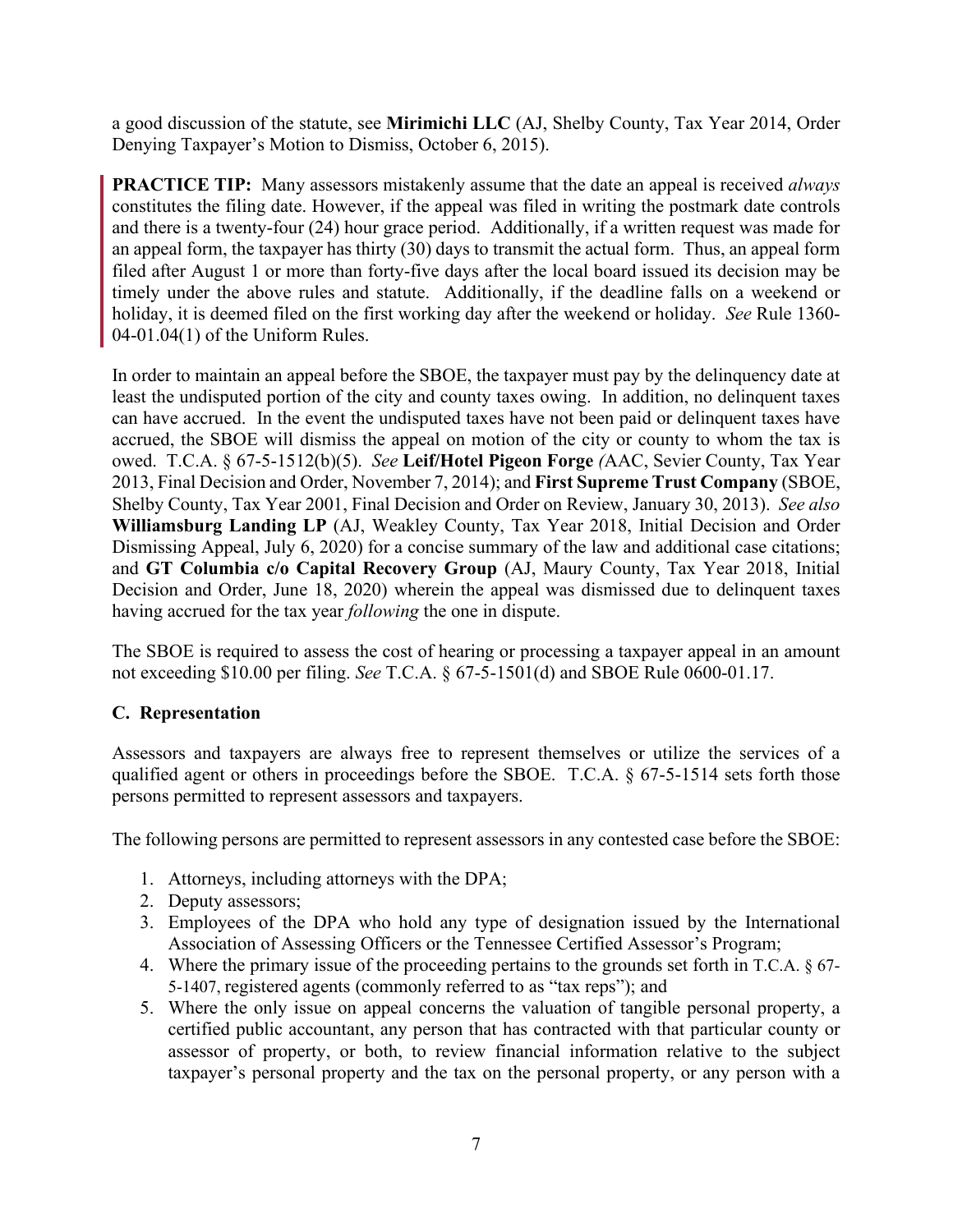a good discussion of the statute, see **[Mirimichi LLC](https://comptroller.tn.gov/content/dam/cot/administration/documents/o-g-c/Mirimichi-LLC.pdf)** (AJ, Shelby County, Tax Year 2014, Order Denying Taxpayer's Motion to Dismiss, October 6, 2015).

**PRACTICE TIP:** Many assessors mistakenly assume that the date an appeal is received *always*  constitutes the filing date. However, if the appeal was filed in writing the postmark date controls and there is a twenty-four (24) hour grace period. Additionally, if a written request was made for an appeal form, the taxpayer has thirty (30) days to transmit the actual form. Thus, an appeal form filed after August 1 or more than forty-five days after the local board issued its decision may be timely under the above rules and statute. Additionally, if the deadline falls on a weekend or holiday, it is deemed filed on the first working day after the weekend or holiday. *See* Rule 1360- 04-01.04(1) of the Uniform Rules.

In order to maintain an appeal before the SBOE, the taxpayer must pay by the delinquency date at least the undisputed portion of the city and county taxes owing. In addition, no delinquent taxes can have accrued. In the event the undisputed taxes have not been paid or delinquent taxes have accrued, the SBOE will dismiss the appeal on motion of the city or county to whom the tax is owed. T.C.A. § 67-5-1512(b)(5). *See* **[Leif/Hotel Pigeon Forge](https://comptroller.tn.gov/content/dam/cot/administration/documents/o-g-c/Leif-Hotel-Pigeon-Forge-AAC.pdf)** *(*AAC, Sevier County, Tax Year 2013, Final Decision and Order, November 7, 2014); and **[First Supreme Trust Company](https://comptroller.tn.gov/content/dam/cot/administration/documents/o-g-c/First-Supreme-Trust-Company.pdf)** (SBOE, Shelby County, Tax Year 2001, Final Decision and Order on Review, January 30, 2013). *See also* **[Williamsburg](https://comptroller.tn.gov/content/dam/cot/administration/documents/o-g-c/Williamsburg-Landing-LP.pdf) Landing LP** (AJ, Weakley County, Tax Year 2018, Initial Decision and Order Dismissing Appeal, July 6, 2020) for a concise summary of the law and additional case citations; and **GT Columbia c/o [Capital Recovery Group](https://comptroller.tn.gov/content/dam/cot/administration/documents/o-g-c/GT-Columbia-Capital-Recovery-Group.pdf)** (AJ, Maury County, Tax Year 2018, Initial Decision and Order, June 18, 2020) wherein the appeal was dismissed due to delinquent taxes having accrued for the tax year *following* the one in dispute.

The SBOE is required to assess the cost of hearing or processing a taxpayer appeal in an amount not exceeding \$10.00 per filing. *See* T.C.A. § 67-5-1501(d) and SBOE Rule 0600-01.17.

## **C. Representation**

Assessors and taxpayers are always free to represent themselves or utilize the services of a qualified agent or others in proceedings before the SBOE. T.C.A. § 67-5-1514 sets forth those persons permitted to represent assessors and taxpayers.

The following persons are permitted to represent assessors in any contested case before the SBOE:

- 1. Attorneys, including attorneys with the DPA;
- 2. Deputy assessors;
- 3. Employees of the DPA who hold any type of designation issued by the International Association of Assessing Officers or the Tennessee Certified Assessor's Program;
- 4. Where the primary issue of the proceeding pertains to the grounds set forth in T.C.A. § 67- 5-1407, registered agents (commonly referred to as "tax reps"); and
- 5. Where the only issue on appeal concerns the valuation of tangible personal property, a certified public accountant, any person that has contracted with that particular county or assessor of property, or both, to review financial information relative to the subject taxpayer's personal property and the tax on the personal property, or any person with a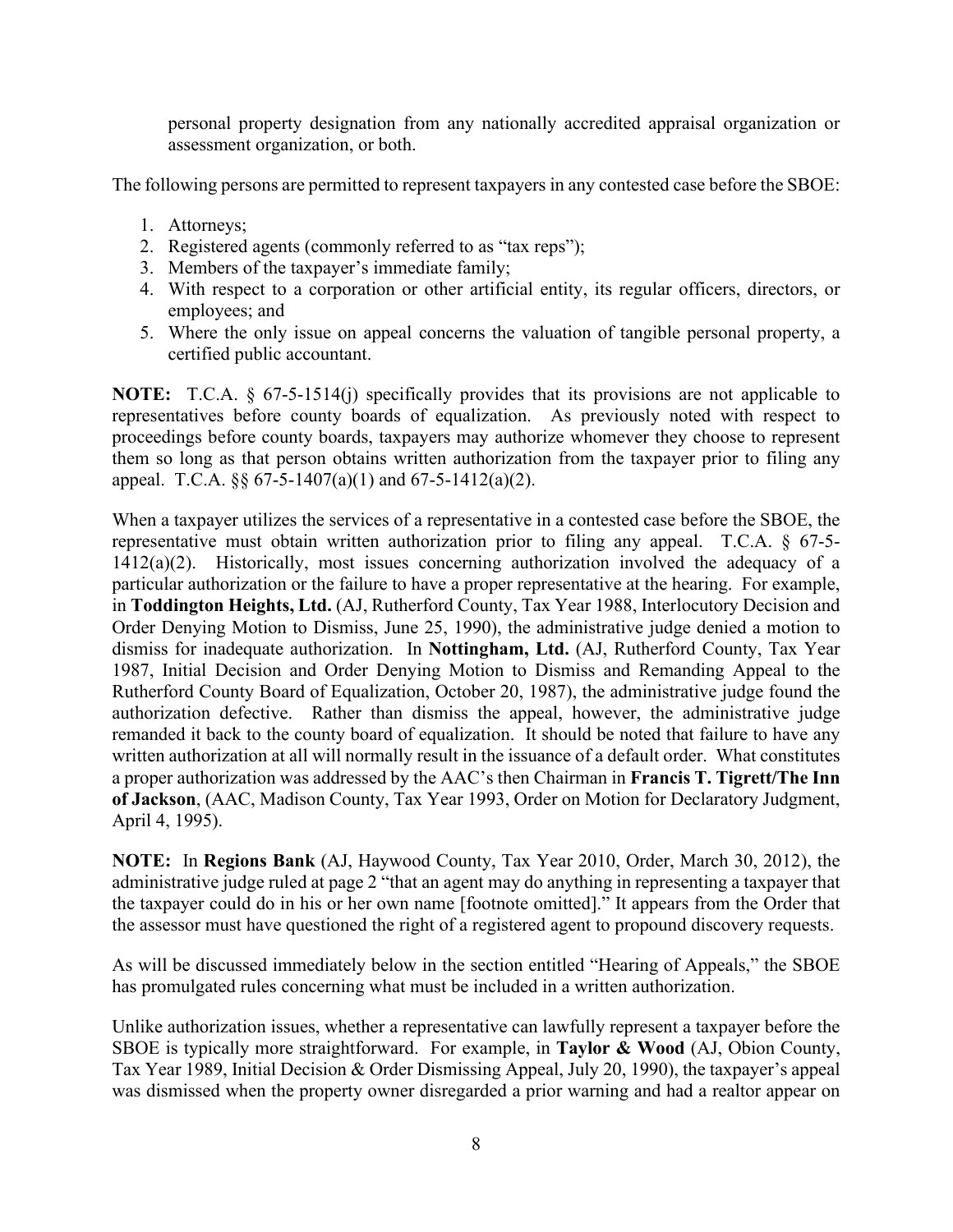personal property designation from any nationally accredited appraisal organization or assessment organization, or both.

The following persons are permitted to represent taxpayers in any contested case before the SBOE:

- 1. Attorneys;
- 2. Registered agents (commonly referred to as "tax reps");
- 3. Members of the taxpayer's immediate family;
- 4. With respect to a corporation or other artificial entity, its regular officers, directors, or employees; and
- 5. Where the only issue on appeal concerns the valuation of tangible personal property, a certified public accountant.

**NOTE:** T.C.A. § 67-5-1514(j) specifically provides that its provisions are not applicable to representatives before county boards of equalization. As previously noted with respect to proceedings before county boards, taxpayers may authorize whomever they choose to represent them so long as that person obtains written authorization from the taxpayer prior to filing any appeal. T.C.A.  $\S$ § 67-5-1407(a)(1) and 67-5-1412(a)(2).

When a taxpayer utilizes the services of a representative in a contested case before the SBOE, the representative must obtain written authorization prior to filing any appeal. T.C.A. § 67-5- 1412(a)(2). Historically, most issues concerning authorization involved the adequacy of a particular authorization or the failure to have a proper representative at the hearing. For example, in **[Toddington Heights, Ltd.](https://comptroller.tn.gov/content/dam/cot/administration/documents/o-g-c/Toddington-Heights-Ltd.pdf)** (AJ, Rutherford County, Tax Year 1988, Interlocutory Decision and Order Denying Motion to Dismiss, June 25, 1990), the administrative judge denied a motion to dismiss for inadequate authorization. In **[Nottingham, Ltd.](https://comptroller.tn.gov/content/dam/cot/administration/documents/o-g-c/Nottingham-Ltd.pdf)** (AJ, Rutherford County, Tax Year 1987, Initial Decision and Order Denying Motion to Dismiss and Remanding Appeal to the Rutherford County Board of Equalization, October 20, 1987), the administrative judge found the authorization defective. Rather than dismiss the appeal, however, the administrative judge remanded it back to the county board of equalization. It should be noted that failure to have any written authorization at all will normally result in the issuance of a default order. What constitutes a proper authorization was addressed by the AAC's then Chairman in **[Francis T. Tigrett/The Inn](https://comptroller.tn.gov/content/dam/cot/administration/documents/o-g-c/Francis-T-Tigrett-The-Inn-of-Jackson.pdf)  of Jackson**, (AAC, Madison County, Tax Year 1993, Order on Motion for Declaratory Judgment, April 4, 1995).

**NOTE:** In **[Regions Bank](https://comptroller.tn.gov/content/dam/cot/administration/documents/o-g-c/Regions-Bank.pdf)** (AJ, Haywood County, Tax Year 2010, Order, March 30, 2012), the administrative judge ruled at page 2 "that an agent may do anything in representing a taxpayer that the taxpayer could do in his or her own name [footnote omitted]." It appears from the Order that the assessor must have questioned the right of a registered agent to propound discovery requests.

As will be discussed immediately below in the section entitled "Hearing of Appeals," the SBOE has promulgated rules concerning what must be included in a written authorization.

Unlike authorization issues, whether a representative can lawfully represent a taxpayer before the SBOE is typically more straightforward. For example, in **[Taylor & Wood](https://comptroller.tn.gov/content/dam/cot/administration/documents/o-g-c/Taylor-and-Wood.pdf)** (AJ, Obion County, Tax Year 1989, Initial Decision & Order Dismissing Appeal, July 20, 1990), the taxpayer's appeal was dismissed when the property owner disregarded a prior warning and had a realtor appear on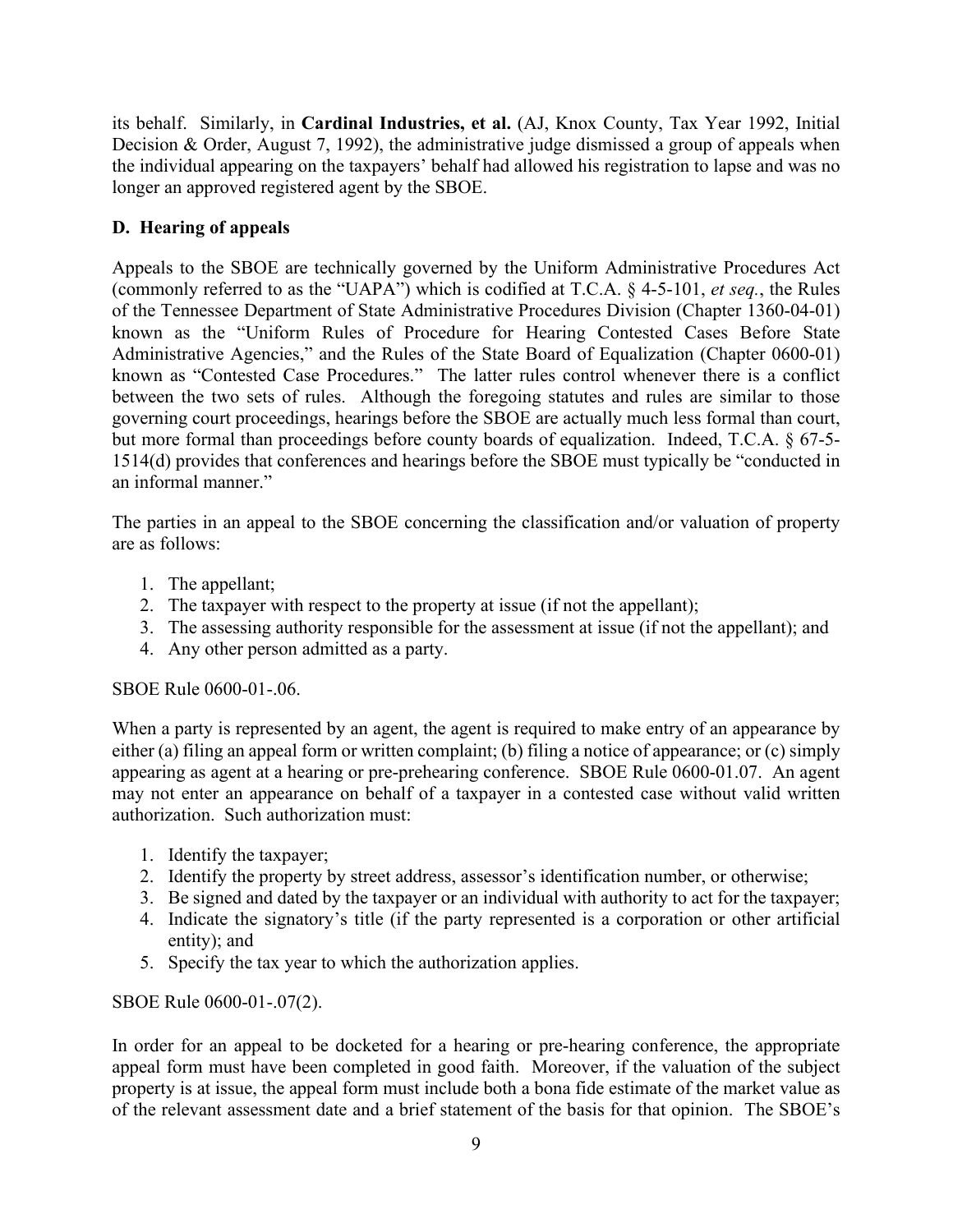its behalf. Similarly, in **[Cardinal Industries, et al.](https://comptroller.tn.gov/content/dam/cot/administration/documents/o-g-c/Cardinal-Industries-et-al.pdf)** (AJ, Knox County, Tax Year 1992, Initial Decision & Order, August 7, 1992), the administrative judge dismissed a group of appeals when the individual appearing on the taxpayers' behalf had allowed his registration to lapse and was no longer an approved registered agent by the SBOE.

## **D. Hearing of appeals**

Appeals to the SBOE are technically governed by the Uniform Administrative Procedures Act (commonly referred to as the "UAPA") which is codified at T.C.A. § 4-5-101, *et seq.*, the Rules of the Tennessee Department of State Administrative Procedures Division (Chapter 1360-04-01) known as the "Uniform Rules of Procedure for Hearing Contested Cases Before State Administrative Agencies," and the Rules of the State Board of Equalization (Chapter 0600-01) known as "Contested Case Procedures." The latter rules control whenever there is a conflict between the two sets of rules. Although the foregoing statutes and rules are similar to those governing court proceedings, hearings before the SBOE are actually much less formal than court, but more formal than proceedings before county boards of equalization. Indeed, T.C.A. § 67-5- 1514(d) provides that conferences and hearings before the SBOE must typically be "conducted in an informal manner."

The parties in an appeal to the SBOE concerning the classification and/or valuation of property are as follows:

- 1. The appellant;
- 2. The taxpayer with respect to the property at issue (if not the appellant);
- 3. The assessing authority responsible for the assessment at issue (if not the appellant); and
- 4. Any other person admitted as a party.

## SBOE Rule 0600-01-.06.

When a party is represented by an agent, the agent is required to make entry of an appearance by either (a) filing an appeal form or written complaint; (b) filing a notice of appearance; or (c) simply appearing as agent at a hearing or pre-prehearing conference. SBOE Rule 0600-01.07. An agent may not enter an appearance on behalf of a taxpayer in a contested case without valid written authorization. Such authorization must:

- 1. Identify the taxpayer;
- 2. Identify the property by street address, assessor's identification number, or otherwise;
- 3. Be signed and dated by the taxpayer or an individual with authority to act for the taxpayer;
- 4. Indicate the signatory's title (if the party represented is a corporation or other artificial entity); and
- 5. Specify the tax year to which the authorization applies.

SBOE Rule 0600-01-.07(2).

In order for an appeal to be docketed for a hearing or pre-hearing conference, the appropriate appeal form must have been completed in good faith. Moreover, if the valuation of the subject property is at issue, the appeal form must include both a bona fide estimate of the market value as of the relevant assessment date and a brief statement of the basis for that opinion. The SBOE's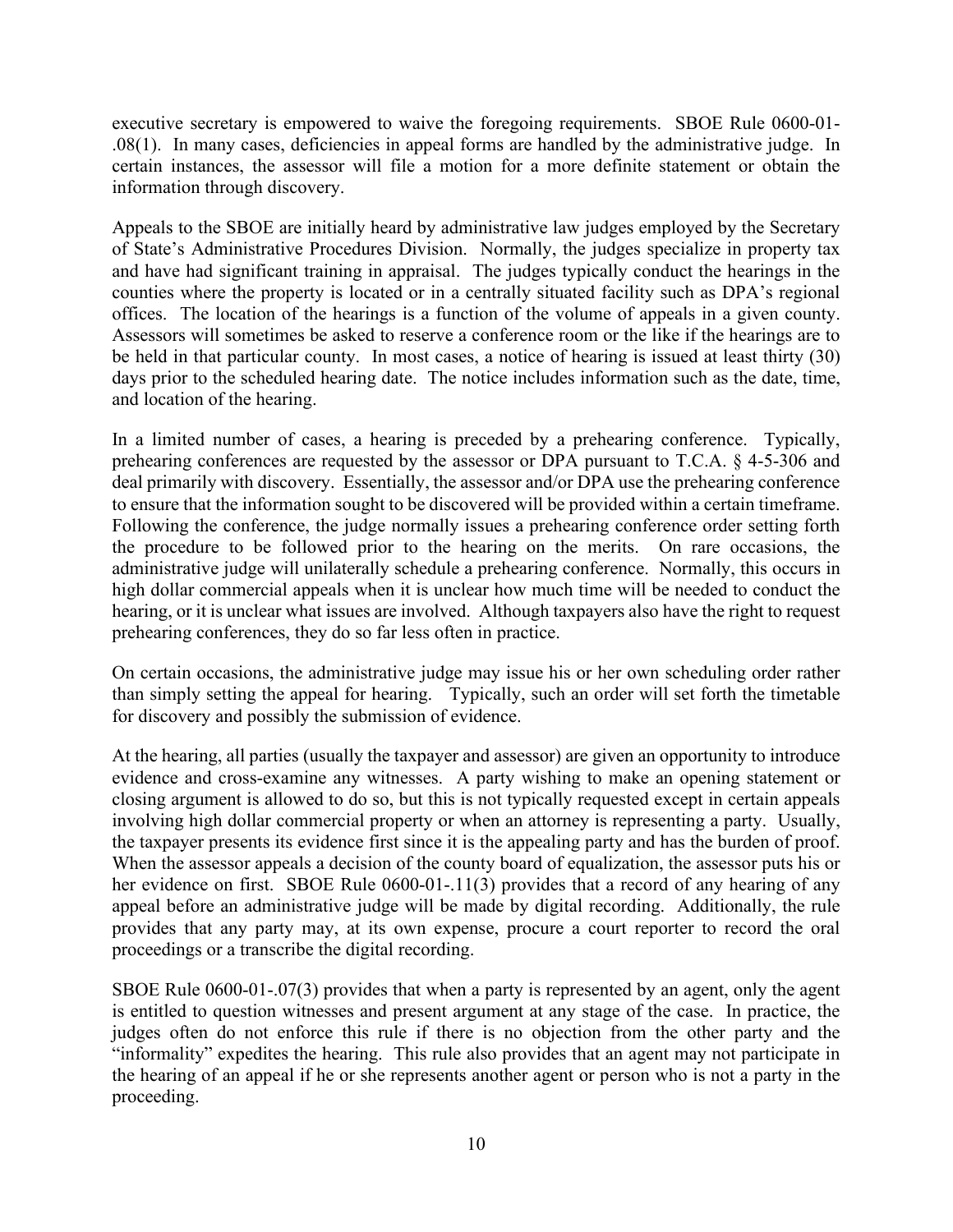executive secretary is empowered to waive the foregoing requirements. SBOE Rule 0600-01- .08(1). In many cases, deficiencies in appeal forms are handled by the administrative judge. In certain instances, the assessor will file a motion for a more definite statement or obtain the information through discovery.

Appeals to the SBOE are initially heard by administrative law judges employed by the Secretary of State's Administrative Procedures Division. Normally, the judges specialize in property tax and have had significant training in appraisal. The judges typically conduct the hearings in the counties where the property is located or in a centrally situated facility such as DPA's regional offices. The location of the hearings is a function of the volume of appeals in a given county. Assessors will sometimes be asked to reserve a conference room or the like if the hearings are to be held in that particular county. In most cases, a notice of hearing is issued at least thirty (30) days prior to the scheduled hearing date. The notice includes information such as the date, time, and location of the hearing.

In a limited number of cases, a hearing is preceded by a prehearing conference. Typically, prehearing conferences are requested by the assessor or DPA pursuant to T.C.A. § 4-5-306 and deal primarily with discovery. Essentially, the assessor and/or DPA use the prehearing conference to ensure that the information sought to be discovered will be provided within a certain timeframe. Following the conference, the judge normally issues a prehearing conference order setting forth the procedure to be followed prior to the hearing on the merits. On rare occasions, the administrative judge will unilaterally schedule a prehearing conference. Normally, this occurs in high dollar commercial appeals when it is unclear how much time will be needed to conduct the hearing, or it is unclear what issues are involved. Although taxpayers also have the right to request prehearing conferences, they do so far less often in practice.

On certain occasions, the administrative judge may issue his or her own scheduling order rather than simply setting the appeal for hearing. Typically, such an order will set forth the timetable for discovery and possibly the submission of evidence.

At the hearing, all parties (usually the taxpayer and assessor) are given an opportunity to introduce evidence and cross-examine any witnesses. A party wishing to make an opening statement or closing argument is allowed to do so, but this is not typically requested except in certain appeals involving high dollar commercial property or when an attorney is representing a party. Usually, the taxpayer presents its evidence first since it is the appealing party and has the burden of proof. When the assessor appeals a decision of the county board of equalization, the assessor puts his or her evidence on first. SBOE Rule 0600-01-.11(3) provides that a record of any hearing of any appeal before an administrative judge will be made by digital recording. Additionally, the rule provides that any party may, at its own expense, procure a court reporter to record the oral proceedings or a transcribe the digital recording.

SBOE Rule 0600-01-.07(3) provides that when a party is represented by an agent, only the agent is entitled to question witnesses and present argument at any stage of the case. In practice, the judges often do not enforce this rule if there is no objection from the other party and the "informality" expedites the hearing. This rule also provides that an agent may not participate in the hearing of an appeal if he or she represents another agent or person who is not a party in the proceeding.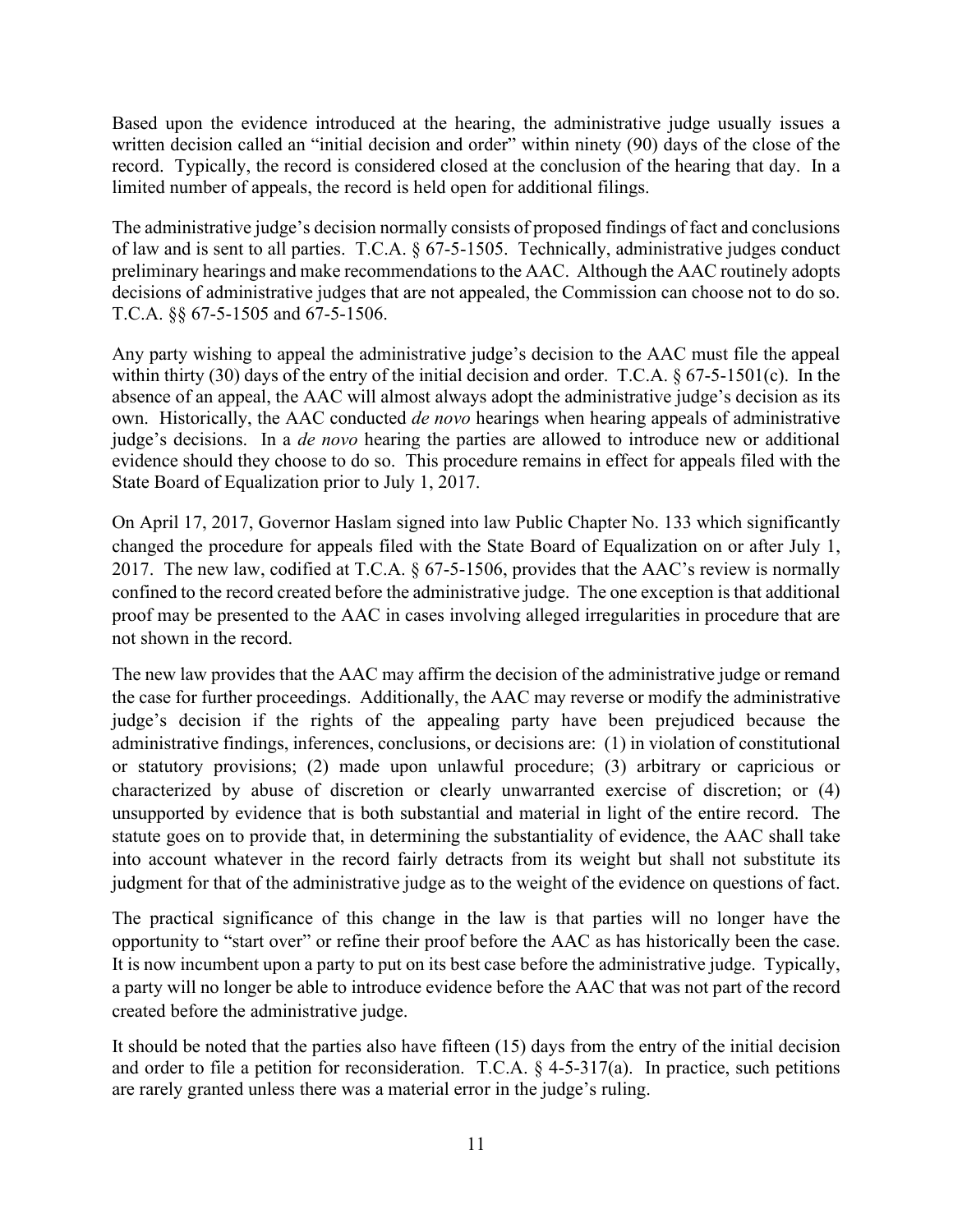Based upon the evidence introduced at the hearing, the administrative judge usually issues a written decision called an "initial decision and order" within ninety (90) days of the close of the record. Typically, the record is considered closed at the conclusion of the hearing that day. In a limited number of appeals, the record is held open for additional filings.

The administrative judge's decision normally consists of proposed findings of fact and conclusions of law and is sent to all parties. T.C.A. § 67-5-1505. Technically, administrative judges conduct preliminary hearings and make recommendations to the AAC. Although the AAC routinely adopts decisions of administrative judges that are not appealed, the Commission can choose not to do so. T.C.A. §§ 67-5-1505 and 67-5-1506.

Any party wishing to appeal the administrative judge's decision to the AAC must file the appeal within thirty (30) days of the entry of the initial decision and order. T.C.A. § 67-5-1501(c). In the absence of an appeal, the AAC will almost always adopt the administrative judge's decision as its own. Historically, the AAC conducted *de novo* hearings when hearing appeals of administrative judge's decisions. In a *de novo* hearing the parties are allowed to introduce new or additional evidence should they choose to do so. This procedure remains in effect for appeals filed with the State Board of Equalization prior to July 1, 2017.

On April 17, 2017, Governor Haslam signed into law Public Chapter No. 133 which significantly changed the procedure for appeals filed with the State Board of Equalization on or after July 1, 2017. The new law, codified at T.C.A. § 67-5-1506, provides that the AAC's review is normally confined to the record created before the administrative judge. The one exception is that additional proof may be presented to the AAC in cases involving alleged irregularities in procedure that are not shown in the record.

The new law provides that the AAC may affirm the decision of the administrative judge or remand the case for further proceedings. Additionally, the AAC may reverse or modify the administrative judge's decision if the rights of the appealing party have been prejudiced because the administrative findings, inferences, conclusions, or decisions are: (1) in violation of constitutional or statutory provisions; (2) made upon unlawful procedure; (3) arbitrary or capricious or characterized by abuse of discretion or clearly unwarranted exercise of discretion; or (4) unsupported by evidence that is both substantial and material in light of the entire record. The statute goes on to provide that, in determining the substantiality of evidence, the AAC shall take into account whatever in the record fairly detracts from its weight but shall not substitute its judgment for that of the administrative judge as to the weight of the evidence on questions of fact.

The practical significance of this change in the law is that parties will no longer have the opportunity to "start over" or refine their proof before the AAC as has historically been the case. It is now incumbent upon a party to put on its best case before the administrative judge. Typically, a party will no longer be able to introduce evidence before the AAC that was not part of the record created before the administrative judge.

It should be noted that the parties also have fifteen (15) days from the entry of the initial decision and order to file a petition for reconsideration. T.C.A. § 4-5-317(a). In practice, such petitions are rarely granted unless there was a material error in the judge's ruling.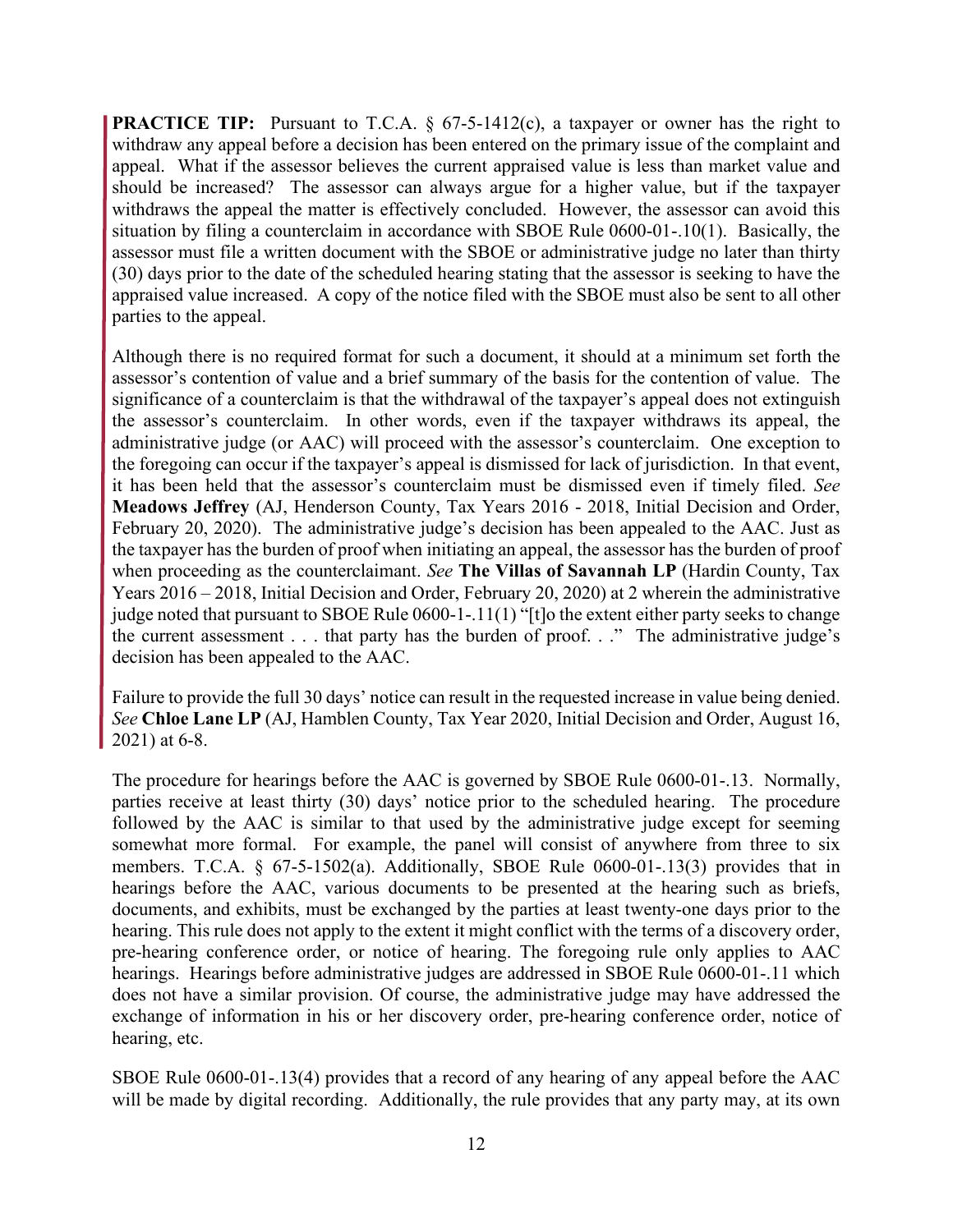**PRACTICE TIP:** Pursuant to T.C.A. § 67-5-1412(c), a taxpayer or owner has the right to withdraw any appeal before a decision has been entered on the primary issue of the complaint and appeal. What if the assessor believes the current appraised value is less than market value and should be increased? The assessor can always argue for a higher value, but if the taxpayer withdraws the appeal the matter is effectively concluded. However, the assessor can avoid this situation by filing a counterclaim in accordance with SBOE Rule 0600-01-.10(1). Basically, the assessor must file a written document with the SBOE or administrative judge no later than thirty (30) days prior to the date of the scheduled hearing stating that the assessor is seeking to have the appraised value increased. A copy of the notice filed with the SBOE must also be sent to all other parties to the appeal.

Although there is no required format for such a document, it should at a minimum set forth the assessor's contention of value and a brief summary of the basis for the contention of value. The significance of a counterclaim is that the withdrawal of the taxpayer's appeal does not extinguish the assessor's counterclaim. In other words, even if the taxpayer withdraws its appeal, the administrative judge (or AAC) will proceed with the assessor's counterclaim. One exception to the foregoing can occur if the taxpayer's appeal is dismissed for lack of jurisdiction. In that event, it has been held that the assessor's counterclaim must be dismissed even if timely filed. *See*  **[Meadows Jeffrey](https://comptroller.tn.gov/content/dam/cot/administration/documents/o-g-c/Meadows-Jeffrey.pdf)** (AJ, Henderson County, Tax Years 2016 - 2018, Initial Decision and Order, February 20, 2020). The administrative judge's decision has been appealed to the AAC. Just as the taxpayer has the burden of proof when initiating an appeal, the assessor has the burden of proof when proceeding as the counterclaimant. *See* **[The Villas of Savannah LP](https://comptroller.tn.gov/content/dam/cot/administration/documents/o-g-c/The-Villas-of-Savannah.pdf)** (Hardin County, Tax Years 2016 – 2018, Initial Decision and Order, February 20, 2020) at 2 wherein the administrative judge noted that pursuant to SBOE Rule 0600-1-.11(1) "[t]o the extent either party seeks to change the current assessment . . . that party has the burden of proof. . ." The administrative judge's decision has been appealed to the AAC.

Failure to provide the full 30 days' notice can result in the requested increase in value being denied. *See* **Chloe [Lane LP](https://comptroller.tn.gov/content/dam/cot/administration/documents/o-g-c/Chloe-Lane-LP-Tax-Year-2020.pdf)** (AJ, Hamblen County, Tax Year 2020, Initial Decision and Order, August 16, 2021) at 6-8.

The procedure for hearings before the AAC is governed by SBOE Rule 0600-01-.13. Normally, parties receive at least thirty (30) days' notice prior to the scheduled hearing. The procedure followed by the AAC is similar to that used by the administrative judge except for seeming somewhat more formal. For example, the panel will consist of anywhere from three to six members. T.C.A. § 67-5-1502(a). Additionally, SBOE Rule 0600-01-.13(3) provides that in hearings before the AAC, various documents to be presented at the hearing such as briefs, documents, and exhibits, must be exchanged by the parties at least twenty-one days prior to the hearing. This rule does not apply to the extent it might conflict with the terms of a discovery order, pre-hearing conference order, or notice of hearing. The foregoing rule only applies to AAC hearings. Hearings before administrative judges are addressed in SBOE Rule 0600-01-.11 which does not have a similar provision. Of course, the administrative judge may have addressed the exchange of information in his or her discovery order, pre-hearing conference order, notice of hearing, etc.

SBOE Rule 0600-01-.13(4) provides that a record of any hearing of any appeal before the AAC will be made by digital recording. Additionally, the rule provides that any party may, at its own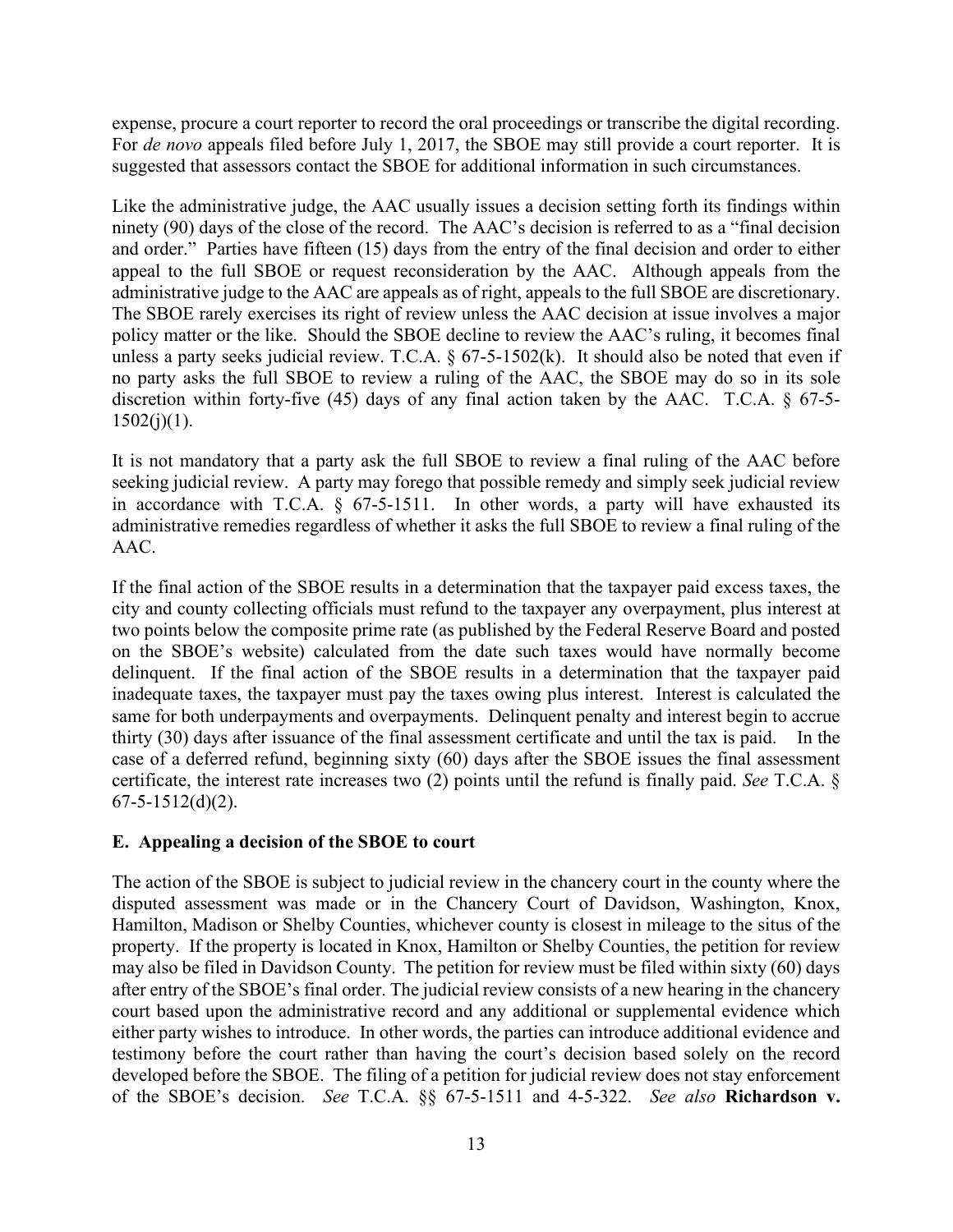expense, procure a court reporter to record the oral proceedings or transcribe the digital recording. For *de novo* appeals filed before July 1, 2017, the SBOE may still provide a court reporter. It is suggested that assessors contact the SBOE for additional information in such circumstances.

Like the administrative judge, the AAC usually issues a decision setting forth its findings within ninety (90) days of the close of the record. The AAC's decision is referred to as a "final decision and order." Parties have fifteen (15) days from the entry of the final decision and order to either appeal to the full SBOE or request reconsideration by the AAC. Although appeals from the administrative judge to the AAC are appeals as of right, appeals to the full SBOE are discretionary. The SBOE rarely exercises its right of review unless the AAC decision at issue involves a major policy matter or the like. Should the SBOE decline to review the AAC's ruling, it becomes final unless a party seeks judicial review. T.C.A.  $\S$  67-5-1502(k). It should also be noted that even if no party asks the full SBOE to review a ruling of the AAC, the SBOE may do so in its sole discretion within forty-five (45) days of any final action taken by the AAC. T.C.A. § 67-5-  $1502(j)(1)$ .

It is not mandatory that a party ask the full SBOE to review a final ruling of the AAC before seeking judicial review. A party may forego that possible remedy and simply seek judicial review in accordance with T.C.A.  $\S$  67-5-1511. In other words, a party will have exhausted its administrative remedies regardless of whether it asks the full SBOE to review a final ruling of the AAC.

If the final action of the SBOE results in a determination that the taxpayer paid excess taxes, the city and county collecting officials must refund to the taxpayer any overpayment, plus interest at two points below the composite prime rate (as published by the Federal Reserve Board and posted on the SBOE's website) calculated from the date such taxes would have normally become delinquent. If the final action of the SBOE results in a determination that the taxpayer paid inadequate taxes, the taxpayer must pay the taxes owing plus interest. Interest is calculated the same for both underpayments and overpayments. Delinquent penalty and interest begin to accrue thirty (30) days after issuance of the final assessment certificate and until the tax is paid. In the case of a deferred refund, beginning sixty (60) days after the SBOE issues the final assessment certificate, the interest rate increases two (2) points until the refund is finally paid. *See* T.C.A. § 67-5-1512(d)(2).

## **E. Appealing a decision of the SBOE to court**

The action of the SBOE is subject to judicial review in the chancery court in the county where the disputed assessment was made or in the Chancery Court of Davidson, Washington, Knox, Hamilton, Madison or Shelby Counties, whichever county is closest in mileage to the situs of the property. If the property is located in Knox, Hamilton or Shelby Counties, the petition for review may also be filed in Davidson County. The petition for review must be filed within sixty (60) days after entry of the SBOE's final order. The judicial review consists of a new hearing in the chancery court based upon the administrative record and any additional or supplemental evidence which either party wishes to introduce. In other words, the parties can introduce additional evidence and testimony before the court rather than having the court's decision based solely on the record developed before the SBOE. The filing of a petition for judicial review does not stay enforcement of the SBOE's decision. *See* T.C.A. §§ 67-5-1511 and 4-5-322. *See also* **[Richardson v.](https://comptroller.tn.gov/content/dam/cot/administration/documents/o-g-c/Richardson-v-Tennessee-AAC-CA-1991.pdf)**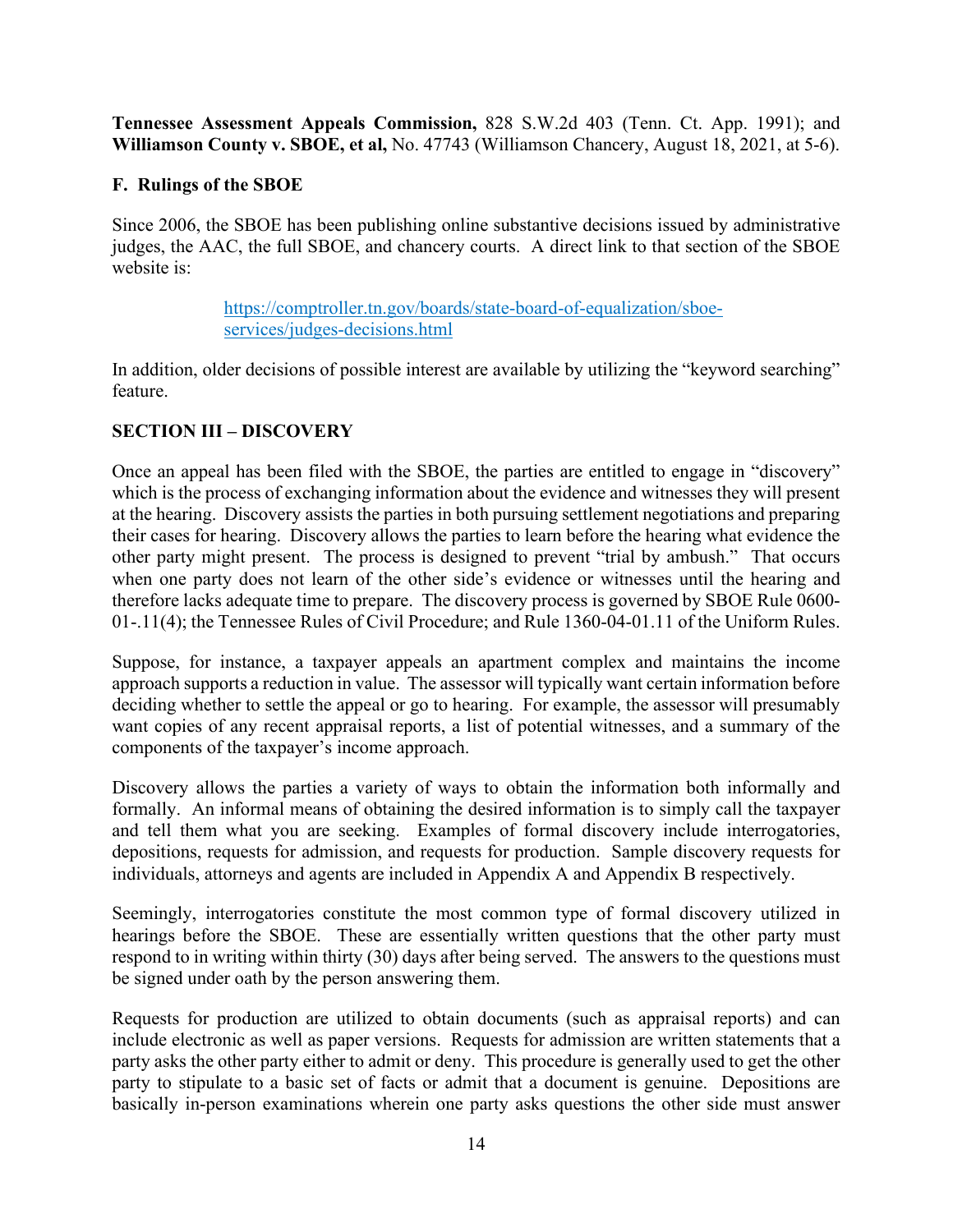**[Tennessee Assessment Appeals Commission,](https://comptroller.tn.gov/content/dam/cot/administration/documents/o-g-c/Richardson-v-Tennessee-AAC-CA-1991.pdf)** 828 S.W.2d 403 (Tenn. Ct. App. 1991); and **[Williamson County v. SBOE,](https://comptroller.tn.gov/content/dam/cot/administration/documents/o-g-c/Williamson-Co-v-SBOE-et-al-Williamson-Chancery-2021.pdf) et al,** No. 47743 (Williamson Chancery, August 18, 2021, at 5-6).

## **F. Rulings of the SBOE**

Since 2006, the SBOE has been publishing online substantive decisions issued by administrative judges, the AAC, the full SBOE, and chancery courts. A direct link to that section of the SBOE website is:

> [https://comptroller.tn.gov/boards/state-board-of-equalization/sboe](https://comptroller.tn.gov/boards/state-board-of-equalization/sboe-services/judges-decisions.html)[services/judges-decisions.html](https://comptroller.tn.gov/boards/state-board-of-equalization/sboe-services/judges-decisions.html)

In addition, older decisions of possible interest are available by utilizing the "keyword searching" feature.

## **SECTION III – DISCOVERY**

Once an appeal has been filed with the SBOE, the parties are entitled to engage in "discovery" which is the process of exchanging information about the evidence and witnesses they will present at the hearing. Discovery assists the parties in both pursuing settlement negotiations and preparing their cases for hearing. Discovery allows the parties to learn before the hearing what evidence the other party might present. The process is designed to prevent "trial by ambush." That occurs when one party does not learn of the other side's evidence or witnesses until the hearing and therefore lacks adequate time to prepare. The discovery process is governed by SBOE Rule 0600- 01-.11(4); the Tennessee Rules of Civil Procedure; and Rule 1360-04-01.11 of the Uniform Rules.

Suppose, for instance, a taxpayer appeals an apartment complex and maintains the income approach supports a reduction in value. The assessor will typically want certain information before deciding whether to settle the appeal or go to hearing. For example, the assessor will presumably want copies of any recent appraisal reports, a list of potential witnesses, and a summary of the components of the taxpayer's income approach.

Discovery allows the parties a variety of ways to obtain the information both informally and formally. An informal means of obtaining the desired information is to simply call the taxpayer and tell them what you are seeking. Examples of formal discovery include interrogatories, depositions, requests for admission, and requests for production. Sample discovery requests for individuals, attorneys and agents are included in Appendix A and Appendix B respectively.

Seemingly, interrogatories constitute the most common type of formal discovery utilized in hearings before the SBOE. These are essentially written questions that the other party must respond to in writing within thirty (30) days after being served. The answers to the questions must be signed under oath by the person answering them.

Requests for production are utilized to obtain documents (such as appraisal reports) and can include electronic as well as paper versions. Requests for admission are written statements that a party asks the other party either to admit or deny. This procedure is generally used to get the other party to stipulate to a basic set of facts or admit that a document is genuine. Depositions are basically in-person examinations wherein one party asks questions the other side must answer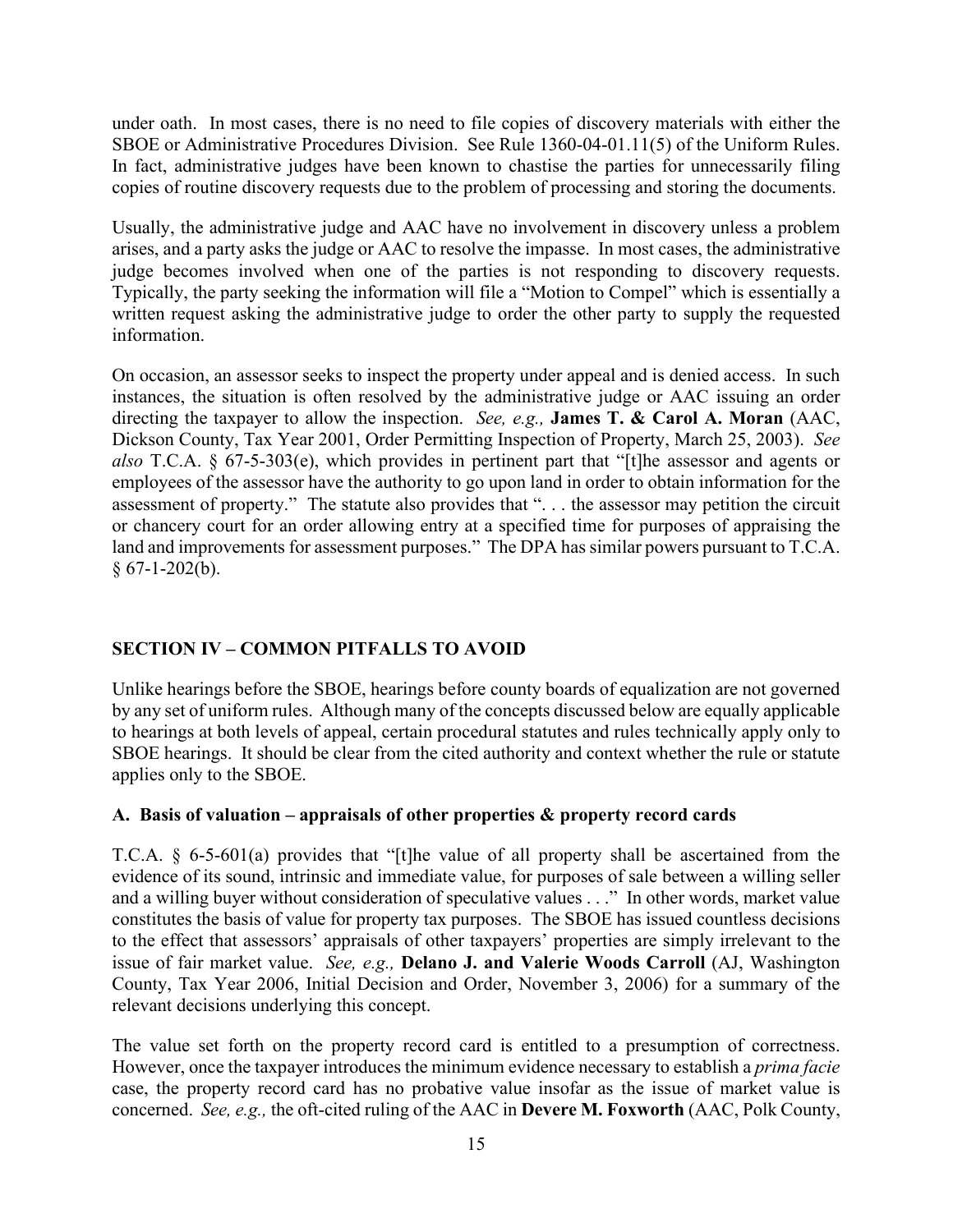under oath. In most cases, there is no need to file copies of discovery materials with either the SBOE or Administrative Procedures Division. See Rule 1360-04-01.11(5) of the Uniform Rules. In fact, administrative judges have been known to chastise the parties for unnecessarily filing copies of routine discovery requests due to the problem of processing and storing the documents.

Usually, the administrative judge and AAC have no involvement in discovery unless a problem arises, and a party asks the judge or AAC to resolve the impasse. In most cases, the administrative judge becomes involved when one of the parties is not responding to discovery requests. Typically, the party seeking the information will file a "Motion to Compel" which is essentially a written request asking the administrative judge to order the other party to supply the requested information.

On occasion, an assessor seeks to inspect the property under appeal and is denied access. In such instances, the situation is often resolved by the administrative judge or AAC issuing an order directing the taxpayer to allow the inspection. *See, e.g.,* **[James T. & Carol A. Moran](https://comptroller.tn.gov/content/dam/cot/administration/documents/o-g-c/James-T-and-Carol-A-Moran.pdf)** (AAC, Dickson County, Tax Year 2001, Order Permitting Inspection of Property, March 25, 2003). *See also* T.C.A. § 67-5-303(e), which provides in pertinent part that "[t]he assessor and agents or employees of the assessor have the authority to go upon land in order to obtain information for the assessment of property." The statute also provides that ". . . the assessor may petition the circuit or chancery court for an order allowing entry at a specified time for purposes of appraising the land and improvements for assessment purposes." The DPA has similar powers pursuant to T.C.A.  $§ 67-1-202(b).$ 

## **SECTION IV – COMMON PITFALLS TO AVOID**

Unlike hearings before the SBOE, hearings before county boards of equalization are not governed by any set of uniform rules. Although many of the concepts discussed below are equally applicable to hearings at both levels of appeal, certain procedural statutes and rules technically apply only to SBOE hearings. It should be clear from the cited authority and context whether the rule or statute applies only to the SBOE.

## **A. Basis of valuation – appraisals of other properties & property record cards**

T.C.A. § 6-5-601(a) provides that "[t]he value of all property shall be ascertained from the evidence of its sound, intrinsic and immediate value, for purposes of sale between a willing seller and a willing buyer without consideration of speculative values . . ." In other words, market value constitutes the basis of value for property tax purposes. The SBOE has issued countless decisions to the effect that assessors' appraisals of other taxpayers' properties are simply irrelevant to the issue of fair market value. *See, e.g.,* **[Delano J. and Valerie Woods Carroll](https://comptroller.tn.gov/content/dam/cot/administration/documents/o-g-c/Delano-J-and-Valerie-Woods-Carroll.pdf)** (AJ, Washington County, Tax Year 2006, Initial Decision and Order, November 3, 2006) for a summary of the relevant decisions underlying this concept.

The value set forth on the property record card is entitled to a presumption of correctness. However, once the taxpayer introduces the minimum evidence necessary to establish a *prima facie*  case, the property record card has no probative value insofar as the issue of market value is concerned. *See, e.g.,* the oft-cited ruling of the AAC in **[Devere M. Foxworth](https://comptroller.tn.gov/content/dam/cot/administration/documents/o-g-c/Devere-M-Foxworth.pdf)** (AAC, Polk County,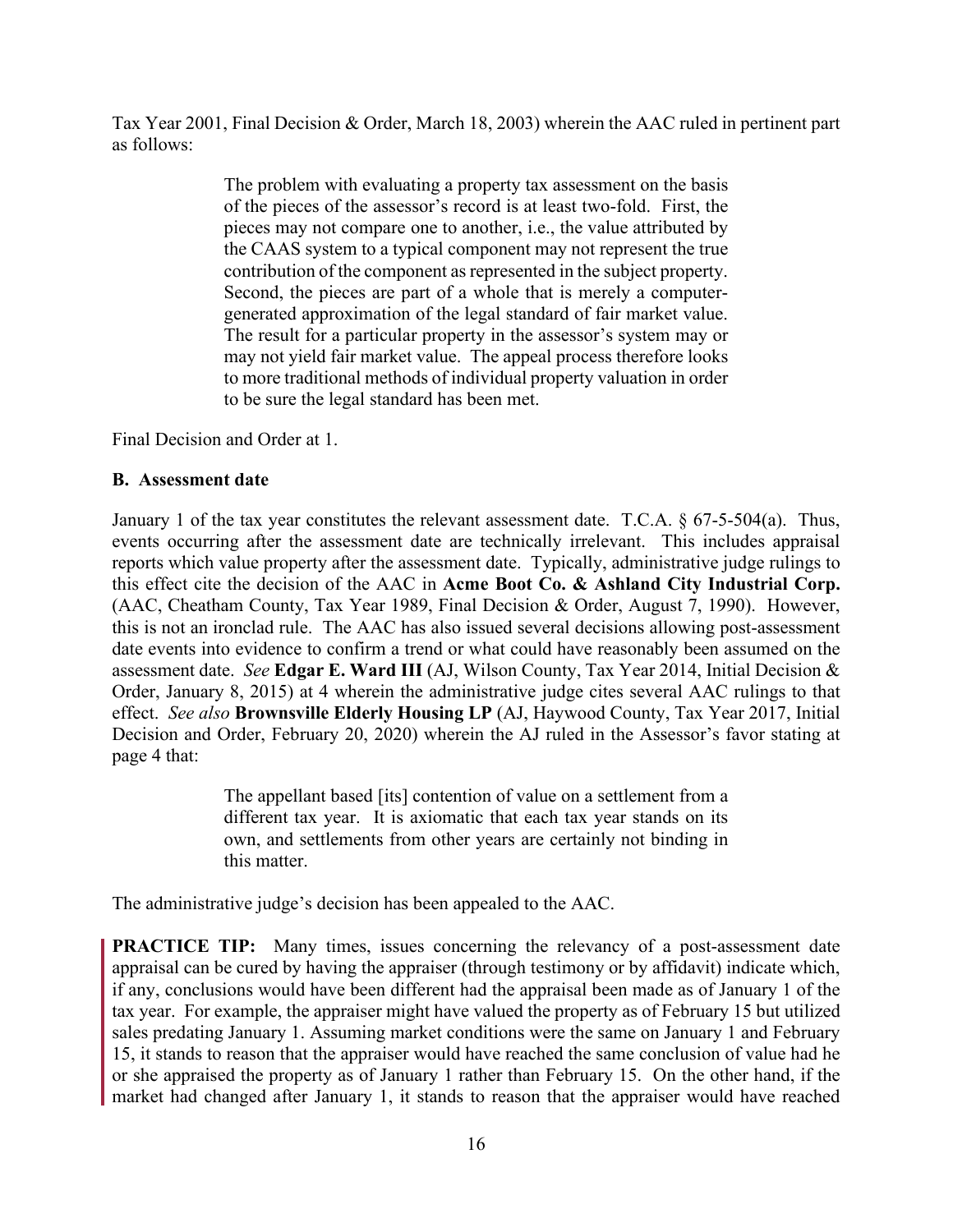Tax Year 2001, Final Decision & Order, March 18, 2003) wherein the AAC ruled in pertinent part as follows:

> The problem with evaluating a property tax assessment on the basis of the pieces of the assessor's record is at least two-fold. First, the pieces may not compare one to another, i.e., the value attributed by the CAAS system to a typical component may not represent the true contribution of the component as represented in the subject property. Second, the pieces are part of a whole that is merely a computergenerated approximation of the legal standard of fair market value. The result for a particular property in the assessor's system may or may not yield fair market value. The appeal process therefore looks to more traditional methods of individual property valuation in order to be sure the legal standard has been met.

Final Decision and Order at 1.

## **B. Assessment date**

January 1 of the tax year constitutes the relevant assessment date. T.C.A.  $\S 67-5-504(a)$ . Thus, events occurring after the assessment date are technically irrelevant. This includes appraisal reports which value property after the assessment date. Typically, administrative judge rulings to this effect cite the decision of the AAC in **[Acme Boot Co. & Ashland City Industrial Corp.](https://comptroller.tn.gov/content/dam/cot/administration/documents/o-g-c/Acme-Boot-Co-and-Ashland-City-Industrial-Corp.pdf)**  (AAC, Cheatham County, Tax Year 1989, Final Decision & Order, August 7, 1990). However, this is not an ironclad rule. The AAC has also issued several decisions allowing post-assessment date events into evidence to confirm a trend or what could have reasonably been assumed on the assessment date. *See* **[Edgar E. Ward III](https://comptroller.tn.gov/content/dam/cot/administration/documents/o-g-c/Edgar-E-Ward-III.pdf)** (AJ, Wilson County, Tax Year 2014, Initial Decision & Order, January 8, 2015) at 4 wherein the administrative judge cites several AAC rulings to that effect. *See also* **[Brownsville Elderly Housing LP](https://comptroller.tn.gov/content/dam/cot/administration/documents/o-g-c/Brownsville-Elderly-Housing-LP.pdf)** (AJ, Haywood County, Tax Year 2017, Initial Decision and Order, February 20, 2020) wherein the AJ ruled in the Assessor's favor stating at page 4 that:

> The appellant based [its] contention of value on a settlement from a different tax year. It is axiomatic that each tax year stands on its own, and settlements from other years are certainly not binding in this matter.

The administrative judge's decision has been appealed to the AAC.

**PRACTICE TIP:** Many times, issues concerning the relevancy of a post-assessment date appraisal can be cured by having the appraiser (through testimony or by affidavit) indicate which, if any, conclusions would have been different had the appraisal been made as of January 1 of the tax year. For example, the appraiser might have valued the property as of February 15 but utilized sales predating January 1. Assuming market conditions were the same on January 1 and February 15, it stands to reason that the appraiser would have reached the same conclusion of value had he or she appraised the property as of January 1 rather than February 15. On the other hand, if the market had changed after January 1, it stands to reason that the appraiser would have reached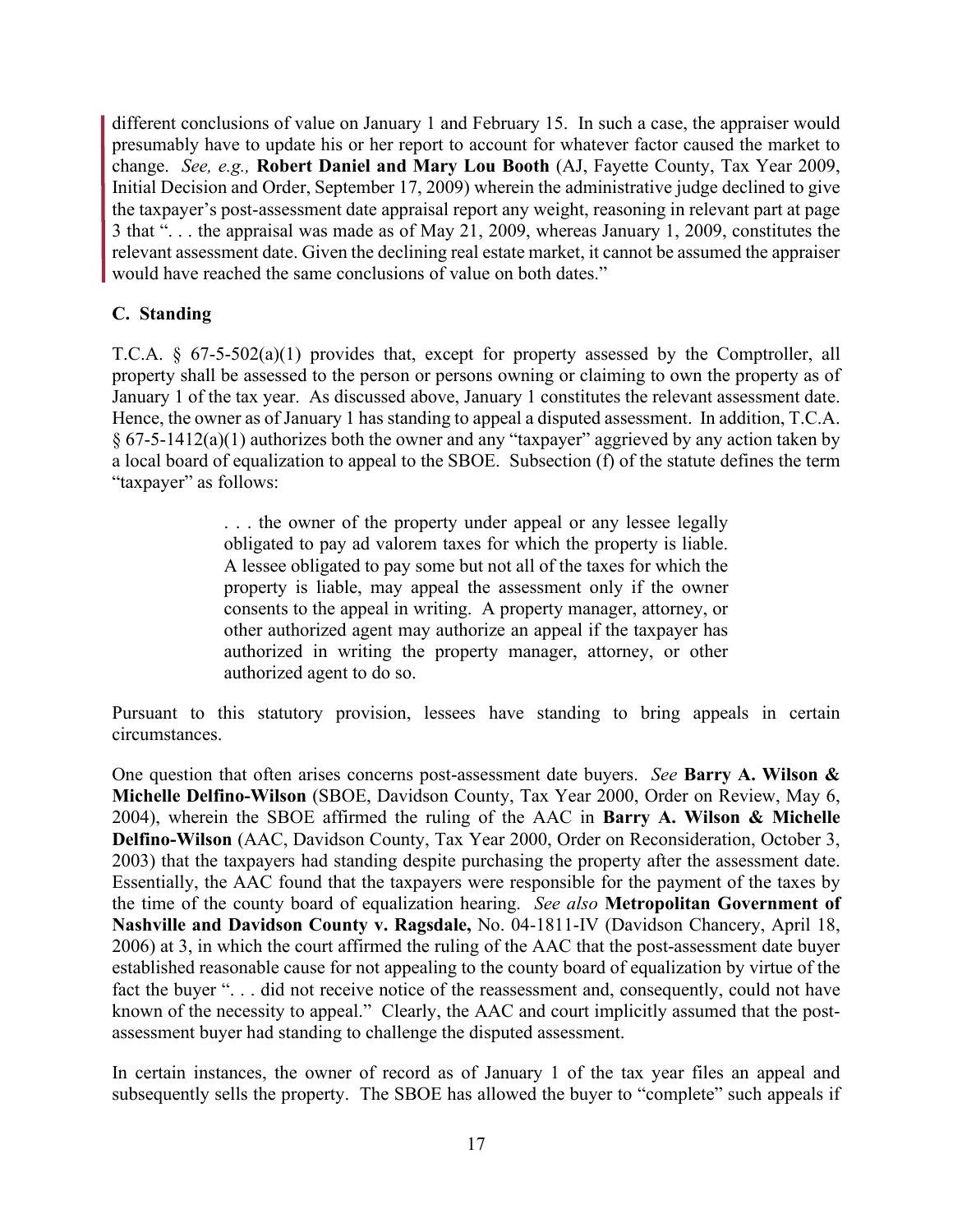different conclusions of value on January 1 and February 15. In such a case, the appraiser would presumably have to update his or her report to account for whatever factor caused the market to change. *See, e.g.,* **[Robert Daniel and Mary Lou Booth](https://comptroller.tn.gov/content/dam/cot/administration/documents/o-g-c/Robert-Daniel-and-Mary-Lou-Booth.pdf)** (AJ, Fayette County, Tax Year 2009, Initial Decision and Order, September 17, 2009) wherein the administrative judge declined to give the taxpayer's post-assessment date appraisal report any weight, reasoning in relevant part at page 3 that ". . . the appraisal was made as of May 21, 2009, whereas January 1, 2009, constitutes the relevant assessment date. Given the declining real estate market, it cannot be assumed the appraiser would have reached the same conclusions of value on both dates."

## **C. Standing**

T.C.A. § 67-5-502(a)(1) provides that, except for property assessed by the Comptroller, all property shall be assessed to the person or persons owning or claiming to own the property as of January 1 of the tax year. As discussed above, January 1 constitutes the relevant assessment date. Hence, the owner as of January 1 has standing to appeal a disputed assessment. In addition, T.C.A.  $§ 67-5-1412(a)(1)$  authorizes both the owner and any "taxpayer" aggrieved by any action taken by a local board of equalization to appeal to the SBOE. Subsection (f) of the statute defines the term "taxpayer" as follows:

> ... the owner of the property under appeal or any lessee legally obligated to pay ad valorem taxes for which the property is liable. A lessee obligated to pay some but not all of the taxes for which the property is liable, may appeal the assessment only if the owner consents to the appeal in writing. A property manager, attorney, or other authorized agent may authorize an appeal if the taxpayer has authorized in writing the property manager, attorney, or other authorized agent to do so.

Pursuant to this statutory provision, lessees have standing to bring appeals in certain circumstances.

One question that often arises concerns post-assessment date buyers. *See* **[Barry A. Wilson &](https://comptroller.tn.gov/content/dam/cot/administration/documents/o-g-c/Barry-A-Wilson-and-Michelle-Delfino-Wilson-2.pdf)  [Michelle Delfino-Wilson](https://comptroller.tn.gov/content/dam/cot/administration/documents/o-g-c/Barry-A-Wilson-and-Michelle-Delfino-Wilson-2.pdf)** (SBOE, Davidson County, Tax Year 2000, Order on Review, May 6, 2004), wherein the SBOE affirmed the ruling of the AAC in **[Barry A. Wilson & Michelle](https://comptroller.tn.gov/content/dam/cot/administration/documents/o-g-c/Barry-A-Wilson-and-Michelle-Delfino-Wilson-2.pdf)  [Delfino-Wilson](https://comptroller.tn.gov/content/dam/cot/administration/documents/o-g-c/Barry-A-Wilson-and-Michelle-Delfino-Wilson-2.pdf)** (AAC, Davidson County, Tax Year 2000, Order on Reconsideration, October 3, 2003) that the taxpayers had standing despite purchasing the property after the assessment date. Essentially, the AAC found that the taxpayers were responsible for the payment of the taxes by the time of the county board of equalization hearing. *See also* **[Metropolitan Government of](https://comptroller.tn.gov/content/dam/cot/administration/documents/o-g-c/Metropolitan-Government-of-Nashville-and-Davidson-County-vs-Ragsdale.pdf)  [Nashville and Davidson County v. Ragsdale,](https://comptroller.tn.gov/content/dam/cot/administration/documents/o-g-c/Metropolitan-Government-of-Nashville-and-Davidson-County-vs-Ragsdale.pdf)** No. 04-1811-IV (Davidson Chancery, April 18, 2006) at 3, in which the court affirmed the ruling of the AAC that the post-assessment date buyer established reasonable cause for not appealing to the county board of equalization by virtue of the fact the buyer "... did not receive notice of the reassessment and, consequently, could not have known of the necessity to appeal." Clearly, the AAC and court implicitly assumed that the postassessment buyer had standing to challenge the disputed assessment.

In certain instances, the owner of record as of January 1 of the tax year files an appeal and subsequently sells the property. The SBOE has allowed the buyer to "complete" such appeals if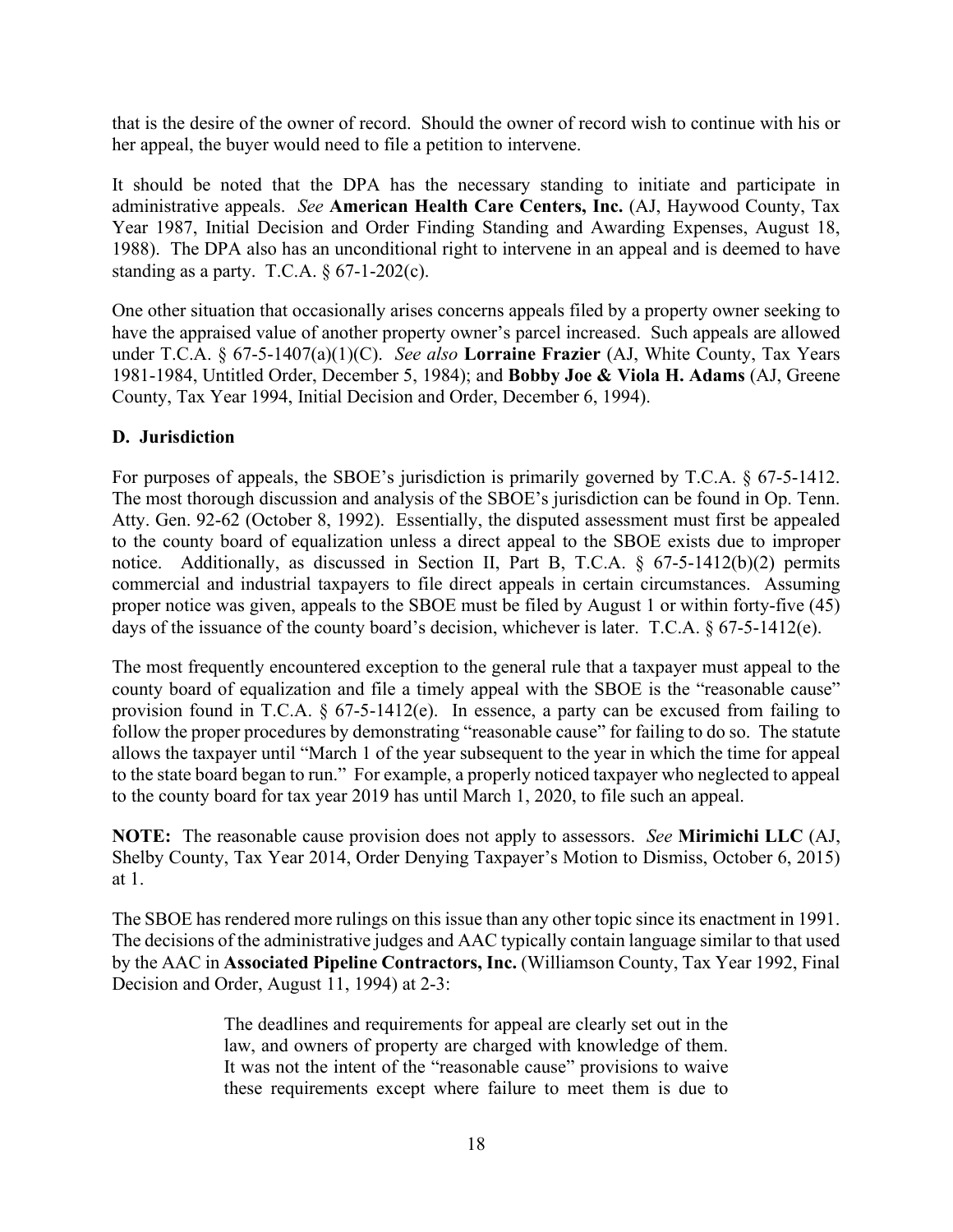that is the desire of the owner of record. Should the owner of record wish to continue with his or her appeal, the buyer would need to file a petition to intervene.

It should be noted that the DPA has the necessary standing to initiate and participate in administrative appeals. *See* **[American Health Care Centers, Inc.](https://comptroller.tn.gov/content/dam/cot/administration/documents/o-g-c/American-Health-Care-Centers-Inc.pdf)** (AJ, Haywood County, Tax Year 1987, Initial Decision and Order Finding Standing and Awarding Expenses, August 18, 1988). The DPA also has an unconditional right to intervene in an appeal and is deemed to have standing as a party. T.C.A.  $\S$  67-1-202(c).

One other situation that occasionally arises concerns appeals filed by a property owner seeking to have the appraised value of another property owner's parcel increased. Such appeals are allowed under T.C.A. § 67-5-1407(a)(1)(C). *See also* **Lorraine Frazier** (AJ, White County, Tax Years 1981-1984, Untitled Order, December 5, 1984); and **[Bobby Joe & Viola H. Adams](https://comptroller.tn.gov/content/dam/cot/administration/documents/o-g-c/Bobby-Joe-and-Viola-H-Adams.pdf)** (AJ, Greene County, Tax Year 1994, Initial Decision and Order, December 6, 1994).

## **D. Jurisdiction**

For purposes of appeals, the SBOE's jurisdiction is primarily governed by T.C.A. § 67-5-1412. The most thorough discussion and analysis of the SBOE's jurisdiction can be found in Op. Tenn. Atty. Gen. 92-62 (October 8, 1992). Essentially, the disputed assessment must first be appealed to the county board of equalization unless a direct appeal to the SBOE exists due to improper notice. Additionally, as discussed in Section II, Part B, T.C.A. § 67-5-1412(b)(2) permits commercial and industrial taxpayers to file direct appeals in certain circumstances. Assuming proper notice was given, appeals to the SBOE must be filed by August 1 or within forty-five (45) days of the issuance of the county board's decision, whichever is later. T.C.A. § 67-5-1412(e).

The most frequently encountered exception to the general rule that a taxpayer must appeal to the county board of equalization and file a timely appeal with the SBOE is the "reasonable cause" provision found in T.C.A. § 67-5-1412(e). In essence, a party can be excused from failing to follow the proper procedures by demonstrating "reasonable cause" for failing to do so. The statute allows the taxpayer until "March 1 of the year subsequent to the year in which the time for appeal to the state board began to run." For example, a properly noticed taxpayer who neglected to appeal to the county board for tax year 2019 has until March 1, 2020, to file such an appeal.

**NOTE:** The reasonable cause provision does not apply to assessors. *See* **[Mirimichi LLC](https://comptroller.tn.gov/content/dam/cot/administration/documents/o-g-c/Mirimichi-LLC.pdf)** (AJ, Shelby County, Tax Year 2014, Order Denying Taxpayer's Motion to Dismiss, October 6, 2015) at 1.

The SBOE has rendered more rulings on this issue than any other topic since its enactment in 1991. The decisions of the administrative judges and AAC typically contain language similar to that used by the AAC in **[Associated Pipeline Contractors, Inc.](https://comptroller.tn.gov/content/dam/cot/administration/documents/o-g-c/Associated-Pipeline-Contractors-Inc.pdf)** (Williamson County, Tax Year 1992, Final Decision and Order, August 11, 1994) at 2-3:

> The deadlines and requirements for appeal are clearly set out in the law, and owners of property are charged with knowledge of them. It was not the intent of the "reasonable cause" provisions to waive these requirements except where failure to meet them is due to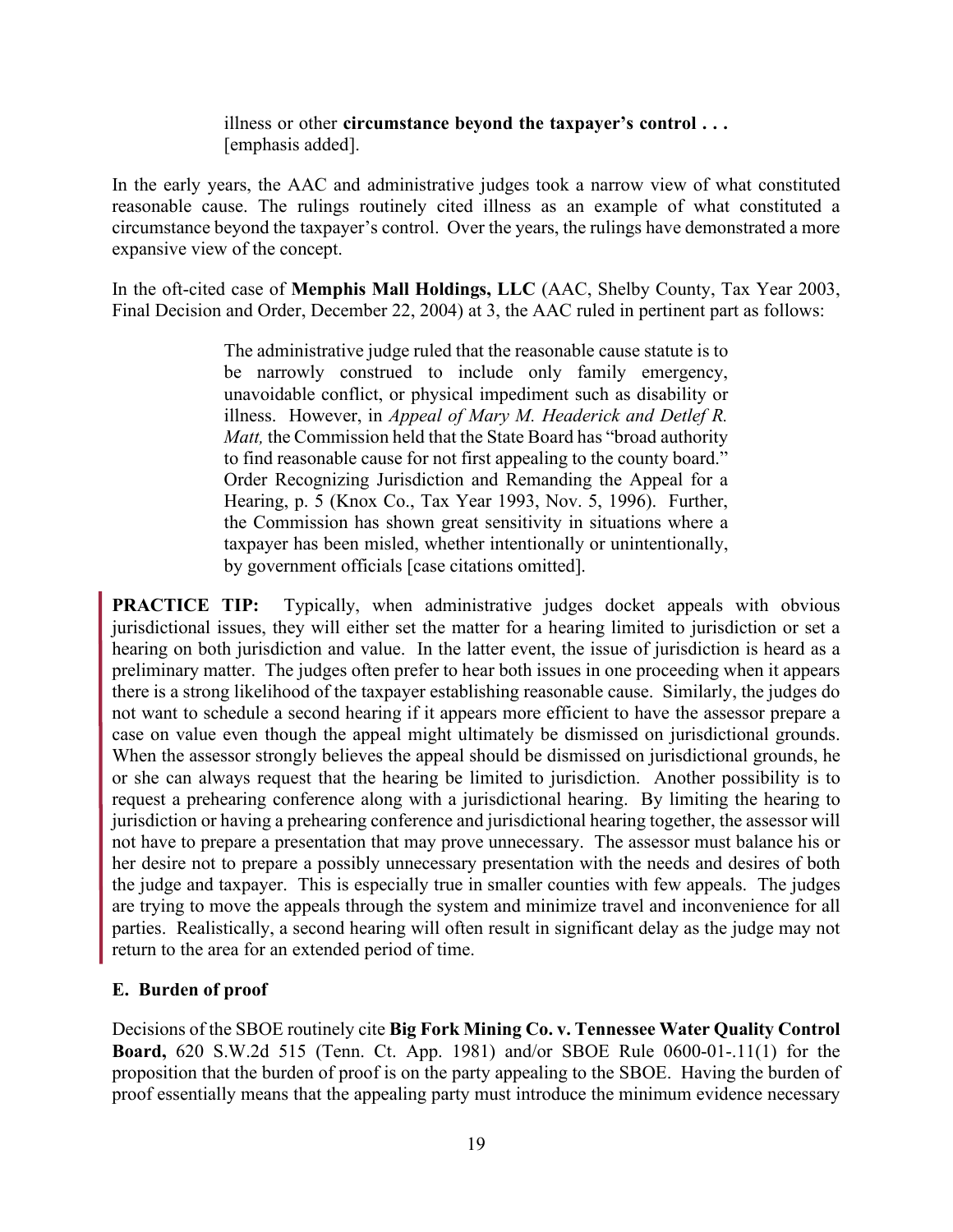illness or other **circumstance beyond the taxpayer's control . . .** [emphasis added].

In the early years, the AAC and administrative judges took a narrow view of what constituted reasonable cause. The rulings routinely cited illness as an example of what constituted a circumstance beyond the taxpayer's control. Over the years, the rulings have demonstrated a more expansive view of the concept.

In the oft-cited case of **[Memphis Mall Holdings, LLC](https://comptroller.tn.gov/content/dam/cot/administration/documents/o-g-c/Memphis-Mall-Holdings-LLC.pdf)** (AAC, Shelby County, Tax Year 2003, Final Decision and Order, December 22, 2004) at 3, the AAC ruled in pertinent part as follows:

> The administrative judge ruled that the reasonable cause statute is to be narrowly construed to include only family emergency, unavoidable conflict, or physical impediment such as disability or illness. However, in *Appeal of Mary M. Headerick and Detlef R. Matt,* the Commission held that the State Board has "broad authority to find reasonable cause for not first appealing to the county board." Order Recognizing Jurisdiction and Remanding the Appeal for a Hearing, p. 5 (Knox Co., Tax Year 1993, Nov. 5, 1996). Further, the Commission has shown great sensitivity in situations where a taxpayer has been misled, whether intentionally or unintentionally, by government officials [case citations omitted].

**PRACTICE TIP:** Typically, when administrative judges docket appeals with obvious jurisdictional issues, they will either set the matter for a hearing limited to jurisdiction or set a hearing on both jurisdiction and value. In the latter event, the issue of jurisdiction is heard as a preliminary matter. The judges often prefer to hear both issues in one proceeding when it appears there is a strong likelihood of the taxpayer establishing reasonable cause. Similarly, the judges do not want to schedule a second hearing if it appears more efficient to have the assessor prepare a case on value even though the appeal might ultimately be dismissed on jurisdictional grounds. When the assessor strongly believes the appeal should be dismissed on jurisdictional grounds, he or she can always request that the hearing be limited to jurisdiction. Another possibility is to request a prehearing conference along with a jurisdictional hearing. By limiting the hearing to jurisdiction or having a prehearing conference and jurisdictional hearing together, the assessor will not have to prepare a presentation that may prove unnecessary. The assessor must balance his or her desire not to prepare a possibly unnecessary presentation with the needs and desires of both the judge and taxpayer. This is especially true in smaller counties with few appeals. The judges are trying to move the appeals through the system and minimize travel and inconvenience for all parties. Realistically, a second hearing will often result in significant delay as the judge may not return to the area for an extended period of time.

## **E. Burden of proof**

Decisions of the SBOE routinely cite **[Big Fork Mining Co. v. Tennessee Water Quality Control](https://comptroller.tn.gov/content/dam/cot/administration/documents/o-g-c/Big-Fork-Mining-Co-v-TN-Water-Quality-Control-Board-C-A-1981.pdf)  Board,** 620 S.W.2d 515 (Tenn. Ct. App. 1981) and/or SBOE Rule 0600-01-.11(1) for the proposition that the burden of proof is on the party appealing to the SBOE. Having the burden of proof essentially means that the appealing party must introduce the minimum evidence necessary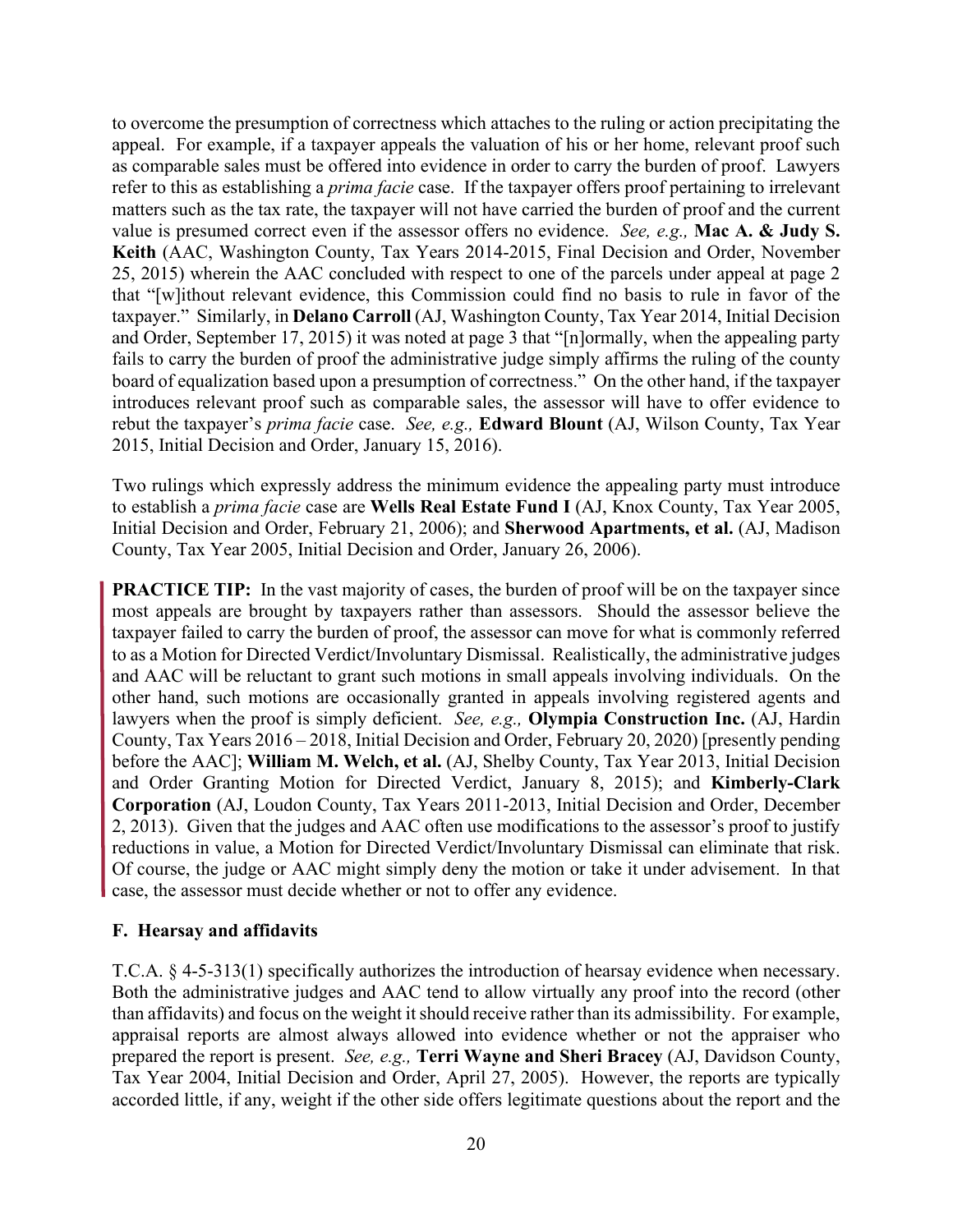to overcome the presumption of correctness which attaches to the ruling or action precipitating the appeal. For example, if a taxpayer appeals the valuation of his or her home, relevant proof such as comparable sales must be offered into evidence in order to carry the burden of proof. Lawyers refer to this as establishing a *prima facie* case. If the taxpayer offers proof pertaining to irrelevant matters such as the tax rate, the taxpayer will not have carried the burden of proof and the current value is presumed correct even if the assessor offers no evidence. *See, e.g.,* **[Mac A. & Judy S.](https://comptroller.tn.gov/content/dam/cot/administration/documents/o-g-c/Mac-A-and-Judy-S-Keith.pdf)  Keith** (AAC, Washington County, Tax Years 2014-2015, Final Decision and Order, November 25, 2015) wherein the AAC concluded with respect to one of the parcels under appeal at page 2 that "[w]ithout relevant evidence, this Commission could find no basis to rule in favor of the taxpayer." Similarly, in **[Delano Carroll](https://comptroller.tn.gov/content/dam/cot/administration/documents/o-g-c/Delano-J-and-Valerie-Woods-Carroll.pdf)** (AJ, Washington County, Tax Year 2014, Initial Decision and Order, September 17, 2015) it was noted at page 3 that "[n]ormally, when the appealing party fails to carry the burden of proof the administrative judge simply affirms the ruling of the county board of equalization based upon a presumption of correctness." On the other hand, if the taxpayer introduces relevant proof such as comparable sales, the assessor will have to offer evidence to rebut the taxpayer's *prima facie* case. *See, e.g.,* **[Edward Blount](https://comptroller.tn.gov/content/dam/cot/administration/documents/o-g-c/Edward-Blount.pdf)** (AJ, Wilson County, Tax Year 2015, Initial Decision and Order, January 15, 2016).

Two rulings which expressly address the minimum evidence the appealing party must introduce to establish a *prima facie* case are **[Wells Real Estate Fund I](https://comptroller.tn.gov/content/dam/cot/administration/documents/o-g-c/Wells-Real-Estate-Fund-I.pdf)** (AJ, Knox County, Tax Year 2005, Initial Decision and Order, February 21, 2006); and **[Sherwood Apartments, et al.](https://comptroller.tn.gov/content/dam/cot/administration/documents/o-g-c/Sherwood-Apartments-et-al.pdf)** (AJ, Madison County, Tax Year 2005, Initial Decision and Order, January 26, 2006).

**PRACTICE TIP:** In the vast majority of cases, the burden of proof will be on the taxpayer since most appeals are brought by taxpayers rather than assessors. Should the assessor believe the taxpayer failed to carry the burden of proof, the assessor can move for what is commonly referred to as a Motion for Directed Verdict/Involuntary Dismissal. Realistically, the administrative judges and AAC will be reluctant to grant such motions in small appeals involving individuals. On the other hand, such motions are occasionally granted in appeals involving registered agents and lawyers when the proof is simply deficient. *See, e.g.,* **[Olympia Construction Inc.](https://comptroller.tn.gov/content/dam/cot/administration/documents/o-g-c/Olympia-Construction.pdf)** (AJ, Hardin County, Tax Years 2016 – 2018, Initial Decision and Order, February 20, 2020) [presently pending before the AAC]; **[William M. Welch, et al.](https://comptroller.tn.gov/content/dam/cot/administration/documents/o-g-c/William-M-Welch-et-al.pdf)** (AJ, Shelby County, Tax Year 2013, Initial Decision and Order Granting Motion for Directed Verdict, January 8, 2015); and **[Kimberly-Clark](https://comptroller.tn.gov/content/dam/cot/administration/documents/o-g-c/Kimberly-Clark-Corporation-2.pdf)  [Corporation](https://comptroller.tn.gov/content/dam/cot/administration/documents/o-g-c/Kimberly-Clark-Corporation-2.pdf)** (AJ, Loudon County, Tax Years 2011-2013, Initial Decision and Order, December 2, 2013). Given that the judges and AAC often use modifications to the assessor's proof to justify reductions in value, a Motion for Directed Verdict/Involuntary Dismissal can eliminate that risk. Of course, the judge or AAC might simply deny the motion or take it under advisement. In that case, the assessor must decide whether or not to offer any evidence.

## **F. Hearsay and affidavits**

T.C.A. § 4-5-313(1) specifically authorizes the introduction of hearsay evidence when necessary. Both the administrative judges and AAC tend to allow virtually any proof into the record (other than affidavits) and focus on the weight it should receive rather than its admissibility. For example, appraisal reports are almost always allowed into evidence whether or not the appraiser who prepared the report is present. *See, e.g.,* **[Terri Wayne and Sheri Bracey](https://comptroller.tn.gov/content/dam/cot/administration/documents/o-g-c/Terri-Wayne-and-Sheri-Bracey.pdf)** (AJ, Davidson County, Tax Year 2004, Initial Decision and Order, April 27, 2005). However, the reports are typically accorded little, if any, weight if the other side offers legitimate questions about the report and the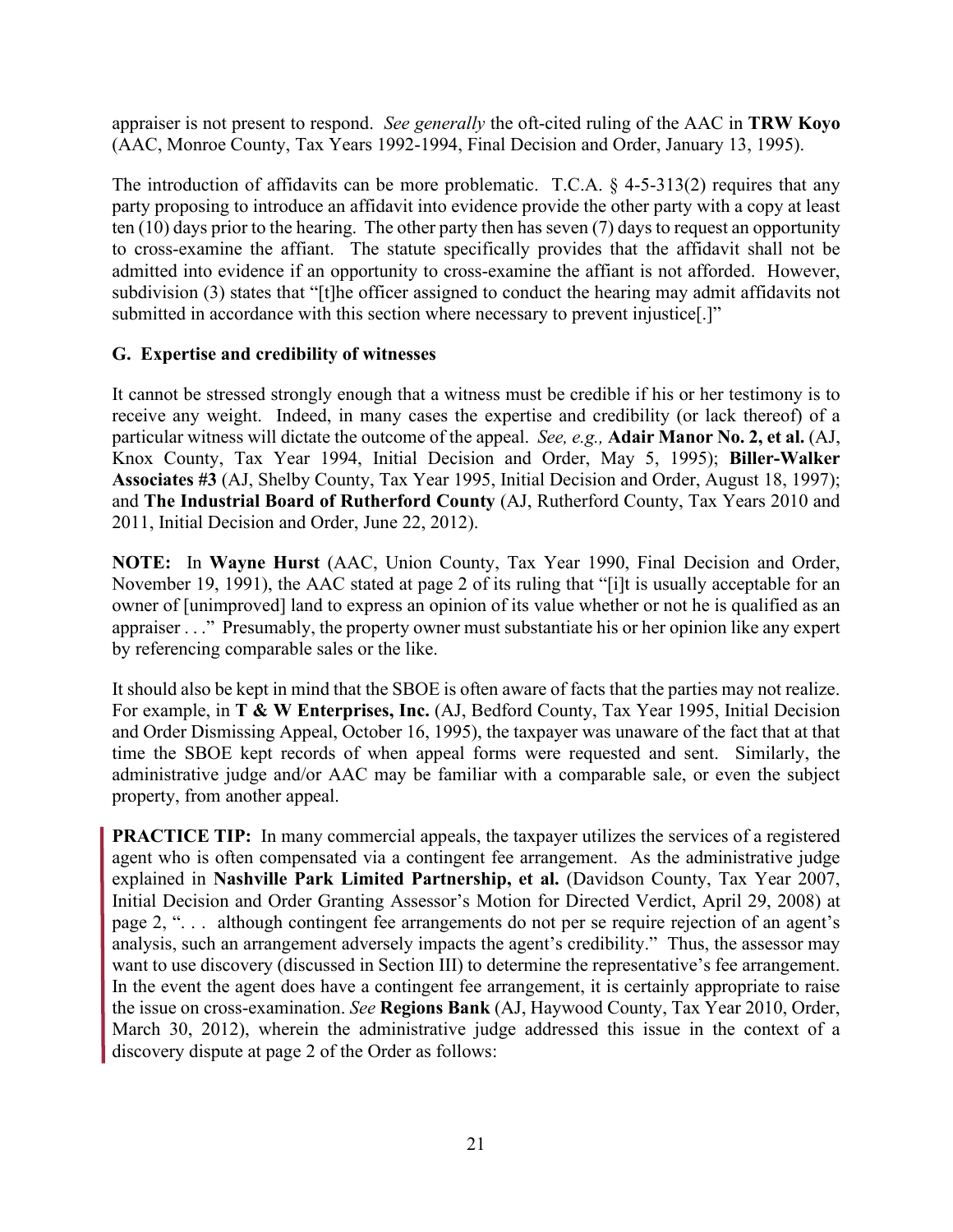appraiser is not present to respond. *See generally* the oft-cited ruling of the AAC in **[TRW Koyo](https://comptroller.tn.gov/content/dam/cot/administration/documents/o-g-c/TRW-Koyo.pdf)**  (AAC, Monroe County, Tax Years 1992-1994, Final Decision and Order, January 13, 1995).

The introduction of affidavits can be more problematic. T.C.A. § 4-5-313(2) requires that any party proposing to introduce an affidavit into evidence provide the other party with a copy at least ten (10) days prior to the hearing. The other party then has seven (7) days to request an opportunity to cross-examine the affiant. The statute specifically provides that the affidavit shall not be admitted into evidence if an opportunity to cross-examine the affiant is not afforded. However, subdivision (3) states that "[t]he officer assigned to conduct the hearing may admit affidavits not submitted in accordance with this section where necessary to prevent injustice[.]"

## **G. Expertise and credibility of witnesses**

It cannot be stressed strongly enough that a witness must be credible if his or her testimony is to receive any weight. Indeed, in many cases the expertise and credibility (or lack thereof) of a particular witness will dictate the outcome of the appeal. *See, e.g.,* **[Adair Manor No. 2, et al.](https://comptroller.tn.gov/content/dam/cot/administration/documents/o-g-c/Adair-Manor-No-2-et-al.pdf)** (AJ, Knox County, Tax Year 1994, Initial Decision and Order, May 5, 1995); **[Biller-Walker](https://comptroller.tn.gov/content/dam/cot/administration/documents/o-g-c/Biller-Walker-Associates-num3.pdf)  [Associates #3](https://comptroller.tn.gov/content/dam/cot/administration/documents/o-g-c/Biller-Walker-Associates-num3.pdf)** (AJ, Shelby County, Tax Year 1995, Initial Decision and Order, August 18, 1997); and **[The Industrial Board of Rutherford County](https://comptroller.tn.gov/content/dam/cot/administration/documents/o-g-c/The-Industrial-Board-of-Rutherford-County.pdf)** (AJ, Rutherford County, Tax Years 2010 and 2011, Initial Decision and Order, June 22, 2012).

**NOTE:** In **[Wayne Hurst](https://comptroller.tn.gov/content/dam/cot/administration/documents/o-g-c/Wayne-Hurst.pdf)** (AAC, Union County, Tax Year 1990, Final Decision and Order, November 19, 1991), the AAC stated at page 2 of its ruling that "[i]t is usually acceptable for an owner of [unimproved] land to express an opinion of its value whether or not he is qualified as an appraiser . . ." Presumably, the property owner must substantiate his or her opinion like any expert by referencing comparable sales or the like.

It should also be kept in mind that the SBOE is often aware of facts that the parties may not realize. For example, in **[T & W Enterprises, Inc.](https://comptroller.tn.gov/content/dam/cot/administration/documents/o-g-c/TandW-Enterprises-Inc.pdf)** (AJ, Bedford County, Tax Year 1995, Initial Decision and Order Dismissing Appeal, October 16, 1995), the taxpayer was unaware of the fact that at that time the SBOE kept records of when appeal forms were requested and sent. Similarly, the administrative judge and/or AAC may be familiar with a comparable sale, or even the subject property, from another appeal.

**PRACTICE TIP:** In many commercial appeals, the taxpayer utilizes the services of a registered agent who is often compensated via a contingent fee arrangement. As the administrative judge explained in **[Nashville Park Limited Partnership, et al.](https://comptroller.tn.gov/content/dam/cot/administration/documents/o-g-c/Nashville-Park-Limited-Partnership-et-al.pdf)** (Davidson County, Tax Year 2007, Initial Decision and Order Granting Assessor's Motion for Directed Verdict, April 29, 2008) at page 2, ". . . although contingent fee arrangements do not per se require rejection of an agent's analysis, such an arrangement adversely impacts the agent's credibility." Thus, the assessor may want to use discovery (discussed in Section III) to determine the representative's fee arrangement. In the event the agent does have a contingent fee arrangement, it is certainly appropriate to raise the issue on cross-examination. *See* **[Regions Bank](https://comptroller.tn.gov/content/dam/cot/administration/documents/o-g-c/Regions-Bank.pdf)** (AJ, Haywood County, Tax Year 2010, Order, March 30, 2012), wherein the administrative judge addressed this issue in the context of a discovery dispute at page 2 of the Order as follows: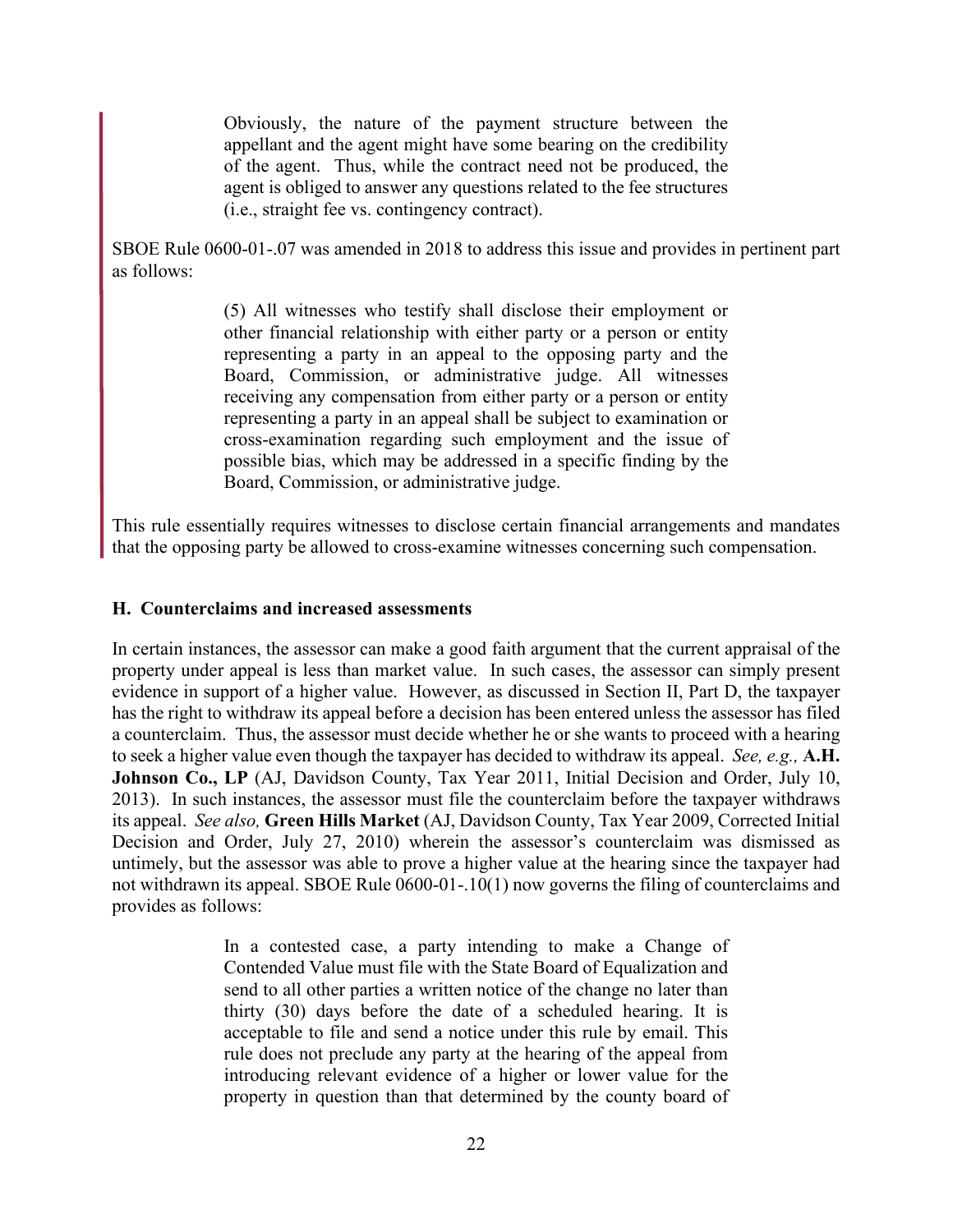Obviously, the nature of the payment structure between the appellant and the agent might have some bearing on the credibility of the agent. Thus, while the contract need not be produced, the agent is obliged to answer any questions related to the fee structures (i.e., straight fee vs. contingency contract).

SBOE Rule 0600-01-.07 was amended in 2018 to address this issue and provides in pertinent part as follows:

> (5) All witnesses who testify shall disclose their employment or other financial relationship with either party or a person or entity representing a party in an appeal to the opposing party and the Board, Commission, or administrative judge. All witnesses receiving any compensation from either party or a person or entity representing a party in an appeal shall be subject to examination or cross-examination regarding such employment and the issue of possible bias, which may be addressed in a specific finding by the Board, Commission, or administrative judge.

This rule essentially requires witnesses to disclose certain financial arrangements and mandates that the opposing party be allowed to cross-examine witnesses concerning such compensation.

#### **H. Counterclaims and increased assessments**

In certain instances, the assessor can make a good faith argument that the current appraisal of the property under appeal is less than market value. In such cases, the assessor can simply present evidence in support of a higher value. However, as discussed in Section II, Part D, the taxpayer has the right to withdraw its appeal before a decision has been entered unless the assessor has filed a counterclaim. Thus, the assessor must decide whether he or she wants to proceed with a hearing to seek a higher value even though the taxpayer has decided to withdraw its appeal. *See, e.g.,* **[A.H.](https://comptroller.tn.gov/content/dam/cot/administration/documents/o-g-c/AH-Johnson-Co-LP.pdf)  [Johnson Co., LP](https://comptroller.tn.gov/content/dam/cot/administration/documents/o-g-c/AH-Johnson-Co-LP.pdf)** (AJ, Davidson County, Tax Year 2011, Initial Decision and Order, July 10, 2013). In such instances, the assessor must file the counterclaim before the taxpayer withdraws its appeal. *See also,* **[Green Hills Market](https://comptroller.tn.gov/content/dam/cot/administration/documents/o-g-c/Green-Hills-Market.pdf)** (AJ, Davidson County, Tax Year 2009, Corrected Initial Decision and Order, July 27, 2010) wherein the assessor's counterclaim was dismissed as untimely, but the assessor was able to prove a higher value at the hearing since the taxpayer had not withdrawn its appeal. SBOE Rule 0600-01-.10(1) now governs the filing of counterclaims and provides as follows:

> In a contested case, a party intending to make a Change of Contended Value must file with the State Board of Equalization and send to all other parties a written notice of the change no later than thirty (30) days before the date of a scheduled hearing. It is acceptable to file and send a notice under this rule by email. This rule does not preclude any party at the hearing of the appeal from introducing relevant evidence of a higher or lower value for the property in question than that determined by the county board of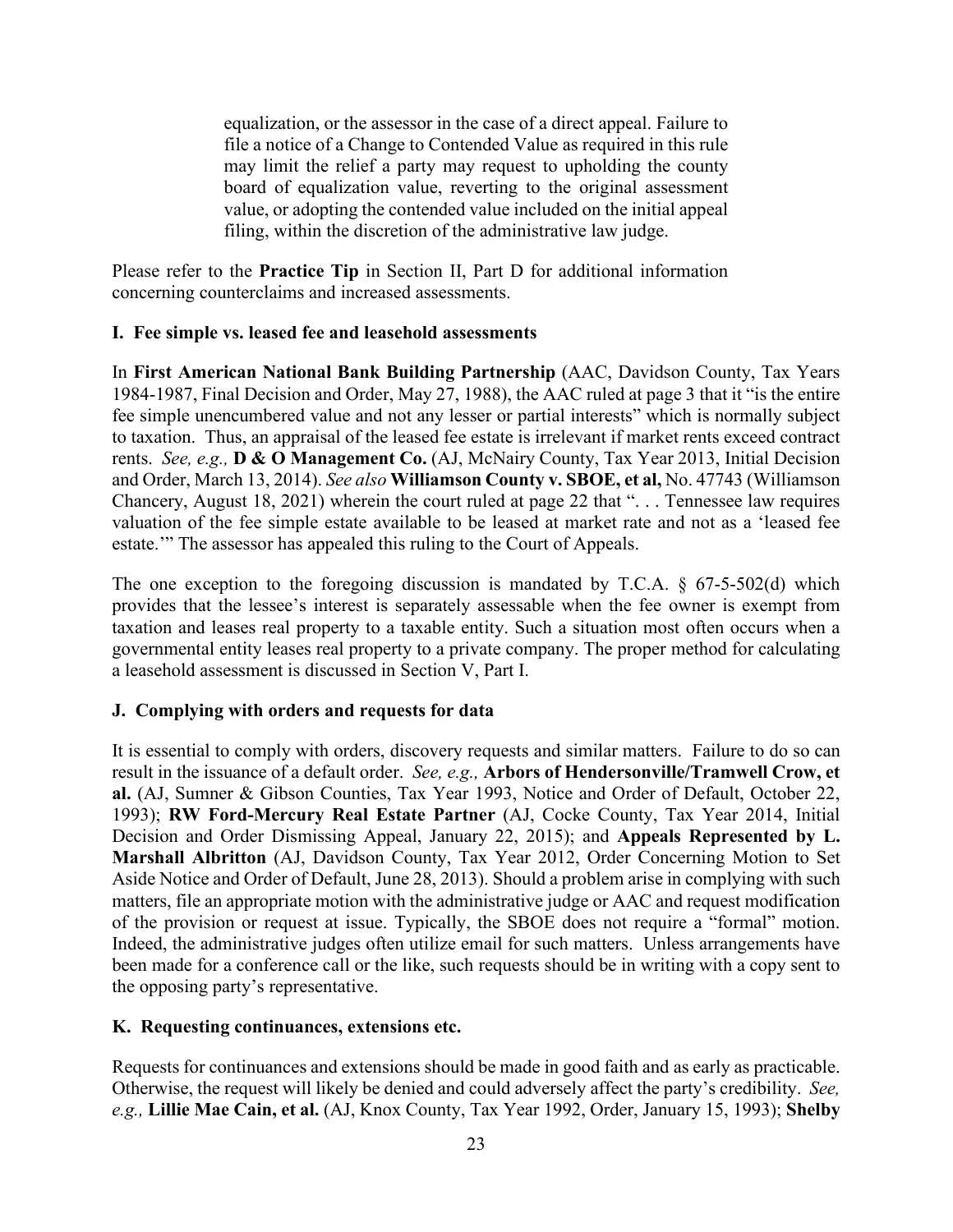equalization, or the assessor in the case of a direct appeal. Failure to file a notice of a Change to Contended Value as required in this rule may limit the relief a party may request to upholding the county board of equalization value, reverting to the original assessment value, or adopting the contended value included on the initial appeal filing, within the discretion of the administrative law judge.

Please refer to the **Practice Tip** in Section II, Part D for additional information concerning counterclaims and increased assessments.

## **I. Fee simple vs. leased fee and leasehold assessments**

In **[First American National Bank Building Partnership](https://comptroller.tn.gov/content/dam/cot/administration/documents/o-g-c/First-American-National-Bank-Bldg-Partnership.pdf)** (AAC, Davidson County, Tax Years 1984-1987, Final Decision and Order, May 27, 1988), the AAC ruled at page 3 that it "is the entire fee simple unencumbered value and not any lesser or partial interests" which is normally subject to taxation. Thus, an appraisal of the leased fee estate is irrelevant if market rents exceed contract rents. *See, e.g.,* **[D & O Management Co.](https://comptroller.tn.gov/content/dam/cot/administration/documents/o-g-c/D-and-O-Management-Co.pdf)** (AJ, McNairy County, Tax Year 2013, Initial Decision and Order, March 13, 2014). *See also* **[Williamson County v. SBOE,](https://comptroller.tn.gov/content/dam/cot/administration/documents/o-g-c/Williamson-Co-v-SBOE-et-al-Williamson-Chancery-2021.pdf) et al,** No. 47743 (Williamson Chancery, August 18, 2021) wherein the court ruled at page 22 that ". . . Tennessee law requires valuation of the fee simple estate available to be leased at market rate and not as a 'leased fee estate.'" The assessor has appealed this ruling to the Court of Appeals.

The one exception to the foregoing discussion is mandated by T.C.A.  $\S$  67-5-502(d) which provides that the lessee's interest is separately assessable when the fee owner is exempt from taxation and leases real property to a taxable entity. Such a situation most often occurs when a governmental entity leases real property to a private company. The proper method for calculating a leasehold assessment is discussed in Section V, Part I.

## **J. Complying with orders and requests for data**

It is essential to comply with orders, discovery requests and similar matters. Failure to do so can result in the issuance of a default order. *See, e.g.,* **[Arbors of Hendersonville/Tramwell Crow, et](https://comptroller.tn.gov/content/dam/cot/administration/documents/o-g-c/Arbors-of-Hendersonville-Tramwell-Crow-et-al.pdf)  al.** (AJ, Sumner & Gibson Counties, Tax Year 1993, Notice and Order of Default, October 22, 1993); **[RW Ford-Mercury Real Estate Partner](https://comptroller.tn.gov/content/dam/cot/administration/documents/o-g-c/RW-Ford-Mercury-Real-Estate-Partner.pdf)** (AJ, Cocke County, Tax Year 2014, Initial Decision and Order Dismissing Appeal, January 22, 2015); and **[Appeals Represented by L.](https://comptroller.tn.gov/content/dam/cot/administration/documents/o-g-c/Appeals-Represented-by-L-Marshall-Albritton.pdf)  [Marshall Albritton](https://comptroller.tn.gov/content/dam/cot/administration/documents/o-g-c/Appeals-Represented-by-L-Marshall-Albritton.pdf)** (AJ, Davidson County, Tax Year 2012, Order Concerning Motion to Set Aside Notice and Order of Default, June 28, 2013). Should a problem arise in complying with such matters, file an appropriate motion with the administrative judge or AAC and request modification of the provision or request at issue. Typically, the SBOE does not require a "formal" motion. Indeed, the administrative judges often utilize email for such matters. Unless arrangements have been made for a conference call or the like, such requests should be in writing with a copy sent to the opposing party's representative.

## **K. Requesting continuances, extensions etc.**

Requests for continuances and extensions should be made in good faith and as early as practicable. Otherwise, the request will likely be denied and could adversely affect the party's credibility. *See, e.g.,* **[Lillie Mae Cain, et al.](https://comptroller.tn.gov/content/dam/cot/administration/documents/o-g-c/Lillie-Mae-Cain-et-al.pdf)** (AJ, Knox County, Tax Year 1992, Order, January 15, 1993); **[Shelby](https://comptroller.tn.gov/content/dam/cot/administration/documents/o-g-c/Shelby-Co-Real-and-Personal-Property-Caruthers.pdf)**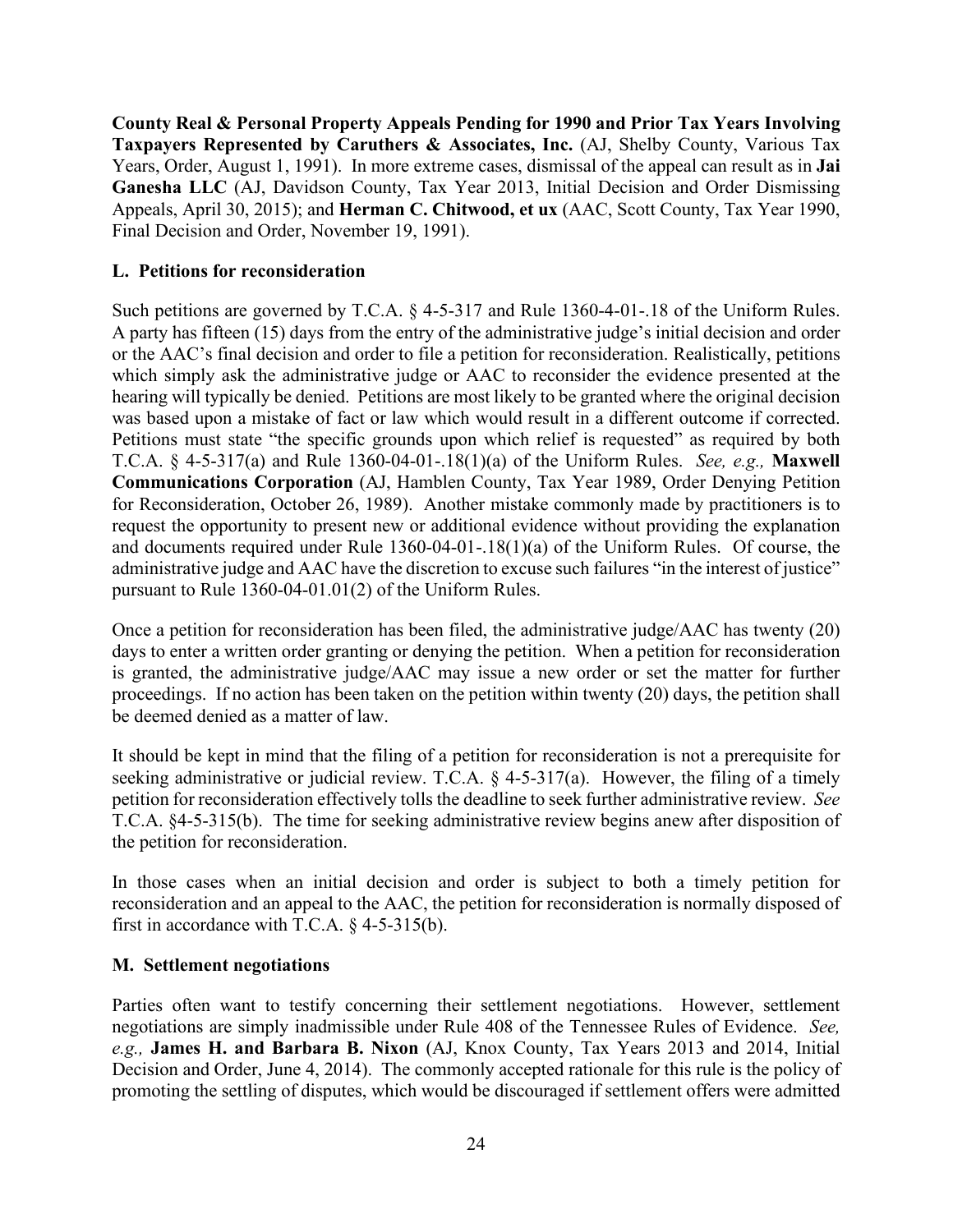**[County Real & Personal Property Appeals Pending for 1990 and Prior Tax Years Involving](https://comptroller.tn.gov/content/dam/cot/administration/documents/o-g-c/Shelby-Co-Real-and-Personal-Property-Caruthers.pdf)  Taxpayers Represented by Caruthers & Associates, Inc.** (AJ, Shelby County, Various Tax Years, Order, August 1, 1991). In more extreme cases, dismissal of the appeal can result as in **[Jai](https://comptroller.tn.gov/content/dam/cot/administration/documents/o-g-c/Jai-Ganesha-LLC.pdf)  [Ganesha LLC](https://comptroller.tn.gov/content/dam/cot/administration/documents/o-g-c/Jai-Ganesha-LLC.pdf)** (AJ, Davidson County, Tax Year 2013, Initial Decision and Order Dismissing Appeals, April 30, 2015); and **[Herman C. Chitwood, et ux](https://comptroller.tn.gov/content/dam/cot/administration/documents/o-g-c/Herman-C-Chitwood-et-ux.pdf)** (AAC, Scott County, Tax Year 1990, Final Decision and Order, November 19, 1991).

## **L. Petitions for reconsideration**

Such petitions are governed by T.C.A. § 4-5-317 and Rule 1360-4-01-.18 of the Uniform Rules. A party has fifteen (15) days from the entry of the administrative judge's initial decision and order or the AAC's final decision and order to file a petition for reconsideration. Realistically, petitions which simply ask the administrative judge or AAC to reconsider the evidence presented at the hearing will typically be denied. Petitions are most likely to be granted where the original decision was based upon a mistake of fact or law which would result in a different outcome if corrected. Petitions must state "the specific grounds upon which relief is requested" as required by both T.C.A. § 4-5-317(a) and Rule 1360-04-01-.18(1)(a) of the Uniform Rules. *See, e.g.,* **[Maxwell](https://comptroller.tn.gov/content/dam/cot/administration/documents/o-g-c/Maxwell-Communication-Corporation.pdf)  [Communications Corporation](https://comptroller.tn.gov/content/dam/cot/administration/documents/o-g-c/Maxwell-Communication-Corporation.pdf)** (AJ, Hamblen County, Tax Year 1989, Order Denying Petition for Reconsideration, October 26, 1989). Another mistake commonly made by practitioners is to request the opportunity to present new or additional evidence without providing the explanation and documents required under Rule 1360-04-01-.18(1)(a) of the Uniform Rules. Of course, the administrative judge and AAC have the discretion to excuse such failures "in the interest of justice" pursuant to Rule 1360-04-01.01(2) of the Uniform Rules.

Once a petition for reconsideration has been filed, the administrative judge/AAC has twenty (20) days to enter a written order granting or denying the petition. When a petition for reconsideration is granted, the administrative judge/AAC may issue a new order or set the matter for further proceedings. If no action has been taken on the petition within twenty (20) days, the petition shall be deemed denied as a matter of law.

It should be kept in mind that the filing of a petition for reconsideration is not a prerequisite for seeking administrative or judicial review. T.C.A. § 4-5-317(a). However, the filing of a timely petition for reconsideration effectively tolls the deadline to seek further administrative review. *See*  T.C.A. §4-5-315(b). The time for seeking administrative review begins anew after disposition of the petition for reconsideration.

In those cases when an initial decision and order is subject to both a timely petition for reconsideration and an appeal to the AAC, the petition for reconsideration is normally disposed of first in accordance with T.C.A.  $\S$  4-5-315(b).

## **M. Settlement negotiations**

Parties often want to testify concerning their settlement negotiations. However, settlement negotiations are simply inadmissible under Rule 408 of the Tennessee Rules of Evidence. *See, e.g.,* **[James H. and Barbara B. Nixon](https://comptroller.tn.gov/content/dam/cot/administration/documents/o-g-c/James-H-and-Barbara-B-Nixon.pdf)** (AJ, Knox County, Tax Years 2013 and 2014, Initial Decision and Order, June 4, 2014). The commonly accepted rationale for this rule is the policy of promoting the settling of disputes, which would be discouraged if settlement offers were admitted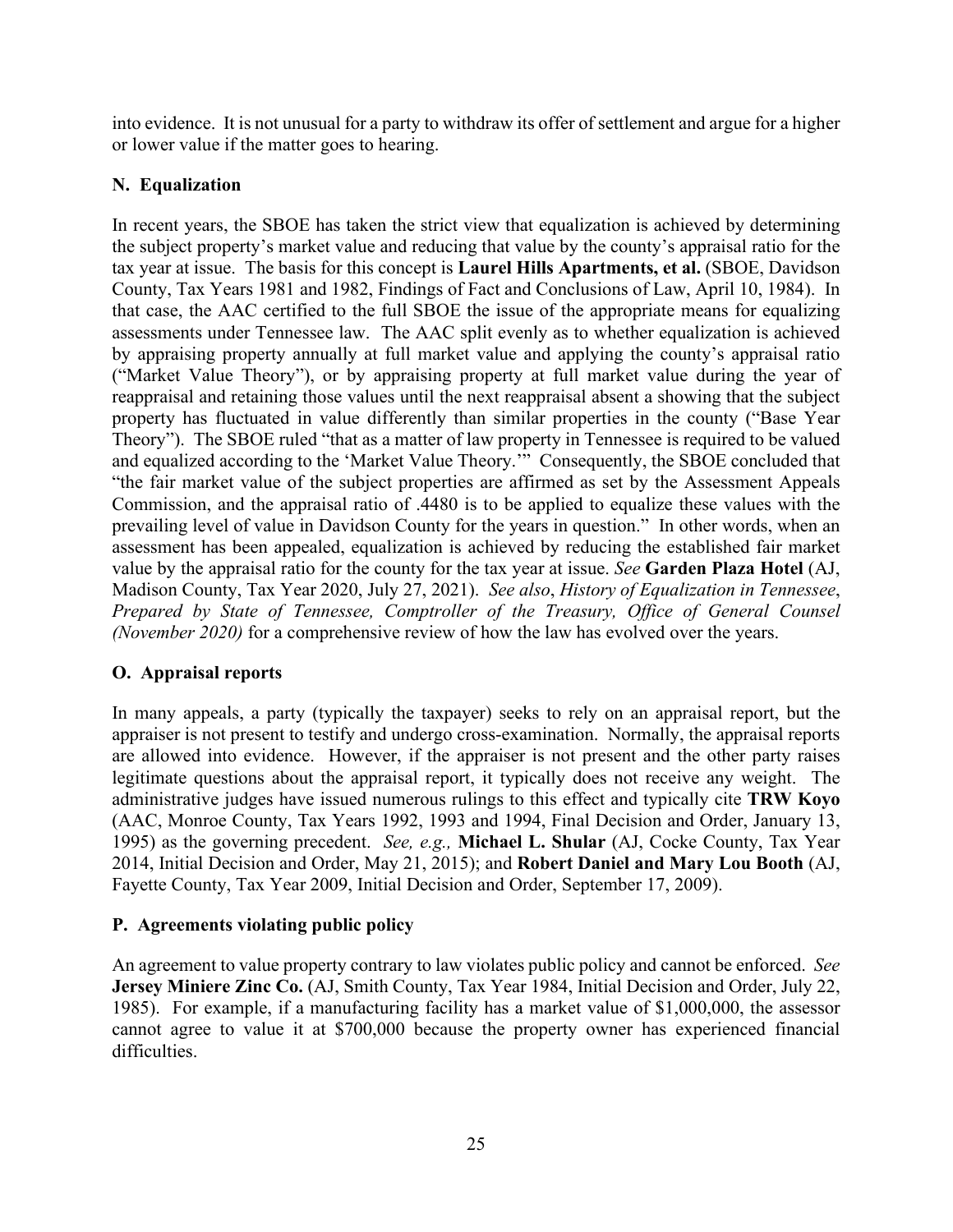into evidence. It is not unusual for a party to withdraw its offer of settlement and argue for a higher or lower value if the matter goes to hearing.

## **N. Equalization**

In recent years, the SBOE has taken the strict view that equalization is achieved by determining the subject property's market value and reducing that value by the county's appraisal ratio for the tax year at issue. The basis for this concept is **[Laurel Hills Apartments, et al.](https://comptroller.tn.gov/content/dam/cot/administration/documents/o-g-c/Laurel-Hills-Apartments-et-al.pdf)** (SBOE, Davidson County, Tax Years 1981 and 1982, Findings of Fact and Conclusions of Law, April 10, 1984). In that case, the AAC certified to the full SBOE the issue of the appropriate means for equalizing assessments under Tennessee law. The AAC split evenly as to whether equalization is achieved by appraising property annually at full market value and applying the county's appraisal ratio ("Market Value Theory"), or by appraising property at full market value during the year of reappraisal and retaining those values until the next reappraisal absent a showing that the subject property has fluctuated in value differently than similar properties in the county ("Base Year Theory"). The SBOE ruled "that as a matter of law property in Tennessee is required to be valued and equalized according to the 'Market Value Theory.'" Consequently, the SBOE concluded that "the fair market value of the subject properties are affirmed as set by the Assessment Appeals Commission, and the appraisal ratio of .4480 is to be applied to equalize these values with the prevailing level of value in Davidson County for the years in question." In other words, when an assessment has been appealed, equalization is achieved by reducing the established fair market value by the appraisal ratio for the county for the tax year at issue. *See* **[Garden Plaza Hotel](https://comptroller.tn.gov/content/dam/cot/administration/documents/o-g-c/Garden-Plaza-Hotel.pdf)** (AJ, Madison County, Tax Year 2020, July 27, 2021). *See also*, *[History of Equalization in Tennessee](https://comptroller.tn.gov/content/dam/cot/administration/documents/o-g-c/HISTORY-OF-EQUALIZATION-IN-TENNESSEE-FINAL-DRAFT-NOVEMBER-6-2020.pdf)*, *Prepared by State of Tennessee, Comptroller of the Treasury, Office of General Counsel (November 2020)* for a comprehensive review of how the law has evolved over the years.

## **O. Appraisal reports**

In many appeals, a party (typically the taxpayer) seeks to rely on an appraisal report, but the appraiser is not present to testify and undergo cross-examination. Normally, the appraisal reports are allowed into evidence. However, if the appraiser is not present and the other party raises legitimate questions about the appraisal report, it typically does not receive any weight. The administrative judges have issued numerous rulings to this effect and typically cite **[TRW Koyo](https://comptroller.tn.gov/content/dam/cot/administration/documents/o-g-c/TRW-Koyo.pdf)**  (AAC, Monroe County, Tax Years 1992, 1993 and 1994, Final Decision and Order, January 13, 1995) as the governing precedent. *See, e.g.,* **[Michael L. Shular](https://comptroller.tn.gov/content/dam/cot/administration/documents/o-g-c/Michael-L-Shular.pdf)** (AJ, Cocke County, Tax Year 2014, Initial Decision and Order, May 21, 2015); and **[Robert Daniel and Mary Lou Booth](https://comptroller.tn.gov/content/dam/cot/administration/documents/o-g-c/Robert-Daniel-and-Mary-Lou-Booth.pdf)** (AJ, Fayette County, Tax Year 2009, Initial Decision and Order, September 17, 2009).

## **P. Agreements violating public policy**

An agreement to value property contrary to law violates public policy and cannot be enforced. *See*  [Jersey Miniere Zinc Co.](https://comptroller.tn.gov/content/dam/cot/administration/documents/o-g-c/Jersey-Miniere-Zinc-Co.pdf) (AJ, Smith County, Tax Year 1984, Initial Decision and Order, July 22, 1985). For example, if a manufacturing facility has a market value of \$1,000,000, the assessor cannot agree to value it at \$700,000 because the property owner has experienced financial difficulties.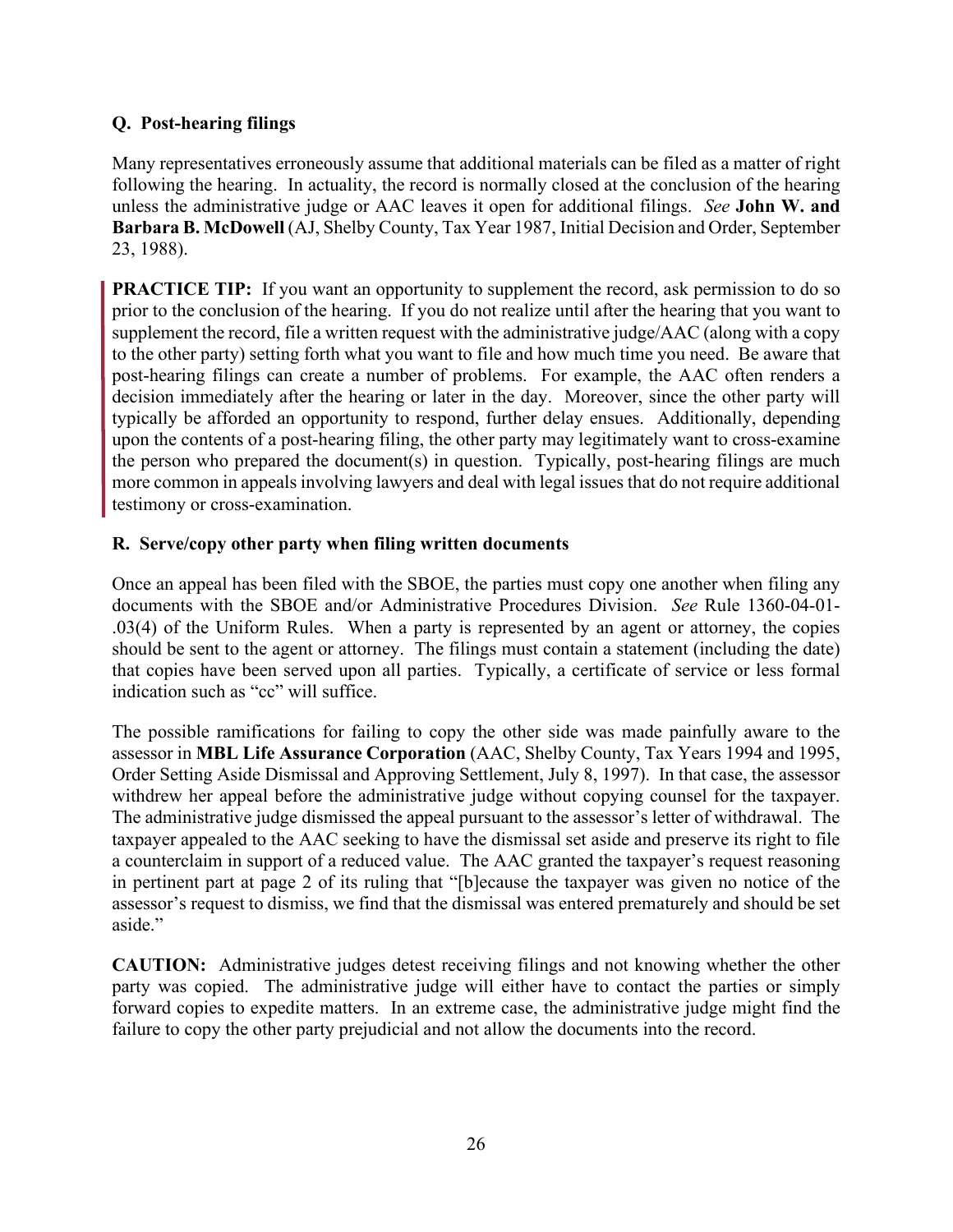## **Q. Post-hearing filings**

Many representatives erroneously assume that additional materials can be filed as a matter of right following the hearing. In actuality, the record is normally closed at the conclusion of the hearing unless the administrative judge or AAC leaves it open for additional filings. *See* **[John W. and](https://comptroller.tn.gov/content/dam/cot/administration/documents/o-g-c/John-W-and-Barbara-B-McDowell.pdf)  [Barbara B. McDowell](https://comptroller.tn.gov/content/dam/cot/administration/documents/o-g-c/John-W-and-Barbara-B-McDowell.pdf)** (AJ, Shelby County, Tax Year 1987, Initial Decision and Order, September 23, 1988).

**PRACTICE TIP:** If you want an opportunity to supplement the record, ask permission to do so prior to the conclusion of the hearing. If you do not realize until after the hearing that you want to supplement the record, file a written request with the administrative judge/AAC (along with a copy to the other party) setting forth what you want to file and how much time you need. Be aware that post-hearing filings can create a number of problems. For example, the AAC often renders a decision immediately after the hearing or later in the day. Moreover, since the other party will typically be afforded an opportunity to respond, further delay ensues. Additionally, depending upon the contents of a post-hearing filing, the other party may legitimately want to cross-examine the person who prepared the document(s) in question. Typically, post-hearing filings are much more common in appeals involving lawyers and deal with legal issues that do not require additional testimony or cross-examination.

## **R. Serve/copy other party when filing written documents**

Once an appeal has been filed with the SBOE, the parties must copy one another when filing any documents with the SBOE and/or Administrative Procedures Division. *See* Rule 1360-04-01- .03(4) of the Uniform Rules. When a party is represented by an agent or attorney, the copies should be sent to the agent or attorney. The filings must contain a statement (including the date) that copies have been served upon all parties. Typically, a certificate of service or less formal indication such as "cc" will suffice.

The possible ramifications for failing to copy the other side was made painfully aware to the assessor in **[MBL Life Assurance Corporation](https://comptroller.tn.gov/content/dam/cot/administration/documents/o-g-c/MBL-Life-Assurance-Corporation-2.pdf)** (AAC, Shelby County, Tax Years 1994 and 1995, Order Setting Aside Dismissal and Approving Settlement, July 8, 1997). In that case, the assessor withdrew her appeal before the administrative judge without copying counsel for the taxpayer. The administrative judge dismissed the appeal pursuant to the assessor's letter of withdrawal. The taxpayer appealed to the AAC seeking to have the dismissal set aside and preserve its right to file a counterclaim in support of a reduced value. The AAC granted the taxpayer's request reasoning in pertinent part at page 2 of its ruling that "[b]ecause the taxpayer was given no notice of the assessor's request to dismiss, we find that the dismissal was entered prematurely and should be set aside."

**CAUTION:** Administrative judges detest receiving filings and not knowing whether the other party was copied. The administrative judge will either have to contact the parties or simply forward copies to expedite matters. In an extreme case, the administrative judge might find the failure to copy the other party prejudicial and not allow the documents into the record.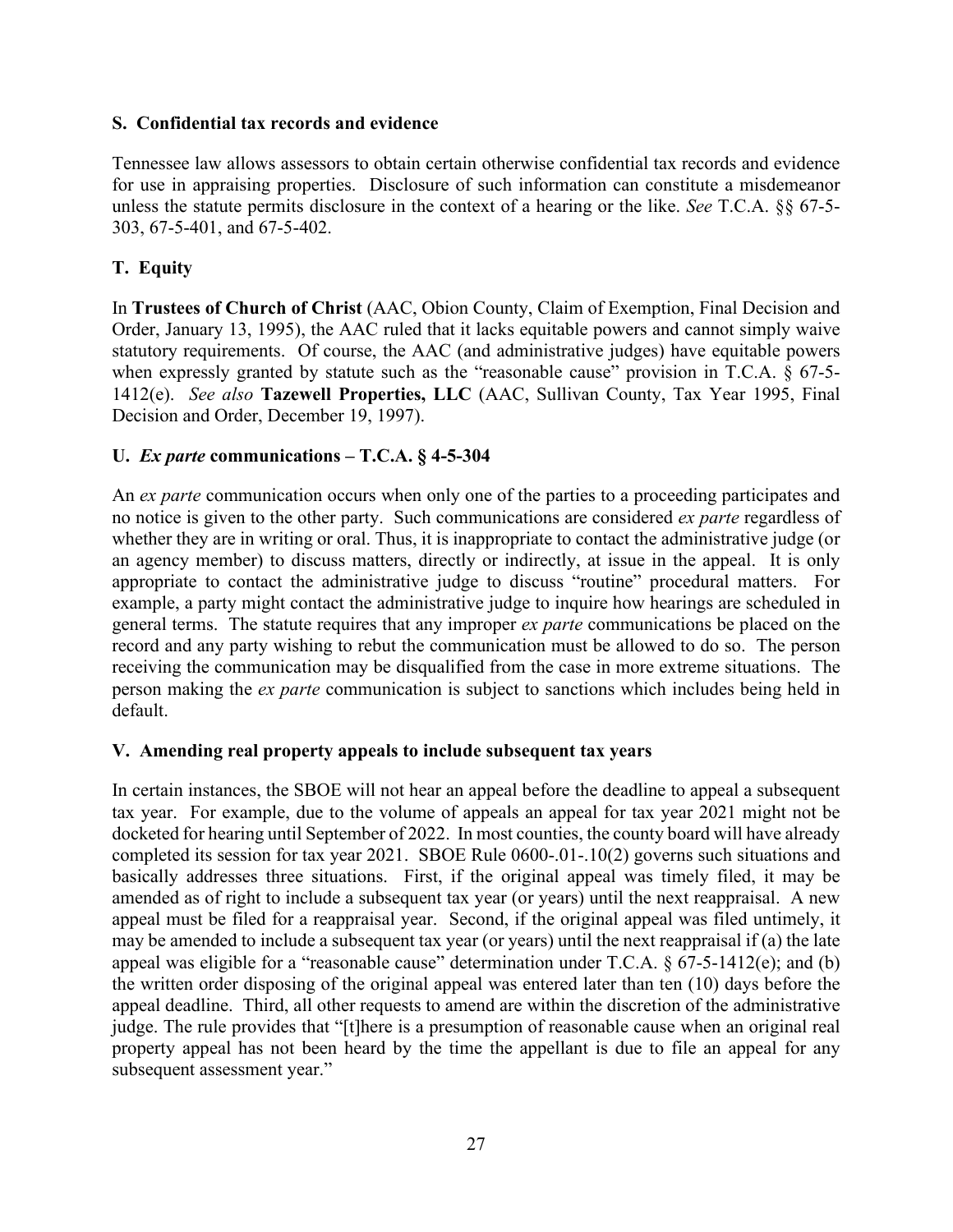## **S. Confidential tax records and evidence**

Tennessee law allows assessors to obtain certain otherwise confidential tax records and evidence for use in appraising properties. Disclosure of such information can constitute a misdemeanor unless the statute permits disclosure in the context of a hearing or the like. *See* T.C.A. §§ 67-5- 303, 67-5-401, and 67-5-402.

## **T. Equity**

In **[Trustees of Church of Christ](https://comptroller.tn.gov/content/dam/cot/administration/documents/o-g-c/Trustees-Church-of-Christ.pdf)** (AAC, Obion County, Claim of Exemption, Final Decision and Order, January 13, 1995), the AAC ruled that it lacks equitable powers and cannot simply waive statutory requirements. Of course, the AAC (and administrative judges) have equitable powers when expressly granted by statute such as the "reasonable cause" provision in T.C.A. § 67-5-1412(e). *See also* **[Tazewell Properties, LLC](https://comptroller.tn.gov/content/dam/cot/administration/documents/o-g-c/Tazewell-Properties-LLC.pdf)** (AAC, Sullivan County, Tax Year 1995, Final Decision and Order, December 19, 1997).

## **U.** *Ex parte* **communications – T.C.A. § 4-5-304**

An *ex parte* communication occurs when only one of the parties to a proceeding participates and no notice is given to the other party. Such communications are considered *ex parte* regardless of whether they are in writing or oral. Thus, it is inappropriate to contact the administrative judge (or an agency member) to discuss matters, directly or indirectly, at issue in the appeal. It is only appropriate to contact the administrative judge to discuss "routine" procedural matters. For example, a party might contact the administrative judge to inquire how hearings are scheduled in general terms. The statute requires that any improper *ex parte* communications be placed on the record and any party wishing to rebut the communication must be allowed to do so. The person receiving the communication may be disqualified from the case in more extreme situations. The person making the *ex parte* communication is subject to sanctions which includes being held in default.

## **V. Amending real property appeals to include subsequent tax years**

In certain instances, the SBOE will not hear an appeal before the deadline to appeal a subsequent tax year. For example, due to the volume of appeals an appeal for tax year 2021 might not be docketed for hearing until September of 2022. In most counties, the county board will have already completed its session for tax year 2021. SBOE Rule 0600-.01-.10(2) governs such situations and basically addresses three situations. First, if the original appeal was timely filed, it may be amended as of right to include a subsequent tax year (or years) until the next reappraisal. A new appeal must be filed for a reappraisal year. Second, if the original appeal was filed untimely, it may be amended to include a subsequent tax year (or years) until the next reappraisal if (a) the late appeal was eligible for a "reasonable cause" determination under T.C.A. § 67-5-1412(e); and (b) the written order disposing of the original appeal was entered later than ten (10) days before the appeal deadline. Third, all other requests to amend are within the discretion of the administrative judge. The rule provides that "[t]here is a presumption of reasonable cause when an original real property appeal has not been heard by the time the appellant is due to file an appeal for any subsequent assessment year."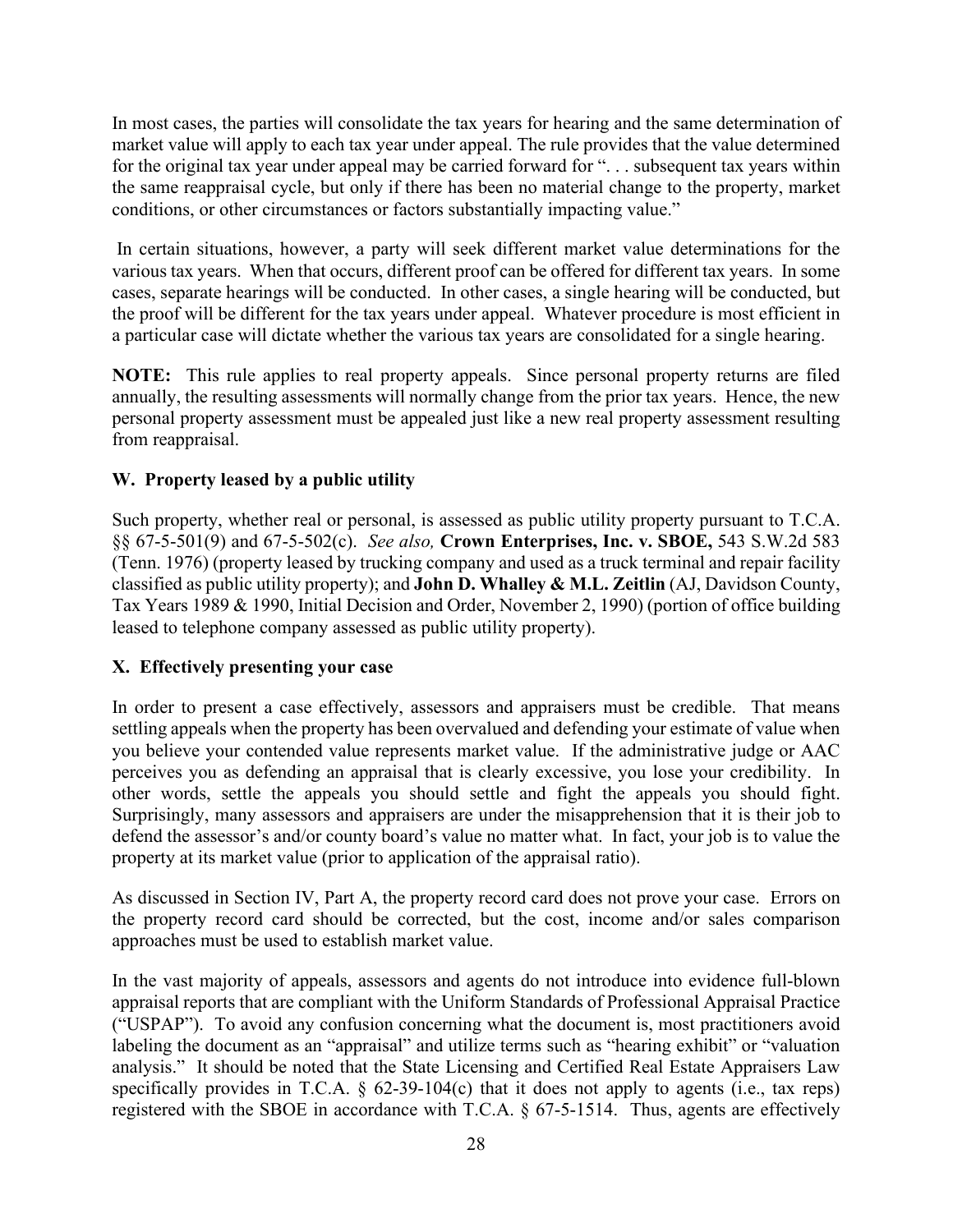In most cases, the parties will consolidate the tax years for hearing and the same determination of market value will apply to each tax year under appeal. The rule provides that the value determined for the original tax year under appeal may be carried forward for "... subsequent tax years within the same reappraisal cycle, but only if there has been no material change to the property, market conditions, or other circumstances or factors substantially impacting value."

In certain situations, however, a party will seek different market value determinations for the various tax years. When that occurs, different proof can be offered for different tax years. In some cases, separate hearings will be conducted. In other cases, a single hearing will be conducted, but the proof will be different for the tax years under appeal. Whatever procedure is most efficient in a particular case will dictate whether the various tax years are consolidated for a single hearing.

**NOTE:** This rule applies to real property appeals. Since personal property returns are filed annually, the resulting assessments will normally change from the prior tax years. Hence, the new personal property assessment must be appealed just like a new real property assessment resulting from reappraisal.

## **W. Property leased by a public utility**

Such property, whether real or personal, is assessed as public utility property pursuant to T.C.A. §§ 67-5-501(9) and 67-5-502(c). *See also,* **[Crown Enterprises, Inc. v. SBOE,](https://comptroller.tn.gov/content/dam/cot/administration/documents/o-g-c/Crown-Enterprises-v-SBOE-Sup-Ct-1976.pdf)** 543 S.W.2d 583 (Tenn. 1976) (property leased by trucking company and used as a truck terminal and repair facility classified as public utility property); and **[John D. Whalley & M.L. Zeitlin](https://comptroller.tn.gov/content/dam/cot/administration/documents/o-g-c/John-D-Whalley-and-ML-Zeitlin-2.pdf)** (AJ, Davidson County, Tax Years 1989 & 1990, Initial Decision and Order, November 2, 1990) (portion of office building leased to telephone company assessed as public utility property).

## **X. Effectively presenting your case**

In order to present a case effectively, assessors and appraisers must be credible. That means settling appeals when the property has been overvalued and defending your estimate of value when you believe your contended value represents market value. If the administrative judge or AAC perceives you as defending an appraisal that is clearly excessive, you lose your credibility. In other words, settle the appeals you should settle and fight the appeals you should fight. Surprisingly, many assessors and appraisers are under the misapprehension that it is their job to defend the assessor's and/or county board's value no matter what. In fact, your job is to value the property at its market value (prior to application of the appraisal ratio).

As discussed in Section IV, Part A, the property record card does not prove your case. Errors on the property record card should be corrected, but the cost, income and/or sales comparison approaches must be used to establish market value.

In the vast majority of appeals, assessors and agents do not introduce into evidence full-blown appraisal reports that are compliant with the Uniform Standards of Professional Appraisal Practice ("USPAP"). To avoid any confusion concerning what the document is, most practitioners avoid labeling the document as an "appraisal" and utilize terms such as "hearing exhibit" or "valuation analysis." It should be noted that the State Licensing and Certified Real Estate Appraisers Law specifically provides in T.C.A. § 62-39-104(c) that it does not apply to agents (i.e., tax reps) registered with the SBOE in accordance with T.C.A. § 67-5-1514. Thus, agents are effectively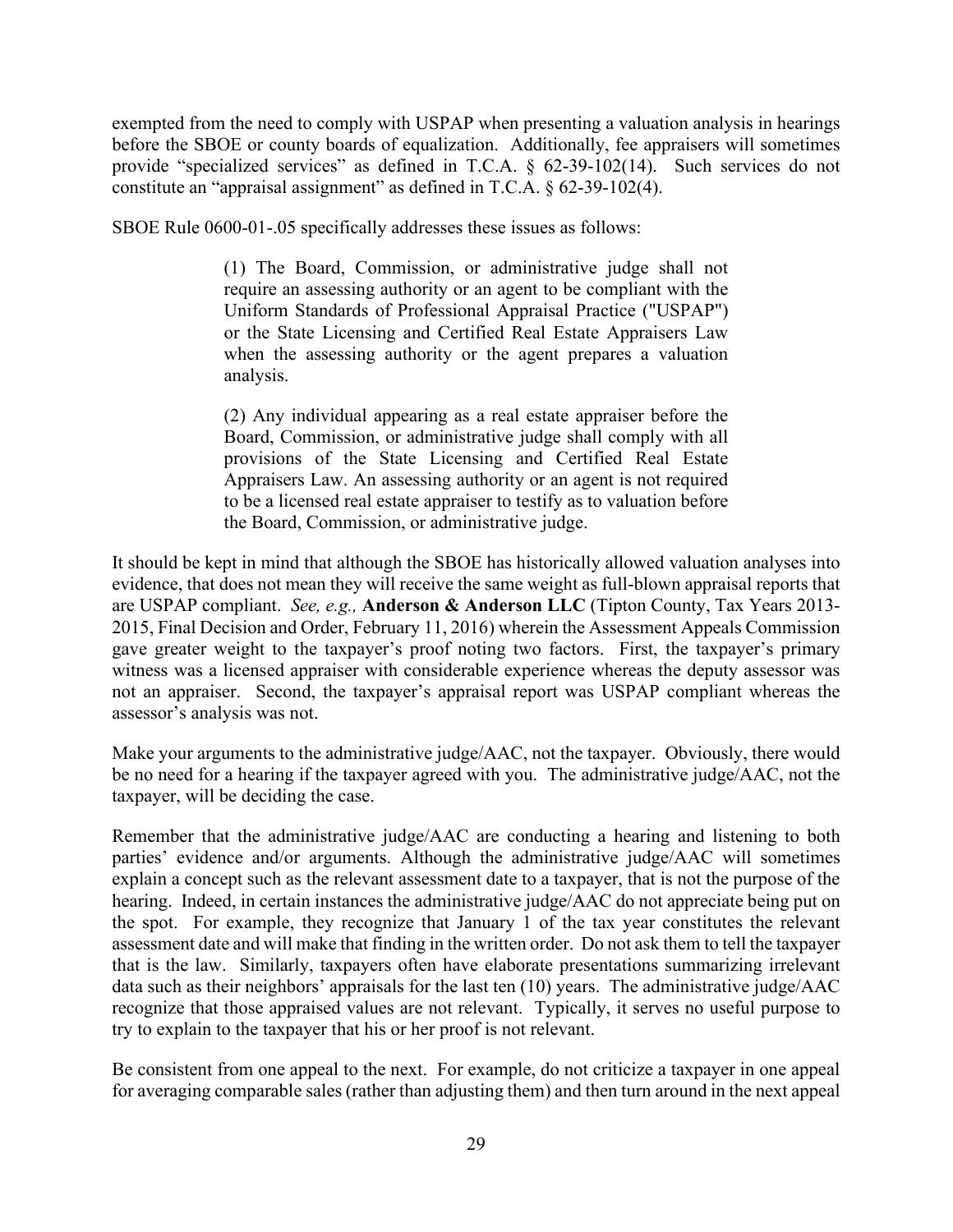exempted from the need to comply with USPAP when presenting a valuation analysis in hearings before the SBOE or county boards of equalization. Additionally, fee appraisers will sometimes provide "specialized services" as defined in T.C.A. § 62-39-102(14). Such services do not constitute an "appraisal assignment" as defined in T.C.A. § 62-39-102(4).

SBOE Rule 0600-01-.05 specifically addresses these issues as follows:

(1) The Board, Commission, or administrative judge shall not require an assessing authority or an agent to be compliant with the Uniform Standards of Professional Appraisal Practice ("USPAP") or the State Licensing and Certified Real Estate Appraisers Law when the assessing authority or the agent prepares a valuation analysis.

(2) Any individual appearing as a real estate appraiser before the Board, Commission, or administrative judge shall comply with all provisions of the State Licensing and Certified Real Estate Appraisers Law. An assessing authority or an agent is not required to be a licensed real estate appraiser to testify as to valuation before the Board, Commission, or administrative judge.

It should be kept in mind that although the SBOE has historically allowed valuation analyses into evidence, that does not mean they will receive the same weight as full-blown appraisal reports that are USPAP compliant. *See, e.g.,* **[Anderson & Anderson LLC](https://comptroller.tn.gov/content/dam/cot/administration/documents/o-g-c/Anderson-and-Anderson-LLC.pdf)** (Tipton County, Tax Years 2013- 2015, Final Decision and Order, February 11, 2016) wherein the Assessment Appeals Commission gave greater weight to the taxpayer's proof noting two factors. First, the taxpayer's primary witness was a licensed appraiser with considerable experience whereas the deputy assessor was not an appraiser. Second, the taxpayer's appraisal report was USPAP compliant whereas the assessor's analysis was not.

Make your arguments to the administrative judge/AAC, not the taxpayer. Obviously, there would be no need for a hearing if the taxpayer agreed with you. The administrative judge/AAC, not the taxpayer, will be deciding the case.

Remember that the administrative judge/AAC are conducting a hearing and listening to both parties' evidence and/or arguments. Although the administrative judge/AAC will sometimes explain a concept such as the relevant assessment date to a taxpayer, that is not the purpose of the hearing. Indeed, in certain instances the administrative judge/AAC do not appreciate being put on the spot. For example, they recognize that January 1 of the tax year constitutes the relevant assessment date and will make that finding in the written order. Do not ask them to tell the taxpayer that is the law. Similarly, taxpayers often have elaborate presentations summarizing irrelevant data such as their neighbors' appraisals for the last ten (10) years. The administrative judge/AAC recognize that those appraised values are not relevant. Typically, it serves no useful purpose to try to explain to the taxpayer that his or her proof is not relevant.

Be consistent from one appeal to the next. For example, do not criticize a taxpayer in one appeal for averaging comparable sales (rather than adjusting them) and then turn around in the next appeal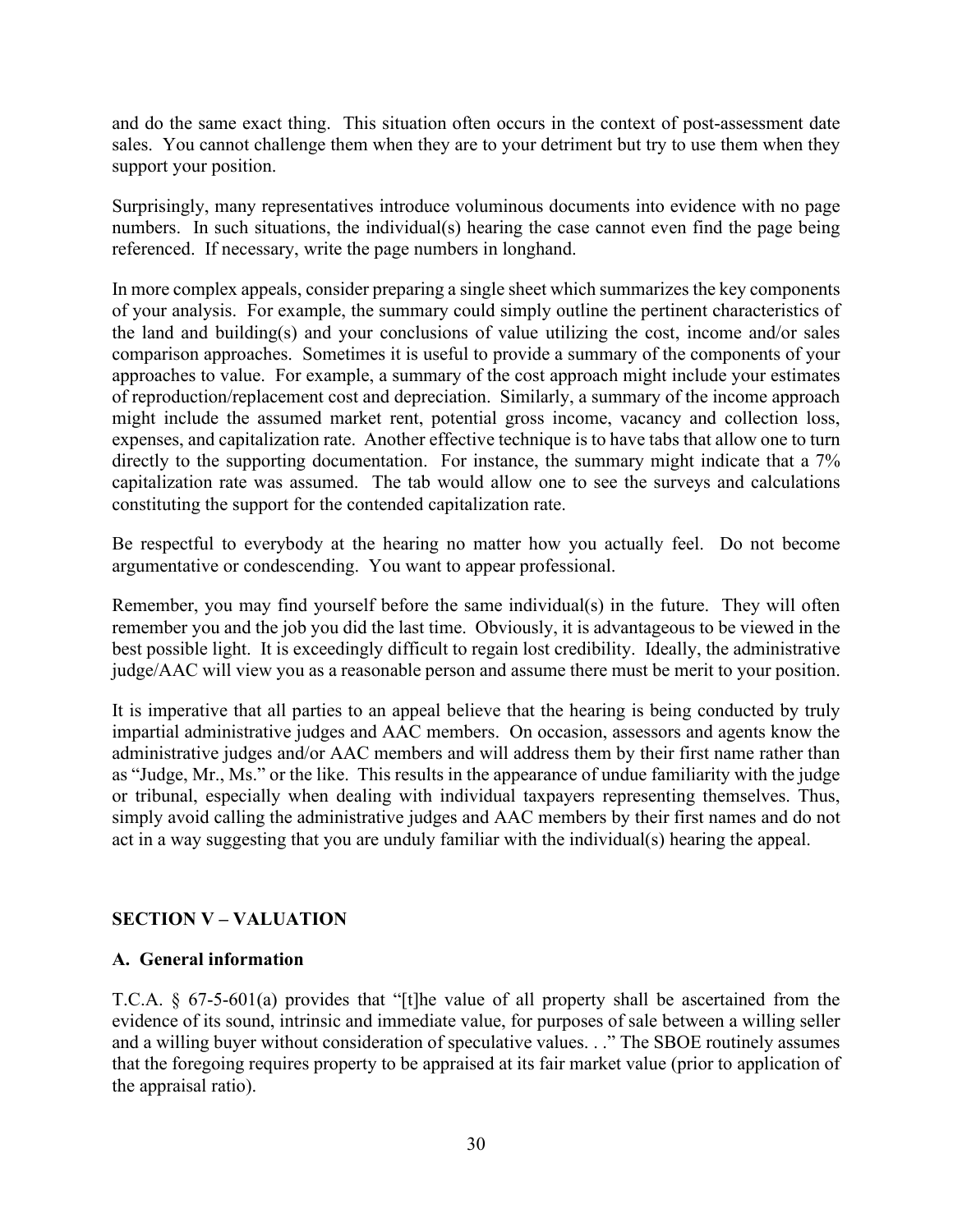and do the same exact thing. This situation often occurs in the context of post-assessment date sales. You cannot challenge them when they are to your detriment but try to use them when they support your position.

Surprisingly, many representatives introduce voluminous documents into evidence with no page numbers. In such situations, the individual(s) hearing the case cannot even find the page being referenced. If necessary, write the page numbers in longhand.

In more complex appeals, consider preparing a single sheet which summarizes the key components of your analysis. For example, the summary could simply outline the pertinent characteristics of the land and building(s) and your conclusions of value utilizing the cost, income and/or sales comparison approaches. Sometimes it is useful to provide a summary of the components of your approaches to value. For example, a summary of the cost approach might include your estimates of reproduction/replacement cost and depreciation. Similarly, a summary of the income approach might include the assumed market rent, potential gross income, vacancy and collection loss, expenses, and capitalization rate. Another effective technique is to have tabs that allow one to turn directly to the supporting documentation. For instance, the summary might indicate that a 7% capitalization rate was assumed. The tab would allow one to see the surveys and calculations constituting the support for the contended capitalization rate.

Be respectful to everybody at the hearing no matter how you actually feel. Do not become argumentative or condescending. You want to appear professional.

Remember, you may find yourself before the same individual(s) in the future. They will often remember you and the job you did the last time. Obviously, it is advantageous to be viewed in the best possible light. It is exceedingly difficult to regain lost credibility. Ideally, the administrative judge/AAC will view you as a reasonable person and assume there must be merit to your position.

It is imperative that all parties to an appeal believe that the hearing is being conducted by truly impartial administrative judges and AAC members. On occasion, assessors and agents know the administrative judges and/or AAC members and will address them by their first name rather than as "Judge, Mr., Ms." or the like. This results in the appearance of undue familiarity with the judge or tribunal, especially when dealing with individual taxpayers representing themselves. Thus, simply avoid calling the administrative judges and AAC members by their first names and do not act in a way suggesting that you are unduly familiar with the individual(s) hearing the appeal.

## **SECTION V – VALUATION**

## **A. General information**

T.C.A. § 67-5-601(a) provides that "[t]he value of all property shall be ascertained from the evidence of its sound, intrinsic and immediate value, for purposes of sale between a willing seller and a willing buyer without consideration of speculative values. . ." The SBOE routinely assumes that the foregoing requires property to be appraised at its fair market value (prior to application of the appraisal ratio).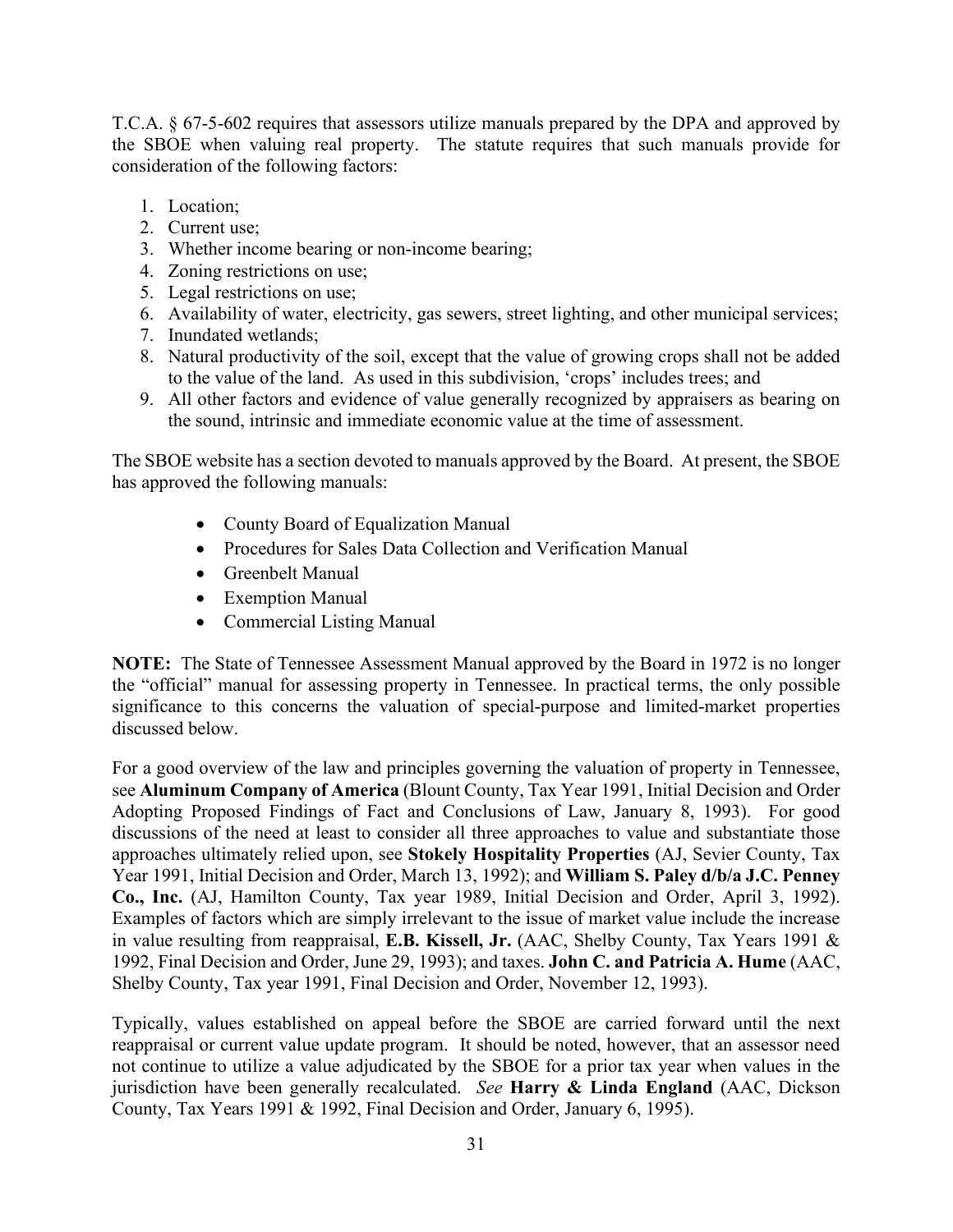T.C.A. § 67-5-602 requires that assessors utilize manuals prepared by the DPA and approved by the SBOE when valuing real property. The statute requires that such manuals provide for consideration of the following factors:

- 1. Location;
- 2. Current use;
- 3. Whether income bearing or non-income bearing;
- 4. Zoning restrictions on use;
- 5. Legal restrictions on use;
- 6. Availability of water, electricity, gas sewers, street lighting, and other municipal services;
- 7. Inundated wetlands;
- 8. Natural productivity of the soil, except that the value of growing crops shall not be added to the value of the land. As used in this subdivision, 'crops' includes trees; and
- 9. All other factors and evidence of value generally recognized by appraisers as bearing on the sound, intrinsic and immediate economic value at the time of assessment.

The SBOE website has a section devoted to manuals approved by the Board. At present, the SBOE has approved the following manuals:

- County Board of Equalization Manual
- Procedures for Sales Data Collection and Verification Manual
- Greenbelt Manual
- Exemption Manual
- Commercial Listing Manual

**NOTE:** The State of Tennessee Assessment Manual approved by the Board in 1972 is no longer the "official" manual for assessing property in Tennessee. In practical terms, the only possible significance to this concerns the valuation of special-purpose and limited-market properties discussed below.

For a good overview of the law and principles governing the valuation of property in Tennessee, see **[Aluminum Company of America](https://comptroller.tn.gov/content/dam/cot/administration/documents/o-g-c/Aluminum-Co-Of-America-AAC.pdf)** (Blount County, Tax Year 1991, Initial Decision and Order Adopting Proposed Findings of Fact and Conclusions of Law, January 8, 1993). For good discussions of the need at least to consider all three approaches to value and substantiate those approaches ultimately relied upon, see **[Stokely Hospitality Properties](https://comptroller.tn.gov/content/dam/cot/administration/documents/o-g-c/Stokely-Hospitality-Properties.pdf)** (AJ, Sevier County, Tax Year 1991, Initial Decision and Order, March 13, 1992); and **[William S. Paley d/b/a J.C. Penney](https://comptroller.tn.gov/content/dam/cot/administration/documents/o-g-c/William-S-Paley-dba-JC-Penny-Co-Inc.pdf)  Co., Inc.** (AJ, Hamilton County, Tax year 1989, Initial Decision and Order, April 3, 1992). Examples of factors which are simply irrelevant to the issue of market value include the increase in value resulting from reappraisal, **[E.B. Kissell, Jr.](https://comptroller.tn.gov/content/dam/cot/administration/documents/o-g-c/EB-KIssell-Jr.pdf)** (AAC, Shelby County, Tax Years 1991 & 1992, Final Decision and Order, June 29, 1993); and taxes. **[John C. and Patricia A. Hume](https://comptroller.tn.gov/content/dam/cot/administration/documents/o-g-c/John-C-and-Patricia-A-Hume.pdf)** (AAC, Shelby County, Tax year 1991, Final Decision and Order, November 12, 1993).

Typically, values established on appeal before the SBOE are carried forward until the next reappraisal or current value update program. It should be noted, however, that an assessor need not continue to utilize a value adjudicated by the SBOE for a prior tax year when values in the jurisdiction have been generally recalculated. *See* **[Harry & Linda England](https://comptroller.tn.gov/content/dam/cot/administration/documents/o-g-c/Harry-and-Linda-England.pdf)** (AAC, Dickson County, Tax Years 1991 & 1992, Final Decision and Order, January 6, 1995).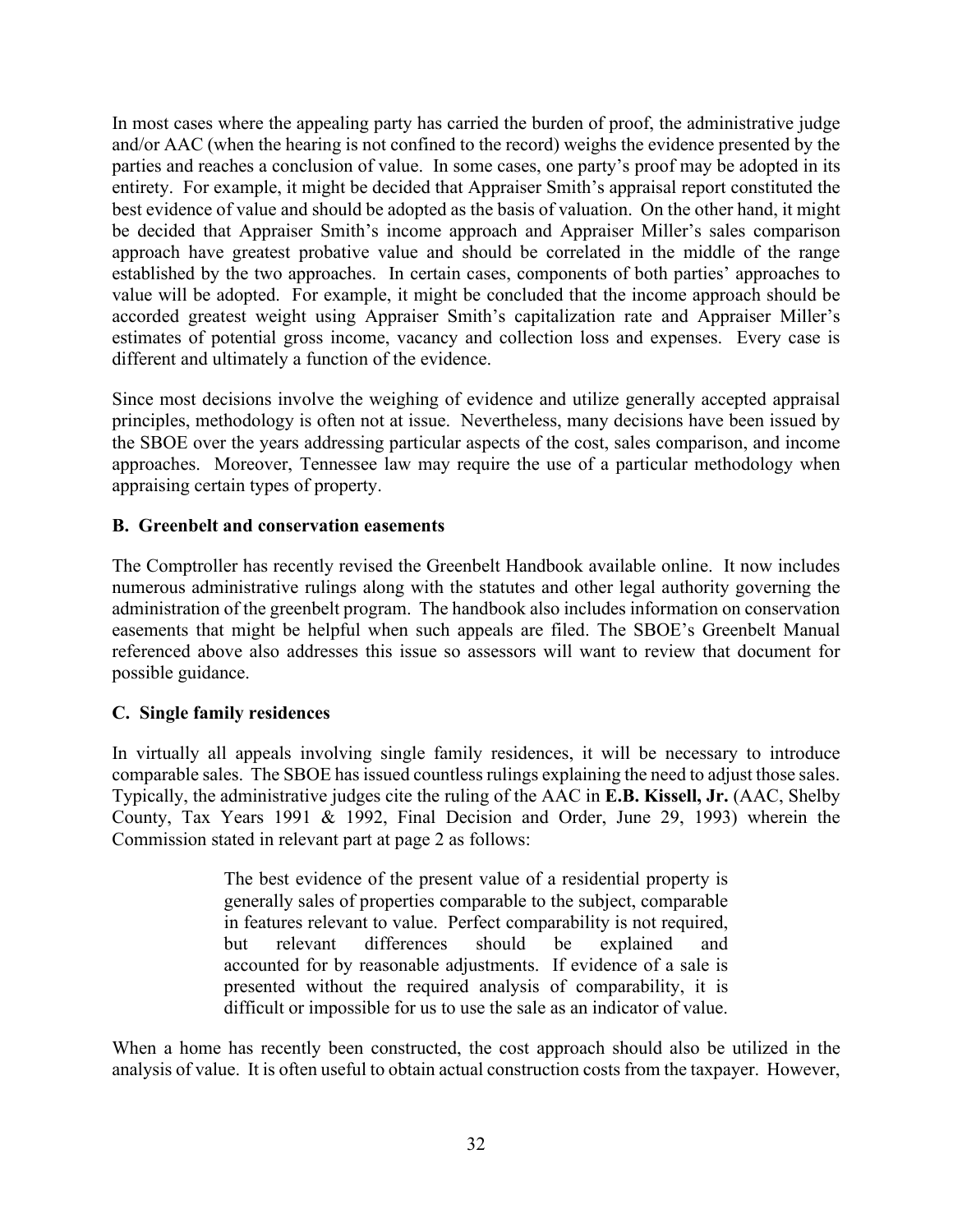In most cases where the appealing party has carried the burden of proof, the administrative judge and/or AAC (when the hearing is not confined to the record) weighs the evidence presented by the parties and reaches a conclusion of value. In some cases, one party's proof may be adopted in its entirety. For example, it might be decided that Appraiser Smith's appraisal report constituted the best evidence of value and should be adopted as the basis of valuation. On the other hand, it might be decided that Appraiser Smith's income approach and Appraiser Miller's sales comparison approach have greatest probative value and should be correlated in the middle of the range established by the two approaches. In certain cases, components of both parties' approaches to value will be adopted. For example, it might be concluded that the income approach should be accorded greatest weight using Appraiser Smith's capitalization rate and Appraiser Miller's estimates of potential gross income, vacancy and collection loss and expenses. Every case is different and ultimately a function of the evidence.

Since most decisions involve the weighing of evidence and utilize generally accepted appraisal principles, methodology is often not at issue. Nevertheless, many decisions have been issued by the SBOE over the years addressing particular aspects of the cost, sales comparison, and income approaches. Moreover, Tennessee law may require the use of a particular methodology when appraising certain types of property.

## **B. Greenbelt and conservation easements**

The Comptroller has recently revised the Greenbelt Handbook available online. It now includes numerous administrative rulings along with the statutes and other legal authority governing the administration of the greenbelt program. The handbook also includes information on conservation easements that might be helpful when such appeals are filed. The SBOE's Greenbelt Manual referenced above also addresses this issue so assessors will want to review that document for possible guidance.

## **C. Single family residences**

In virtually all appeals involving single family residences, it will be necessary to introduce comparable sales. The SBOE has issued countless rulings explaining the need to adjust those sales. Typically, the administrative judges cite the ruling of the AAC in **[E.B. Kissell, Jr.](https://comptroller.tn.gov/content/dam/cot/administration/documents/o-g-c/EB-KIssell-Jr.pdf)** (AAC, Shelby County, Tax Years 1991 & 1992, Final Decision and Order, June 29, 1993) wherein the Commission stated in relevant part at page 2 as follows:

> The best evidence of the present value of a residential property is generally sales of properties comparable to the subject, comparable in features relevant to value. Perfect comparability is not required, but relevant differences should be explained and accounted for by reasonable adjustments. If evidence of a sale is presented without the required analysis of comparability, it is difficult or impossible for us to use the sale as an indicator of value.

When a home has recently been constructed, the cost approach should also be utilized in the analysis of value. It is often useful to obtain actual construction costs from the taxpayer. However,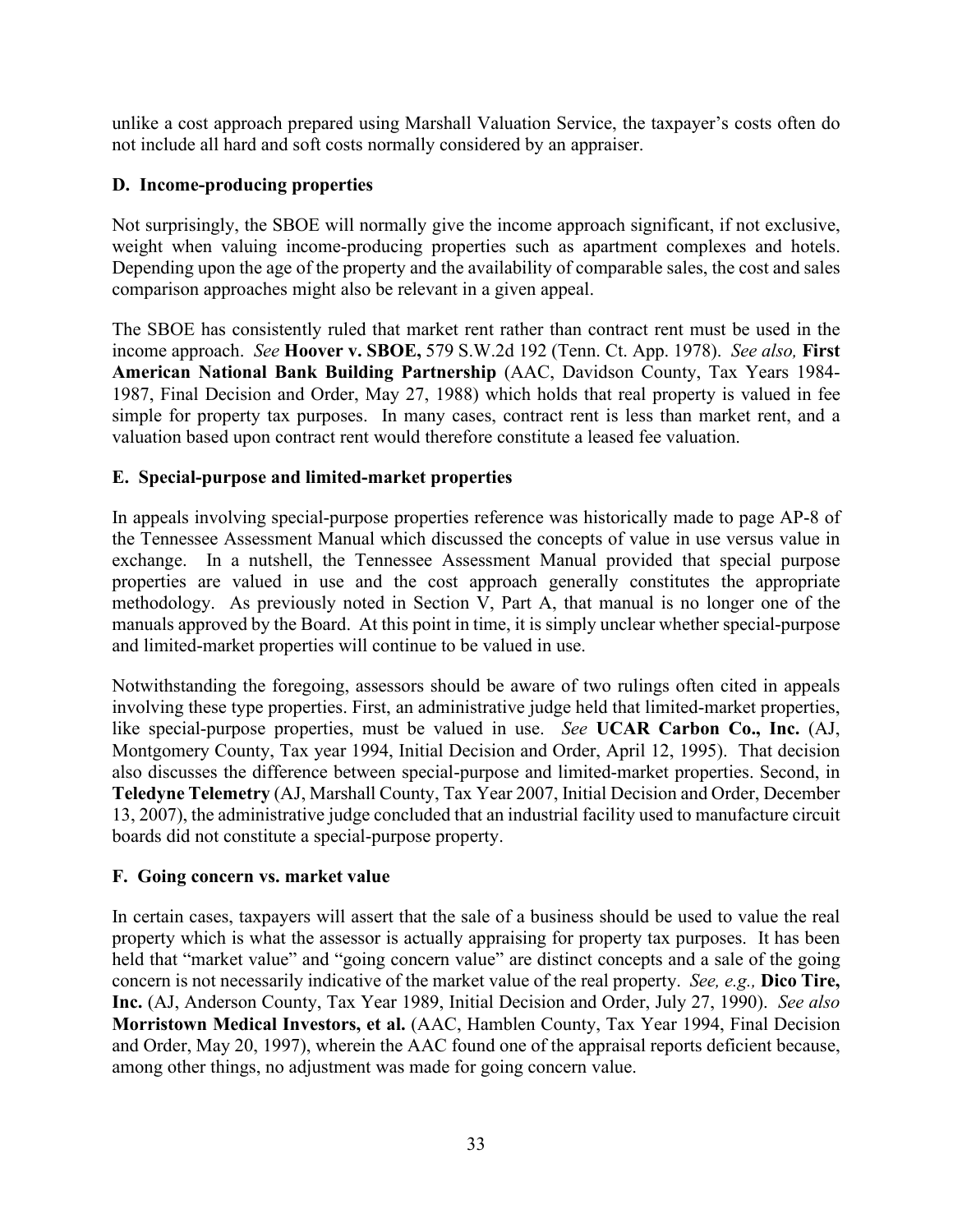unlike a cost approach prepared using Marshall Valuation Service, the taxpayer's costs often do not include all hard and soft costs normally considered by an appraiser.

## **D. Income-producing properties**

Not surprisingly, the SBOE will normally give the income approach significant, if not exclusive, weight when valuing income-producing properties such as apartment complexes and hotels. Depending upon the age of the property and the availability of comparable sales, the cost and sales comparison approaches might also be relevant in a given appeal.

The SBOE has consistently ruled that market rent rather than contract rent must be used in the income approach. *See* **[Hoover v. SBOE,](https://comptroller.tn.gov/content/dam/cot/administration/documents/o-g-c/Hoover-v-State-Bd-of-Equalization.pdf)** 579 S.W.2d 192 (Tenn. Ct. App. 1978). *See also,* **[First](https://comptroller.tn.gov/content/dam/cot/administration/documents/o-g-c/First-American-National-Bank-Bldg-Partnership.pdf)  [American National Bank Building Partnership](https://comptroller.tn.gov/content/dam/cot/administration/documents/o-g-c/First-American-National-Bank-Bldg-Partnership.pdf)** (AAC, Davidson County, Tax Years 1984- 1987, Final Decision and Order, May 27, 1988) which holds that real property is valued in fee simple for property tax purposes. In many cases, contract rent is less than market rent, and a valuation based upon contract rent would therefore constitute a leased fee valuation.

## **E. Special-purpose and limited-market properties**

In appeals involving special-purpose properties reference was historically made to page AP-8 of the Tennessee Assessment Manual which discussed the concepts of value in use versus value in exchange. In a nutshell, the Tennessee Assessment Manual provided that special purpose properties are valued in use and the cost approach generally constitutes the appropriate methodology. As previously noted in Section V, Part A, that manual is no longer one of the manuals approved by the Board. At this point in time, it is simply unclear whether special-purpose and limited-market properties will continue to be valued in use.

Notwithstanding the foregoing, assessors should be aware of two rulings often cited in appeals involving these type properties. First, an administrative judge held that limited-market properties, like special-purpose properties, must be valued in use. *See* **[UCAR Carbon Co., Inc.](https://comptroller.tn.gov/content/dam/cot/administration/documents/o-g-c/UCAR-Carbon-Co-Inc-3.pdf)** (AJ, Montgomery County, Tax year 1994, Initial Decision and Order, April 12, 1995). That decision also discusses the difference between special-purpose and limited-market properties. Second, in **[Teledyne Telemetry](https://comptroller.tn.gov/content/dam/cot/administration/documents/o-g-c/Teledyne-Telemetry.pdf)** (AJ, Marshall County, Tax Year 2007, Initial Decision and Order, December 13, 2007), the administrative judge concluded that an industrial facility used to manufacture circuit boards did not constitute a special-purpose property.

## **F. Going concern vs. market value**

In certain cases, taxpayers will assert that the sale of a business should be used to value the real property which is what the assessor is actually appraising for property tax purposes. It has been held that "market value" and "going concern value" are distinct concepts and a sale of the going concern is not necessarily indicative of the market value of the real property. *See, e.g.,* **[Dico Tire,](https://comptroller.tn.gov/content/dam/cot/administration/documents/o-g-c/Dico-Tire-Inc.pdf)  Inc.** (AJ, Anderson County, Tax Year 1989, Initial Decision and Order, July 27, 1990). *See also*  **[Morristown Medical Investors, et al.](https://comptroller.tn.gov/content/dam/cot/administration/documents/o-g-c/Morristown-Medical-Investors-Inc-et-al-AAC.pdf)** (AAC, Hamblen County, Tax Year 1994, Final Decision and Order, May 20, 1997), wherein the AAC found one of the appraisal reports deficient because, among other things, no adjustment was made for going concern value.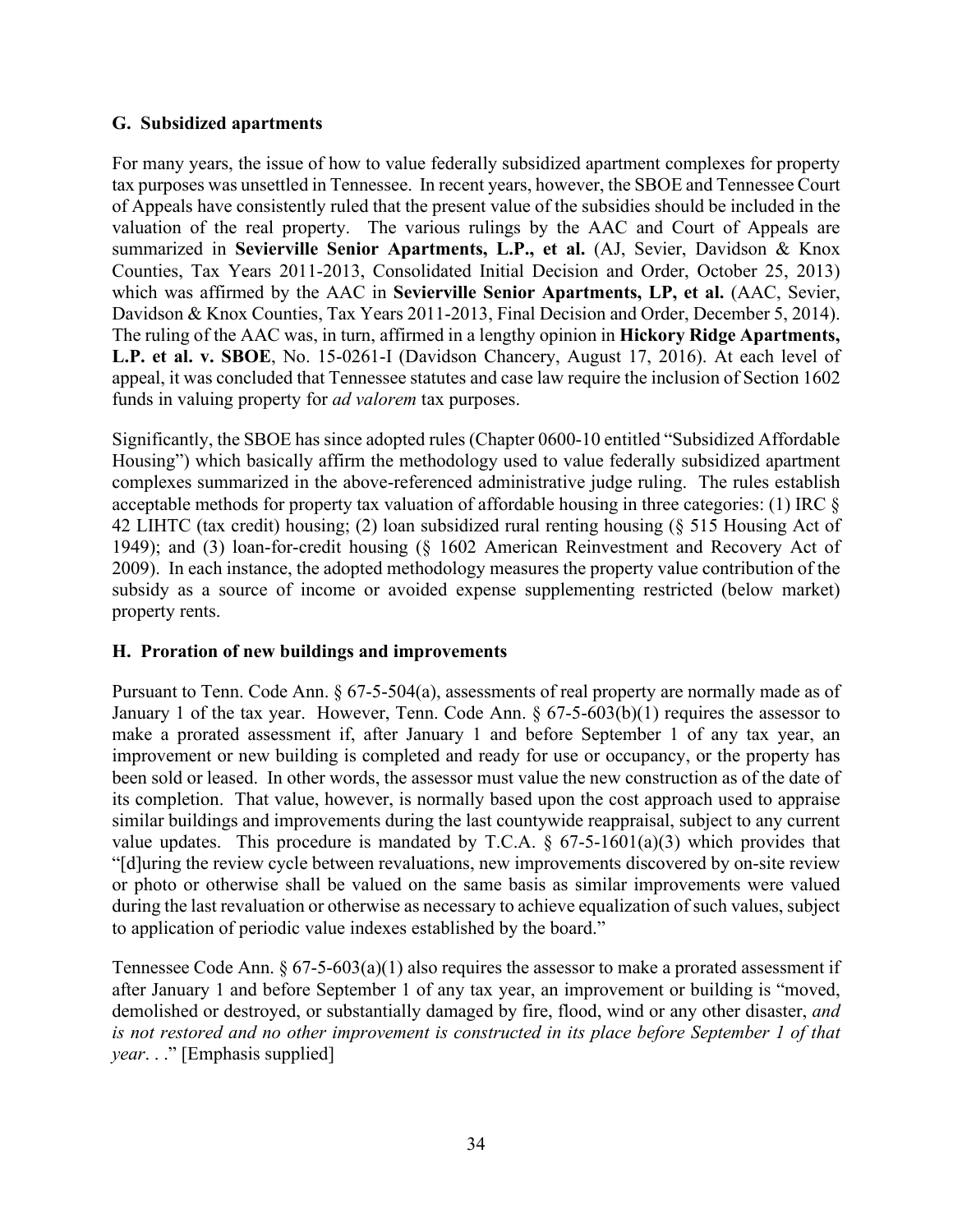## **G. Subsidized apartments**

For many years, the issue of how to value federally subsidized apartment complexes for property tax purposes was unsettled in Tennessee. In recent years, however, the SBOE and Tennessee Court of Appeals have consistently ruled that the present value of the subsidies should be included in the valuation of the real property. The various rulings by the AAC and Court of Appeals are summarized in **[Sevierville Senior Apartments, L.P., et al.](https://comptroller.tn.gov/content/dam/cot/administration/documents/o-g-c/Sevierville-Senior-Apartments-LP-et-al-AJ.pdf)** (AJ, Sevier, Davidson & Knox Counties, Tax Years 2011-2013, Consolidated Initial Decision and Order, October 25, 2013) which was affirmed by the AAC in **[Sevierville Senior Apartments, LP, et al.](https://comptroller.tn.gov/content/dam/cot/administration/documents/o-g-c/Sevierville-Senior-Apartments-LP-et-al-AJ.pdf)** (AAC, Sevier, Davidson & Knox Counties, Tax Years 2011-2013, Final Decision and Order, December 5, 2014). The ruling of the AAC was, in turn, affirmed in a lengthy opinion in **[Hickory Ridge Apartments,](https://comptroller.tn.gov/content/dam/cot/administration/documents/o-g-c/Hickory-Ridge-Apartments-v-SBOE-Davidson-Chancery.pdf)  [L.P. et al. v. SBOE](https://comptroller.tn.gov/content/dam/cot/administration/documents/o-g-c/Hickory-Ridge-Apartments-v-SBOE-Davidson-Chancery.pdf)**, No. 15-0261-I (Davidson Chancery, August 17, 2016). At each level of appeal, it was concluded that Tennessee statutes and case law require the inclusion of Section 1602 funds in valuing property for *ad valorem* tax purposes.

Significantly, the SBOE has since adopted rules (Chapter 0600-10 entitled "Subsidized Affordable Housing") which basically affirm the methodology used to value federally subsidized apartment complexes summarized in the above-referenced administrative judge ruling. The rules establish acceptable methods for property tax valuation of affordable housing in three categories: (1) IRC § 42 LIHTC (tax credit) housing; (2) loan subsidized rural renting housing (§ 515 Housing Act of 1949); and (3) loan-for-credit housing (§ 1602 American Reinvestment and Recovery Act of 2009). In each instance, the adopted methodology measures the property value contribution of the subsidy as a source of income or avoided expense supplementing restricted (below market) property rents.

## **H. Proration of new buildings and improvements**

Pursuant to Tenn. Code Ann. § 67-5-504(a), assessments of real property are normally made as of January 1 of the tax year. However, Tenn. Code Ann.  $\S 67-5-603(b)(1)$  requires the assessor to make a prorated assessment if, after January 1 and before September 1 of any tax year, an improvement or new building is completed and ready for use or occupancy, or the property has been sold or leased. In other words, the assessor must value the new construction as of the date of its completion. That value, however, is normally based upon the cost approach used to appraise similar buildings and improvements during the last countywide reappraisal, subject to any current value updates. This procedure is mandated by T.C.A.  $\S$  67-5-1601(a)(3) which provides that "[d]uring the review cycle between revaluations, new improvements discovered by on-site review or photo or otherwise shall be valued on the same basis as similar improvements were valued during the last revaluation or otherwise as necessary to achieve equalization of such values, subject to application of periodic value indexes established by the board."

Tennessee Code Ann.  $\S 67-5-603(a)(1)$  also requires the assessor to make a prorated assessment if after January 1 and before September 1 of any tax year, an improvement or building is "moved, demolished or destroyed, or substantially damaged by fire, flood, wind or any other disaster, *and is not restored and no other improvement is constructed in its place before September 1 of that year*. . ." [Emphasis supplied]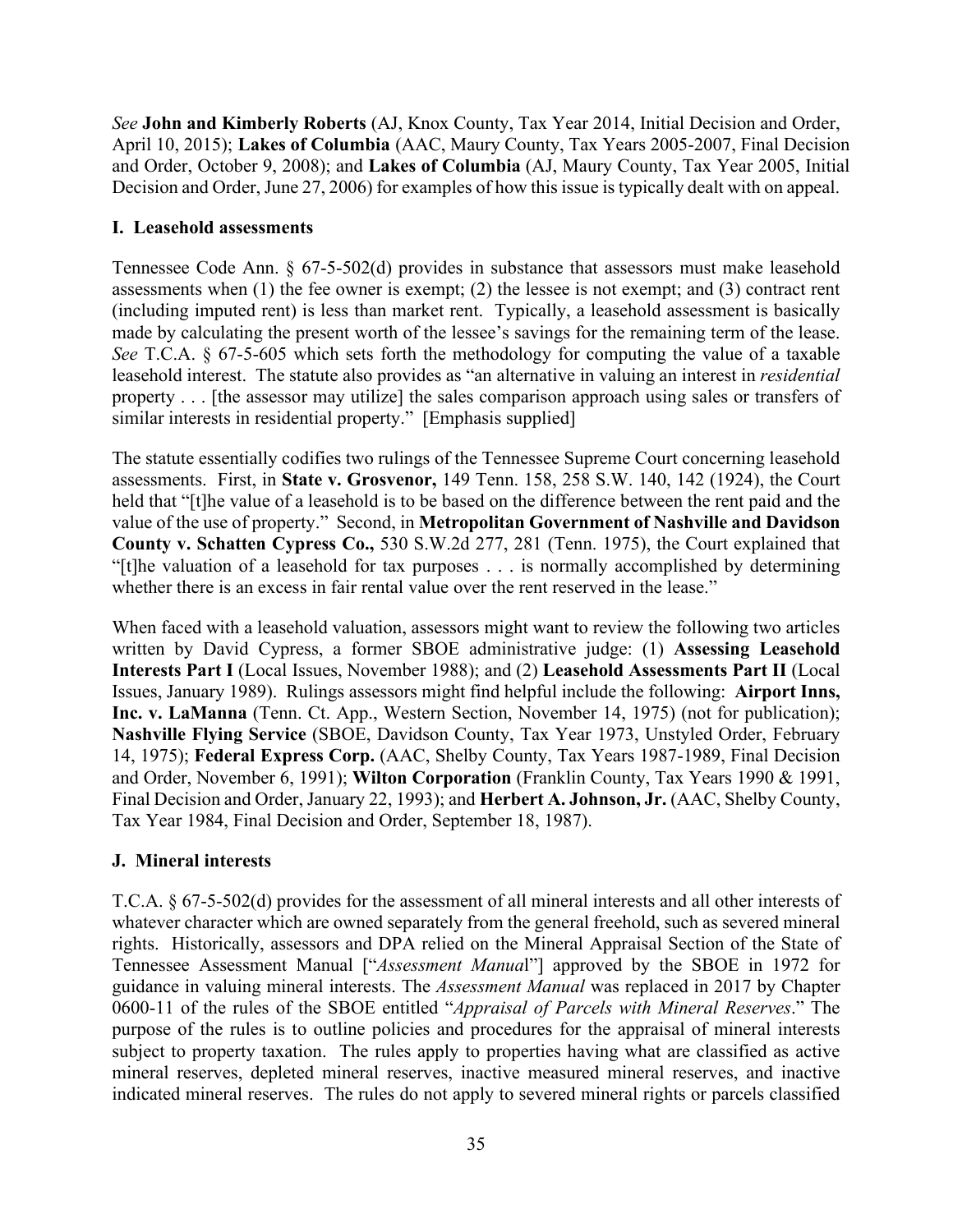*See* **[John and Kimberly Roberts](https://comptroller.tn.gov/content/dam/cot/administration/documents/o-g-c/John-and-Kimberly-Roberts.pdf)** (AJ, Knox County, Tax Year 2014, Initial Decision and Order, April 10, 2015); **[Lakes of Columbia](https://comptroller.tn.gov/content/dam/cot/administration/documents/o-g-c/Lakes-of-Columbia-AAC.pdf)** (AAC, Maury County, Tax Years 2005-2007, Final Decision and Order, October 9, 2008); and **[Lakes of Columbia](https://comptroller.tn.gov/content/dam/cot/administration/documents/o-g-c/Lakes-of-Columbia-AJ.pdf)** (AJ, Maury County, Tax Year 2005, Initial Decision and Order, June 27, 2006) for examples of how this issue is typically dealt with on appeal.

## **I. Leasehold assessments**

Tennessee Code Ann. § 67-5-502(d) provides in substance that assessors must make leasehold assessments when (1) the fee owner is exempt; (2) the lessee is not exempt; and (3) contract rent (including imputed rent) is less than market rent. Typically, a leasehold assessment is basically made by calculating the present worth of the lessee's savings for the remaining term of the lease. *See* T.C.A. § 67-5-605 which sets forth the methodology for computing the value of a taxable leasehold interest. The statute also provides as "an alternative in valuing an interest in *residential* property . . . [the assessor may utilize] the sales comparison approach using sales or transfers of similar interests in residential property." [Emphasis supplied]

The statute essentially codifies two rulings of the Tennessee Supreme Court concerning leasehold assessments. First, in **[State v. Grosvenor,](https://comptroller.tn.gov/content/dam/cot/administration/documents/o-g-c/State-v-Grosvenor-Sup-Ct-1924.pdf)** 149 Tenn. 158, 258 S.W. 140, 142 (1924), the Court held that "[t]he value of a leasehold is to be based on the difference between the rent paid and the value of the use of property." Second, in **[Metropolitan Government of Nashville and Davidson](https://comptroller.tn.gov/content/dam/cot/administration/documents/o-g-c/Metropolitan-Government-of-Nashville-and-Davidson-County-v-Schatten-Cypress-Co-Sup-Ct-1975.pdf)  [County v. Schatten Cypress Co.,](https://comptroller.tn.gov/content/dam/cot/administration/documents/o-g-c/Metropolitan-Government-of-Nashville-and-Davidson-County-v-Schatten-Cypress-Co-Sup-Ct-1975.pdf)** 530 S.W.2d 277, 281 (Tenn. 1975), the Court explained that "[t]he valuation of a leasehold for tax purposes . . . is normally accomplished by determining whether there is an excess in fair rental value over the rent reserved in the lease."

When faced with a leasehold valuation, assessors might want to review the following two articles written by David Cypress, a former SBOE administrative judge: (1) **[Assessing Leasehold](https://comptroller.tn.gov/content/dam/cot/administration/documents/o-g-c/Assessing-Leashold-Interests-Part-I.pdf)  [Interests Part I](https://comptroller.tn.gov/content/dam/cot/administration/documents/o-g-c/Assessing-Leashold-Interests-Part-I.pdf)** (Local Issues, November 1988); and (2) **[Leasehold Assessments Part II](https://comptroller.tn.gov/content/dam/cot/administration/documents/o-g-c/Leasehold-Assessment-Part-II.pdf)** (Local Issues, January 1989). Rulings assessors might find helpful include the following: **[Airport Inns,](https://comptroller.tn.gov/content/dam/cot/administration/documents/o-g-c/Airport-Inns-Inc-v-LaManna-C-A-1975.pdf)  [Inc. v. LaManna](https://comptroller.tn.gov/content/dam/cot/administration/documents/o-g-c/Airport-Inns-Inc-v-LaManna-C-A-1975.pdf)** (Tenn. Ct. App., Western Section, November 14, 1975) (not for publication); **[Nashville Flying Service](https://comptroller.tn.gov/content/dam/cot/administration/documents/o-g-c/Nashville-Flying-Service-Inc-SBOE-Davidson-County-Tax-Year-1973.pdf)** (SBOE, Davidson County, Tax Year 1973, Unstyled Order, February 14, 1975); **[Federal Express Corp.](https://comptroller.tn.gov/content/dam/cot/administration/documents/o-g-c/Federal-Express-Corp-AAC-Shelby-County-Tax-Years-1987-1989.pdf)** (AAC, Shelby County, Tax Years 1987-1989, Final Decision and Order, November 6, 1991); **[Wilton Corporation](https://comptroller.tn.gov/content/dam/cot/administration/documents/o-g-c/Wilton-Corporation-AAC-Franklin-County-Tax-Years-1990-and-1991.pdf)** (Franklin County, Tax Years 1990 & 1991, Final Decision and Order, January 22, 1993); and **[Herbert A. Johnson, Jr.](https://comptroller.tn.gov/content/dam/cot/administration/documents/o-g-c/Herbert-A-Johnson-Jr-AAC-Shelby-County-Tax-Year-1984.pdf)** (AAC, Shelby County, Tax Year 1984, Final Decision and Order, September 18, 1987).

## **J. Mineral interests**

T.C.A. § 67-5-502(d) provides for the assessment of all mineral interests and all other interests of whatever character which are owned separately from the general freehold, such as severed mineral rights. Historically, assessors and DPA relied on the Mineral Appraisal Section of the State of Tennessee Assessment Manual ["*Assessment Manua*l"] approved by the SBOE in 1972 for guidance in valuing mineral interests. The *Assessment Manual* was replaced in 2017 by Chapter 0600-11 of the rules of the SBOE entitled "*Appraisal of Parcels with Mineral Reserves*." The purpose of the rules is to outline policies and procedures for the appraisal of mineral interests subject to property taxation. The rules apply to properties having what are classified as active mineral reserves, depleted mineral reserves, inactive measured mineral reserves, and inactive indicated mineral reserves. The rules do not apply to severed mineral rights or parcels classified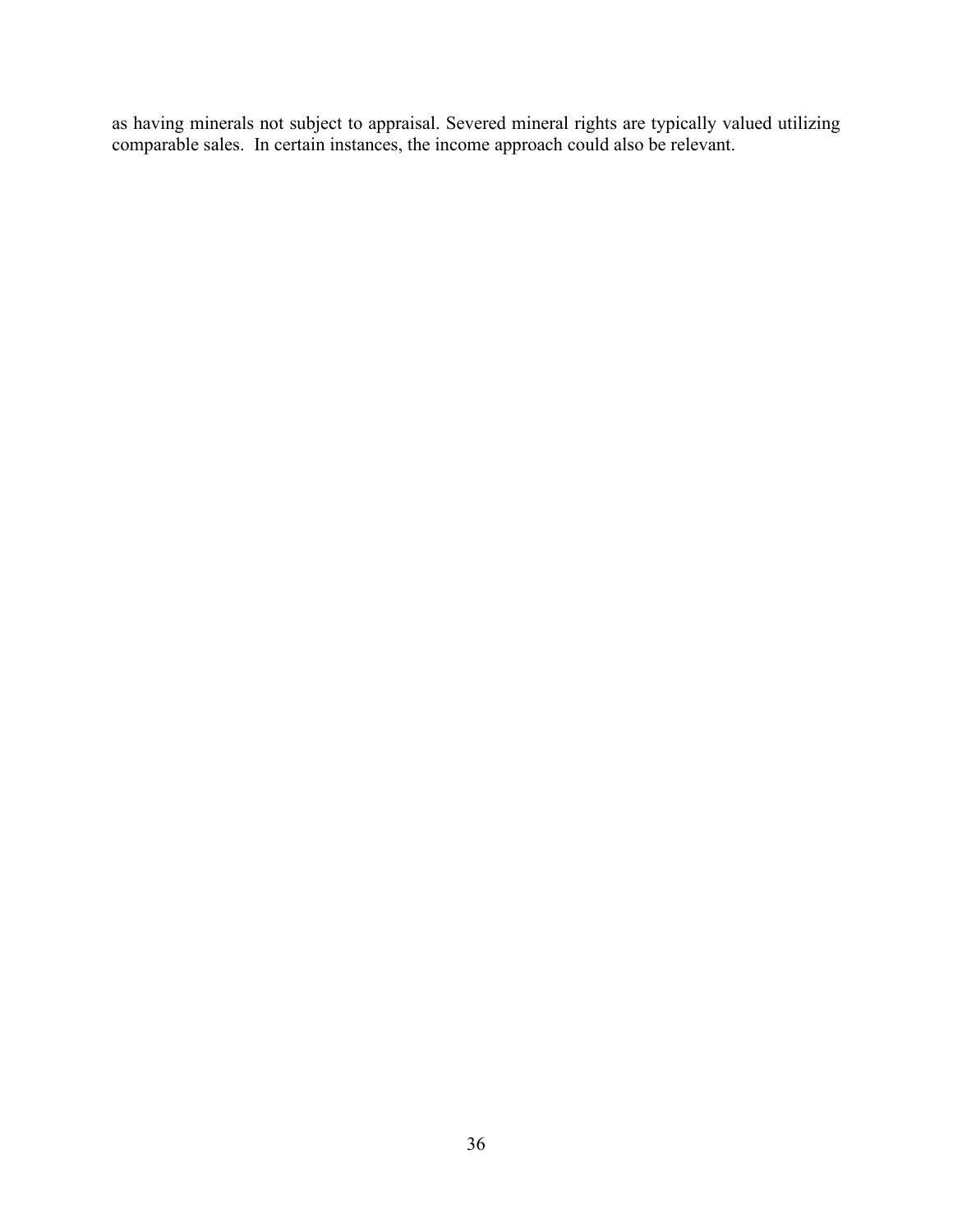as having minerals not subject to appraisal. Severed mineral rights are typically valued utilizing comparable sales. In certain instances, the income approach could also be relevant.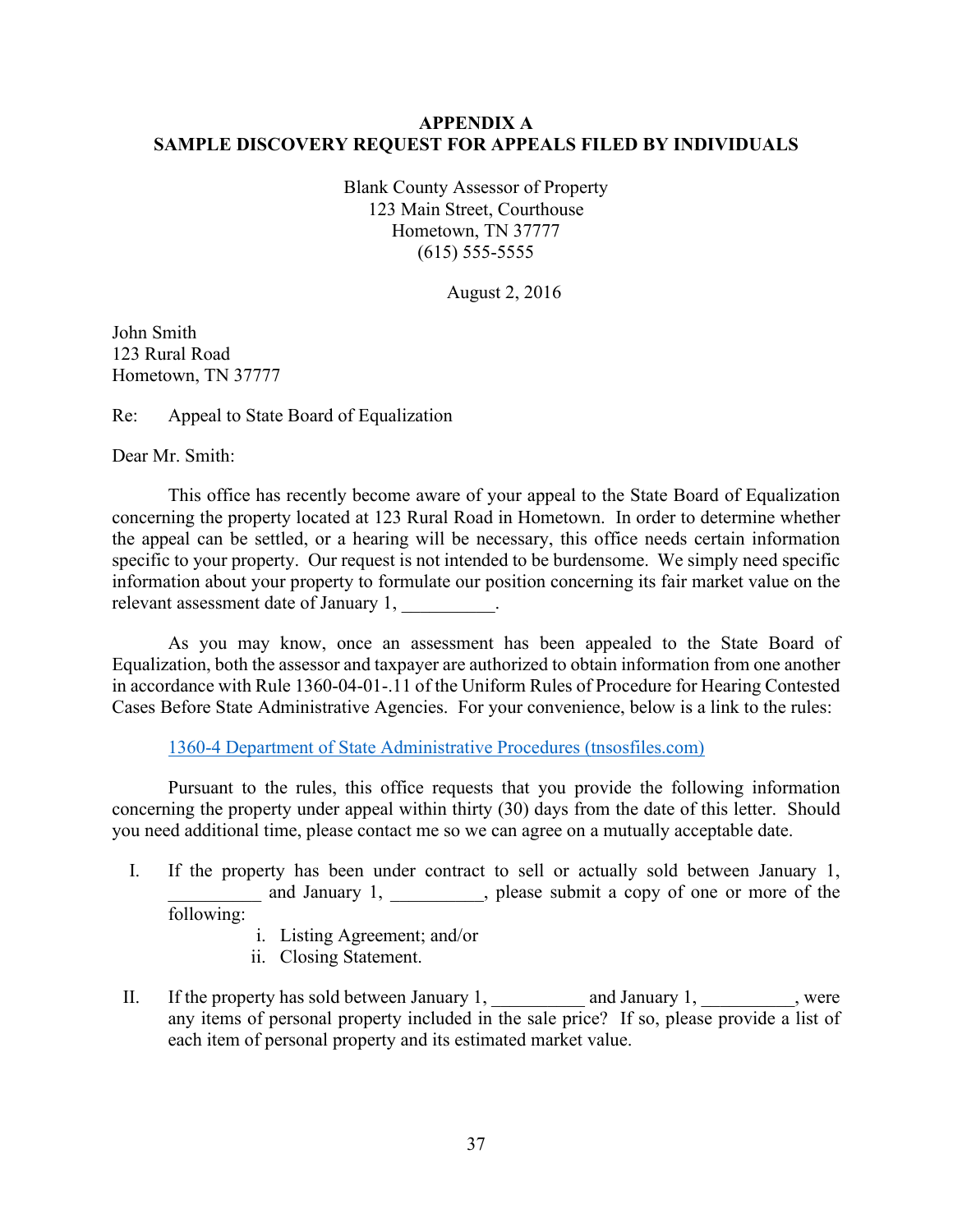## **APPENDIX A SAMPLE DISCOVERY REQUEST FOR APPEALS FILED BY INDIVIDUALS**

Blank County Assessor of Property 123 Main Street, Courthouse Hometown, TN 37777 (615) 555-5555

August 2, 2016

John Smith 123 Rural Road Hometown, TN 37777

Re: Appeal to State Board of Equalization

Dear Mr. Smith:

This office has recently become aware of your appeal to the State Board of Equalization concerning the property located at 123 Rural Road in Hometown. In order to determine whether the appeal can be settled, or a hearing will be necessary, this office needs certain information specific to your property. Our request is not intended to be burdensome. We simply need specific information about your property to formulate our position concerning its fair market value on the relevant assessment date of January 1, \_\_\_\_\_\_\_\_\_\_.

As you may know, once an assessment has been appealed to the State Board of Equalization, both the assessor and taxpayer are authorized to obtain information from one another in accordance with Rule 1360-04-01-.11 of the Uniform Rules of Procedure for Hearing Contested Cases Before State Administrative Agencies. For your convenience, below is a link to the rules:

[1360-4 Department of State Administrative Procedures \(tnsosfiles.com\)](https://sharetngov.tnsosfiles.com/sos/rules/1360/1360-04/1360-04.htm)

Pursuant to the rules, this office requests that you provide the following information concerning the property under appeal within thirty (30) days from the date of this letter. Should you need additional time, please contact me so we can agree on a mutually acceptable date.

- I. If the property has been under contract to sell or actually sold between January 1, and January 1, \_\_\_\_\_\_\_\_, please submit a copy of one or more of the following:
	- i. Listing Agreement; and/or
	- ii. Closing Statement.
- II. If the property has sold between January 1, \_\_\_\_\_\_\_\_\_ and January 1, \_\_\_\_\_\_\_\_, were any items of personal property included in the sale price? If so, please provide a list of each item of personal property and its estimated market value.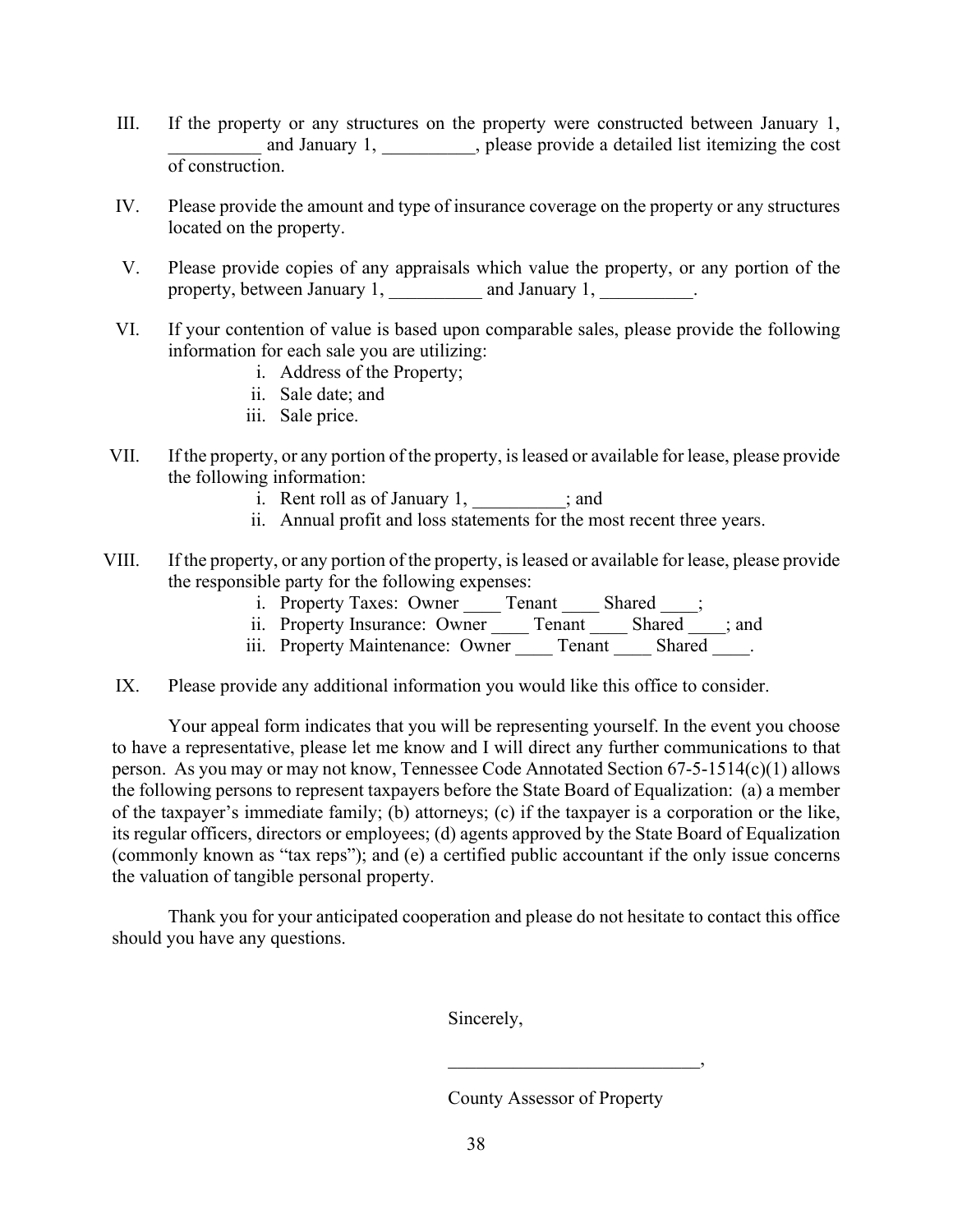- III. If the property or any structures on the property were constructed between January 1, and January 1, hease provide a detailed list itemizing the cost of construction.
- IV. Please provide the amount and type of insurance coverage on the property or any structures located on the property.
- V. Please provide copies of any appraisals which value the property, or any portion of the property, between January 1, and January 1,  $\qquad \qquad$
- VI. If your contention of value is based upon comparable sales, please provide the following information for each sale you are utilizing:
	- i. Address of the Property;
	- ii. Sale date; and
	- iii. Sale price.
- VII. If the property, or any portion of the property, is leased or available for lease, please provide the following information:
	- i. Rent roll as of January 1,  $\qquad \qquad ;$  and
	- ii. Annual profit and loss statements for the most recent three years.
- VIII. If the property, or any portion of the property, is leased or available for lease, please provide the responsible party for the following expenses:
	- i. Property Taxes: Owner \_\_\_\_\_ Tenant \_\_\_\_\_ Shared \_\_\_\_;
	- ii. Property Insurance: Owner Tenant Shared ; and
	- iii. Property Maintenance: Owner Tenant Shared .
- IX. Please provide any additional information you would like this office to consider.

Your appeal form indicates that you will be representing yourself. In the event you choose to have a representative, please let me know and I will direct any further communications to that person. As you may or may not know, Tennessee Code Annotated Section 67-5-1514(c)(1) allows the following persons to represent taxpayers before the State Board of Equalization: (a) a member of the taxpayer's immediate family; (b) attorneys; (c) if the taxpayer is a corporation or the like, its regular officers, directors or employees; (d) agents approved by the State Board of Equalization (commonly known as "tax reps"); and (e) a certified public accountant if the only issue concerns the valuation of tangible personal property.

Thank you for your anticipated cooperation and please do not hesitate to contact this office should you have any questions.

Sincerely,

County Assessor of Property

\_\_\_\_\_\_\_\_\_\_\_\_\_\_\_\_\_\_\_\_\_\_\_\_\_\_\_,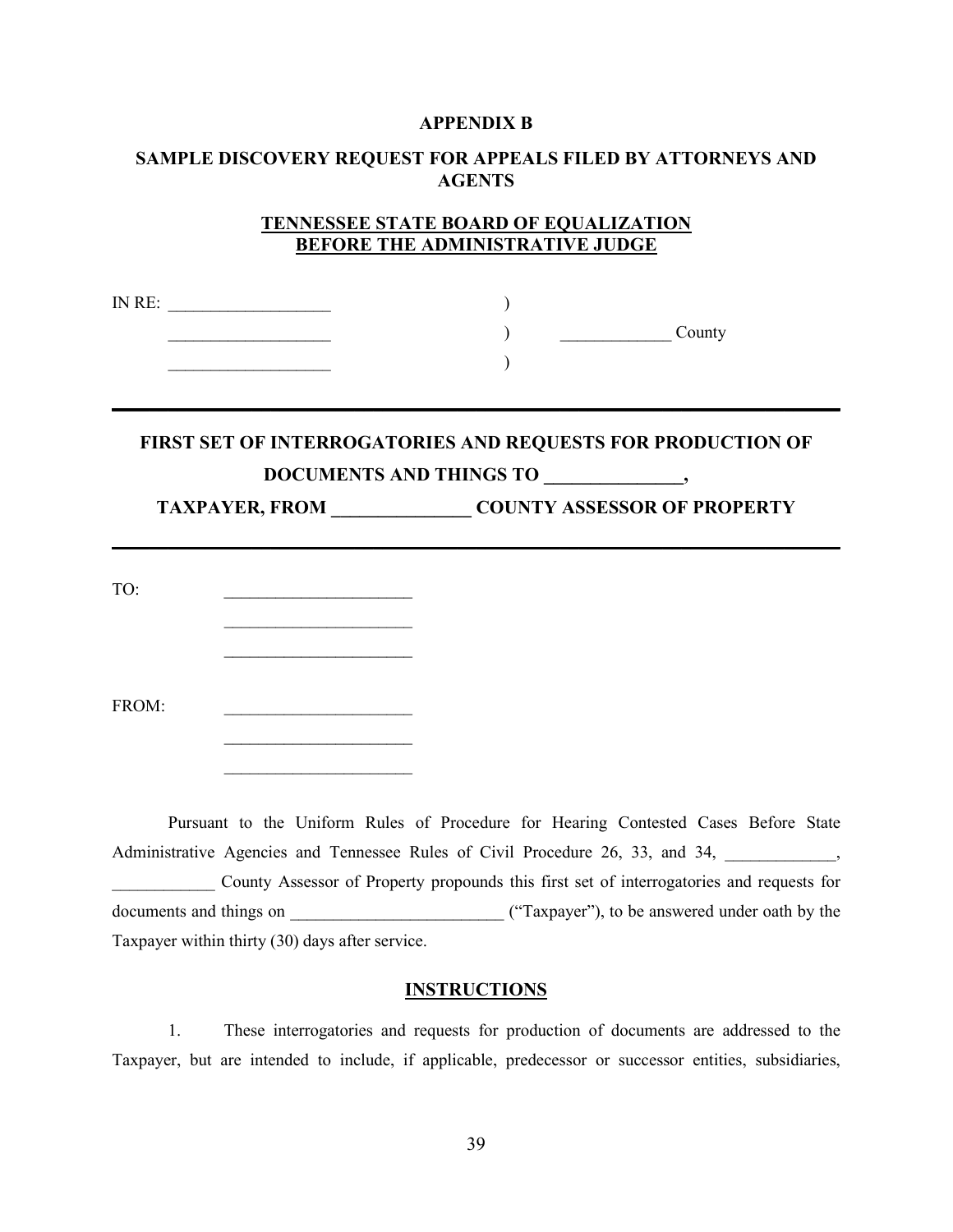#### **APPENDIX B**

## **SAMPLE DISCOVERY REQUEST FOR APPEALS FILED BY ATTORNEYS AND AGENTS**

## **TENNESSEE STATE BOARD OF EQUALIZATION BEFORE THE ADMINISTRATIVE JUDGE**

| IN RE: |  |        |
|--------|--|--------|
|        |  | County |
|        |  |        |

## **FIRST SET OF INTERROGATORIES AND REQUESTS FOR PRODUCTION OF DOCUMENTS AND THINGS TO \_\_\_\_\_\_\_\_\_\_\_\_\_\_\_,**

 $\mathcal{L}_\text{max}$  and  $\mathcal{L}_\text{max}$  and  $\mathcal{L}_\text{max}$  and  $\mathcal{L}_\text{max}$  and  $\mathcal{L}_\text{max}$  and  $\mathcal{L}_\text{max}$ 

**TAXPAYER, FROM \_\_\_\_\_\_\_\_\_\_\_\_\_\_\_ COUNTY ASSESSOR OF PROPERTY**

 $\mathcal{L}_\text{max}$  and  $\mathcal{L}_\text{max}$  and  $\mathcal{L}_\text{max}$  and  $\mathcal{L}_\text{max}$  and  $\mathcal{L}_\text{max}$  and  $\mathcal{L}_\text{max}$ 

| TO:   |  |
|-------|--|
|       |  |
|       |  |
|       |  |
| FROM: |  |
|       |  |

Pursuant to the Uniform Rules of Procedure for Hearing Contested Cases Before State Administrative Agencies and Tennessee Rules of Civil Procedure 26, 33, and 34,

County Assessor of Property propounds this first set of interrogatories and requests for documents and things on  $($ "Taxpayer"), to be answered under oath by the Taxpayer within thirty (30) days after service.

#### **INSTRUCTIONS**

1. These interrogatories and requests for production of documents are addressed to the Taxpayer, but are intended to include, if applicable, predecessor or successor entities, subsidiaries,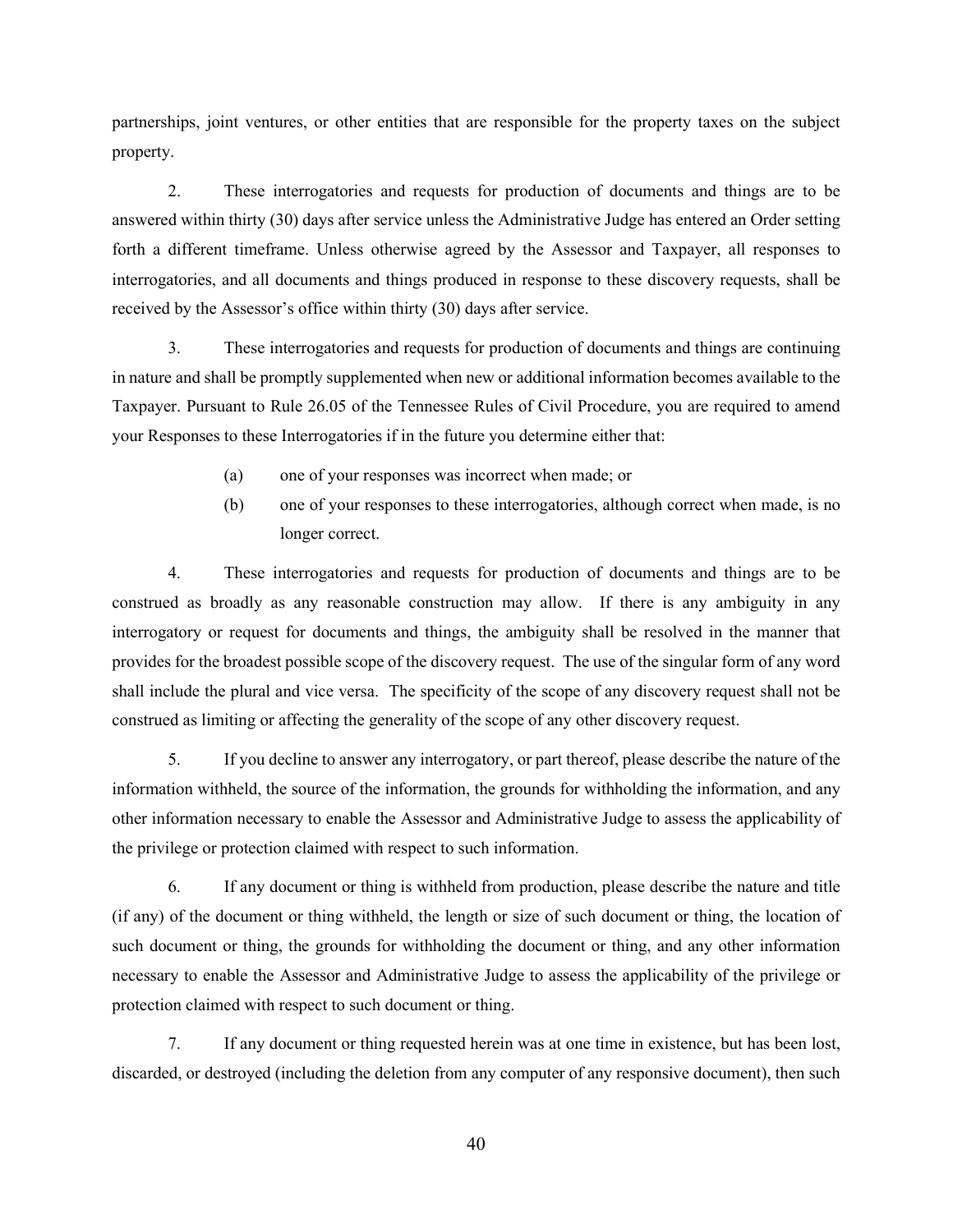partnerships, joint ventures, or other entities that are responsible for the property taxes on the subject property.

2. These interrogatories and requests for production of documents and things are to be answered within thirty (30) days after service unless the Administrative Judge has entered an Order setting forth a different timeframe. Unless otherwise agreed by the Assessor and Taxpayer, all responses to interrogatories, and all documents and things produced in response to these discovery requests, shall be received by the Assessor's office within thirty (30) days after service.

3. These interrogatories and requests for production of documents and things are continuing in nature and shall be promptly supplemented when new or additional information becomes available to the Taxpayer. Pursuant to Rule 26.05 of the Tennessee Rules of Civil Procedure, you are required to amend your Responses to these Interrogatories if in the future you determine either that:

- (a) one of your responses was incorrect when made; or
- (b) one of your responses to these interrogatories, although correct when made, is no longer correct.

4. These interrogatories and requests for production of documents and things are to be construed as broadly as any reasonable construction may allow. If there is any ambiguity in any interrogatory or request for documents and things, the ambiguity shall be resolved in the manner that provides for the broadest possible scope of the discovery request. The use of the singular form of any word shall include the plural and vice versa. The specificity of the scope of any discovery request shall not be construed as limiting or affecting the generality of the scope of any other discovery request.

5. If you decline to answer any interrogatory, or part thereof, please describe the nature of the information withheld, the source of the information, the grounds for withholding the information, and any other information necessary to enable the Assessor and Administrative Judge to assess the applicability of the privilege or protection claimed with respect to such information.

6. If any document or thing is withheld from production, please describe the nature and title (if any) of the document or thing withheld, the length or size of such document or thing, the location of such document or thing, the grounds for withholding the document or thing, and any other information necessary to enable the Assessor and Administrative Judge to assess the applicability of the privilege or protection claimed with respect to such document or thing.

7. If any document or thing requested herein was at one time in existence, but has been lost, discarded, or destroyed (including the deletion from any computer of any responsive document), then such

40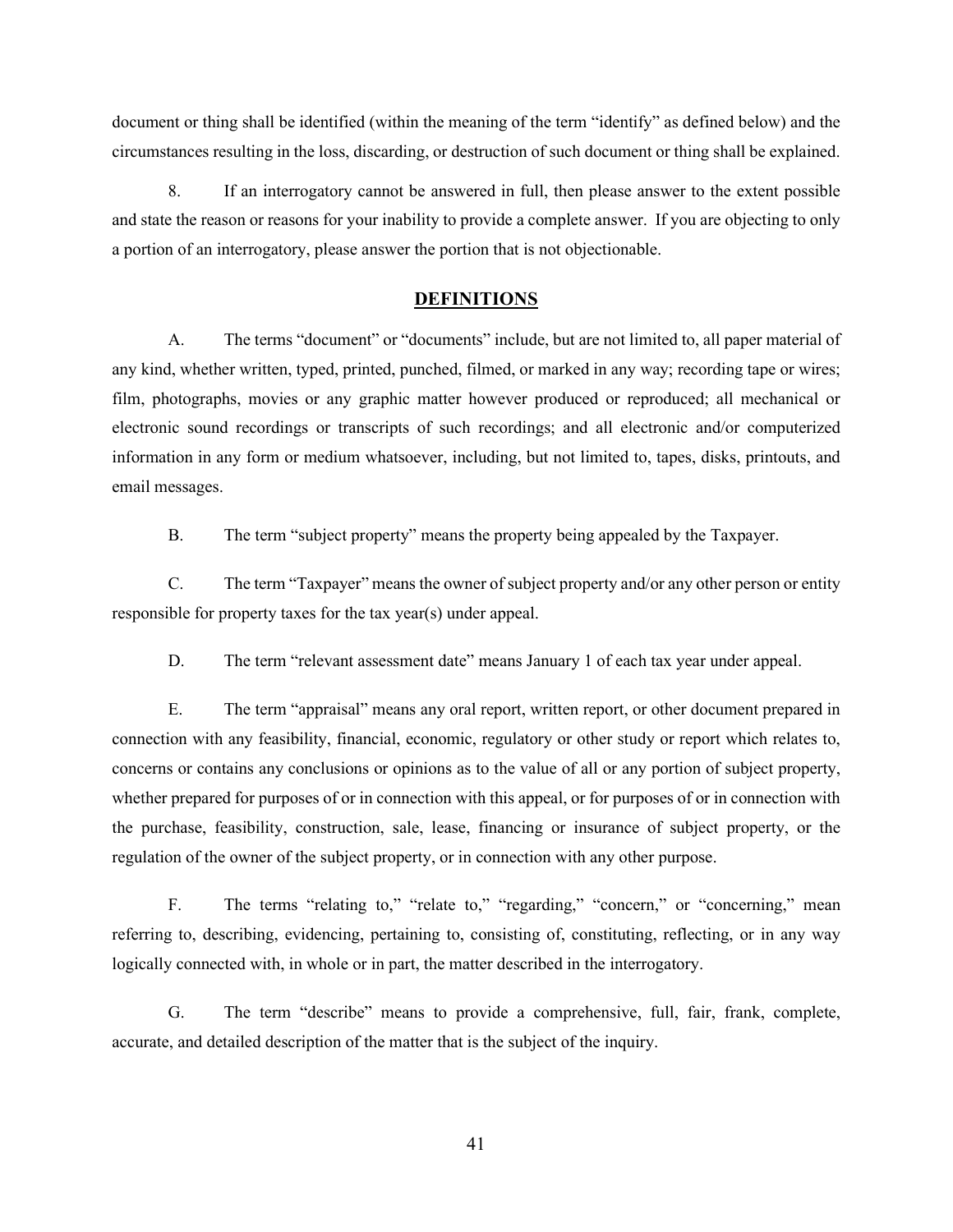document or thing shall be identified (within the meaning of the term "identify" as defined below) and the circumstances resulting in the loss, discarding, or destruction of such document or thing shall be explained.

8. If an interrogatory cannot be answered in full, then please answer to the extent possible and state the reason or reasons for your inability to provide a complete answer. If you are objecting to only a portion of an interrogatory, please answer the portion that is not objectionable.

#### **DEFINITIONS**

A. The terms "document" or "documents" include, but are not limited to, all paper material of any kind, whether written, typed, printed, punched, filmed, or marked in any way; recording tape or wires; film, photographs, movies or any graphic matter however produced or reproduced; all mechanical or electronic sound recordings or transcripts of such recordings; and all electronic and/or computerized information in any form or medium whatsoever, including, but not limited to, tapes, disks, printouts, and email messages.

B. The term "subject property" means the property being appealed by the Taxpayer.

C. The term "Taxpayer" means the owner of subject property and/or any other person or entity responsible for property taxes for the tax year(s) under appeal.

D. The term "relevant assessment date" means January 1 of each tax year under appeal.

E. The term "appraisal" means any oral report, written report, or other document prepared in connection with any feasibility, financial, economic, regulatory or other study or report which relates to, concerns or contains any conclusions or opinions as to the value of all or any portion of subject property, whether prepared for purposes of or in connection with this appeal, or for purposes of or in connection with the purchase, feasibility, construction, sale, lease, financing or insurance of subject property, or the regulation of the owner of the subject property, or in connection with any other purpose.

F. The terms "relating to," "relate to," "regarding," "concern," or "concerning," mean referring to, describing, evidencing, pertaining to, consisting of, constituting, reflecting, or in any way logically connected with, in whole or in part, the matter described in the interrogatory.

G. The term "describe" means to provide a comprehensive, full, fair, frank, complete, accurate, and detailed description of the matter that is the subject of the inquiry.

41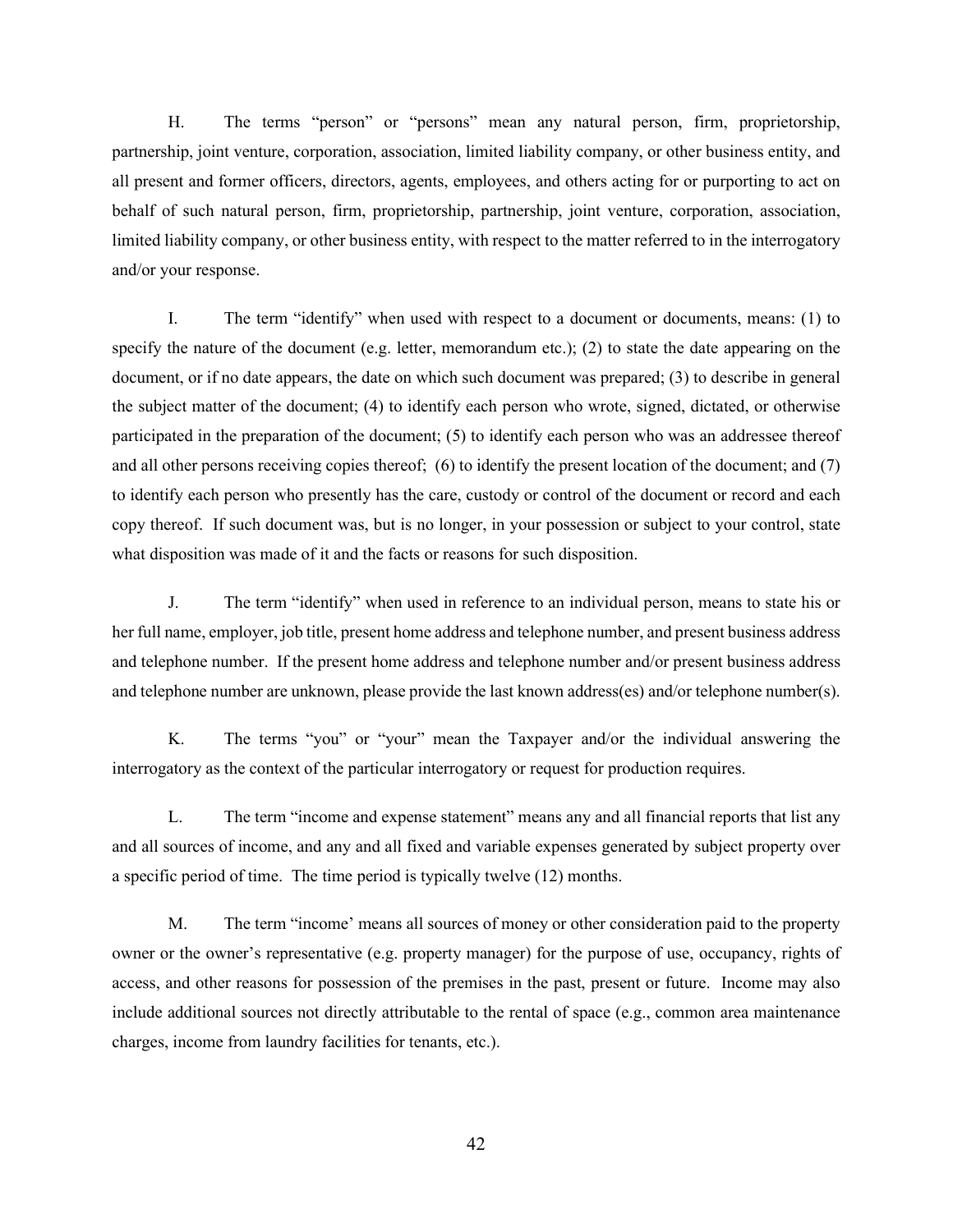H. The terms "person" or "persons" mean any natural person, firm, proprietorship, partnership, joint venture, corporation, association, limited liability company, or other business entity, and all present and former officers, directors, agents, employees, and others acting for or purporting to act on behalf of such natural person, firm, proprietorship, partnership, joint venture, corporation, association, limited liability company, or other business entity, with respect to the matter referred to in the interrogatory and/or your response.

I. The term "identify" when used with respect to a document or documents, means: (1) to specify the nature of the document (e.g. letter, memorandum etc.); (2) to state the date appearing on the document, or if no date appears, the date on which such document was prepared; (3) to describe in general the subject matter of the document; (4) to identify each person who wrote, signed, dictated, or otherwise participated in the preparation of the document; (5) to identify each person who was an addressee thereof and all other persons receiving copies thereof; (6) to identify the present location of the document; and (7) to identify each person who presently has the care, custody or control of the document or record and each copy thereof. If such document was, but is no longer, in your possession or subject to your control, state what disposition was made of it and the facts or reasons for such disposition.

J. The term "identify" when used in reference to an individual person, means to state his or her full name, employer, job title, present home address and telephone number, and present business address and telephone number. If the present home address and telephone number and/or present business address and telephone number are unknown, please provide the last known address(es) and/or telephone number(s).

K. The terms "you" or "your" mean the Taxpayer and/or the individual answering the interrogatory as the context of the particular interrogatory or request for production requires.

L. The term "income and expense statement" means any and all financial reports that list any and all sources of income, and any and all fixed and variable expenses generated by subject property over a specific period of time. The time period is typically twelve (12) months.

M. The term "income' means all sources of money or other consideration paid to the property owner or the owner's representative (e.g. property manager) for the purpose of use, occupancy, rights of access, and other reasons for possession of the premises in the past, present or future. Income may also include additional sources not directly attributable to the rental of space (e.g., common area maintenance charges, income from laundry facilities for tenants, etc.).

42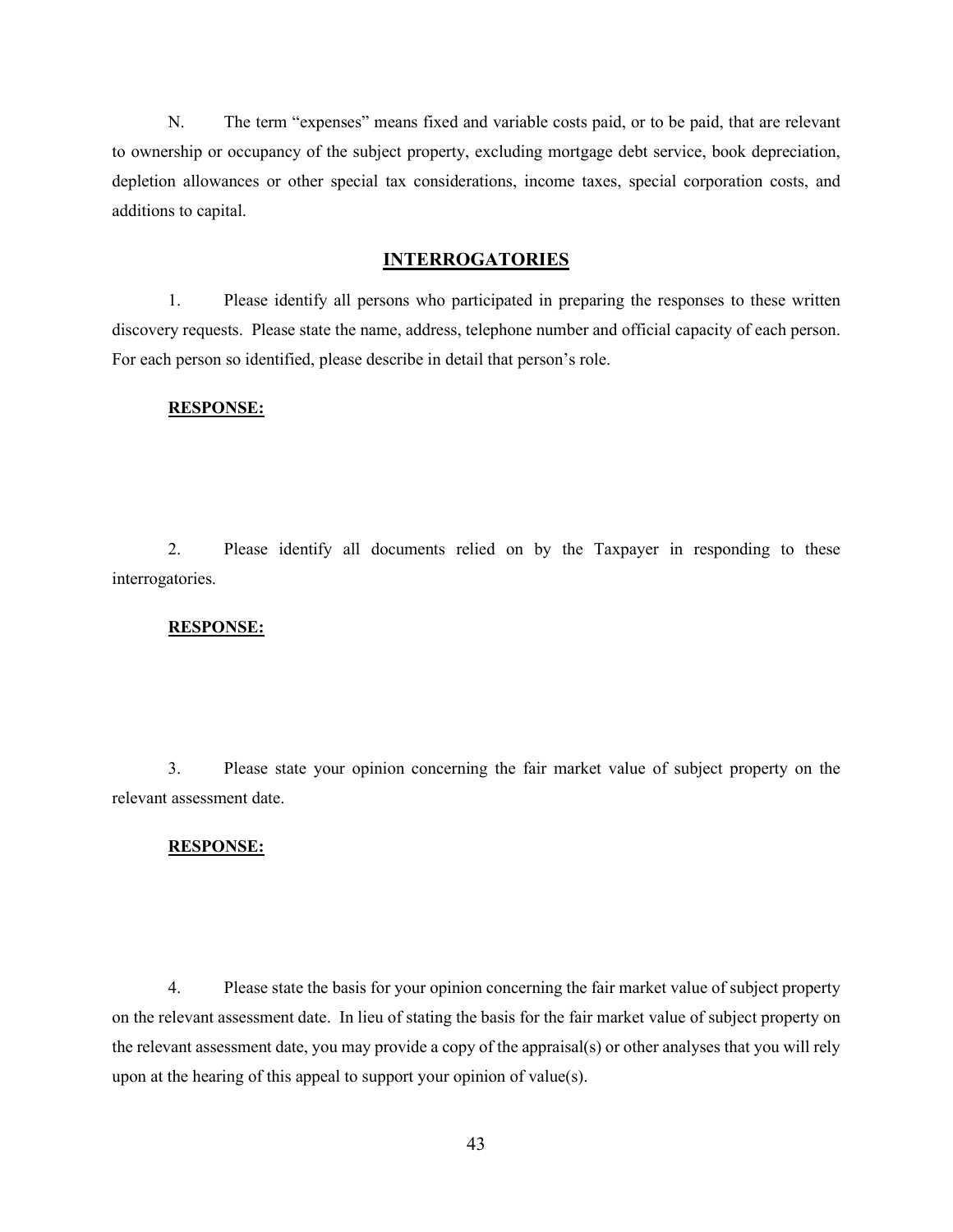N. The term "expenses" means fixed and variable costs paid, or to be paid, that are relevant to ownership or occupancy of the subject property, excluding mortgage debt service, book depreciation, depletion allowances or other special tax considerations, income taxes, special corporation costs, and additions to capital.

#### **INTERROGATORIES**

1. Please identify all persons who participated in preparing the responses to these written discovery requests. Please state the name, address, telephone number and official capacity of each person. For each person so identified, please describe in detail that person's role.

#### **RESPONSE:**

2. Please identify all documents relied on by the Taxpayer in responding to these interrogatories.

#### **RESPONSE:**

3. Please state your opinion concerning the fair market value of subject property on the relevant assessment date.

#### **RESPONSE:**

4. Please state the basis for your opinion concerning the fair market value of subject property on the relevant assessment date. In lieu of stating the basis for the fair market value of subject property on the relevant assessment date, you may provide a copy of the appraisal(s) or other analyses that you will rely upon at the hearing of this appeal to support your opinion of value(s).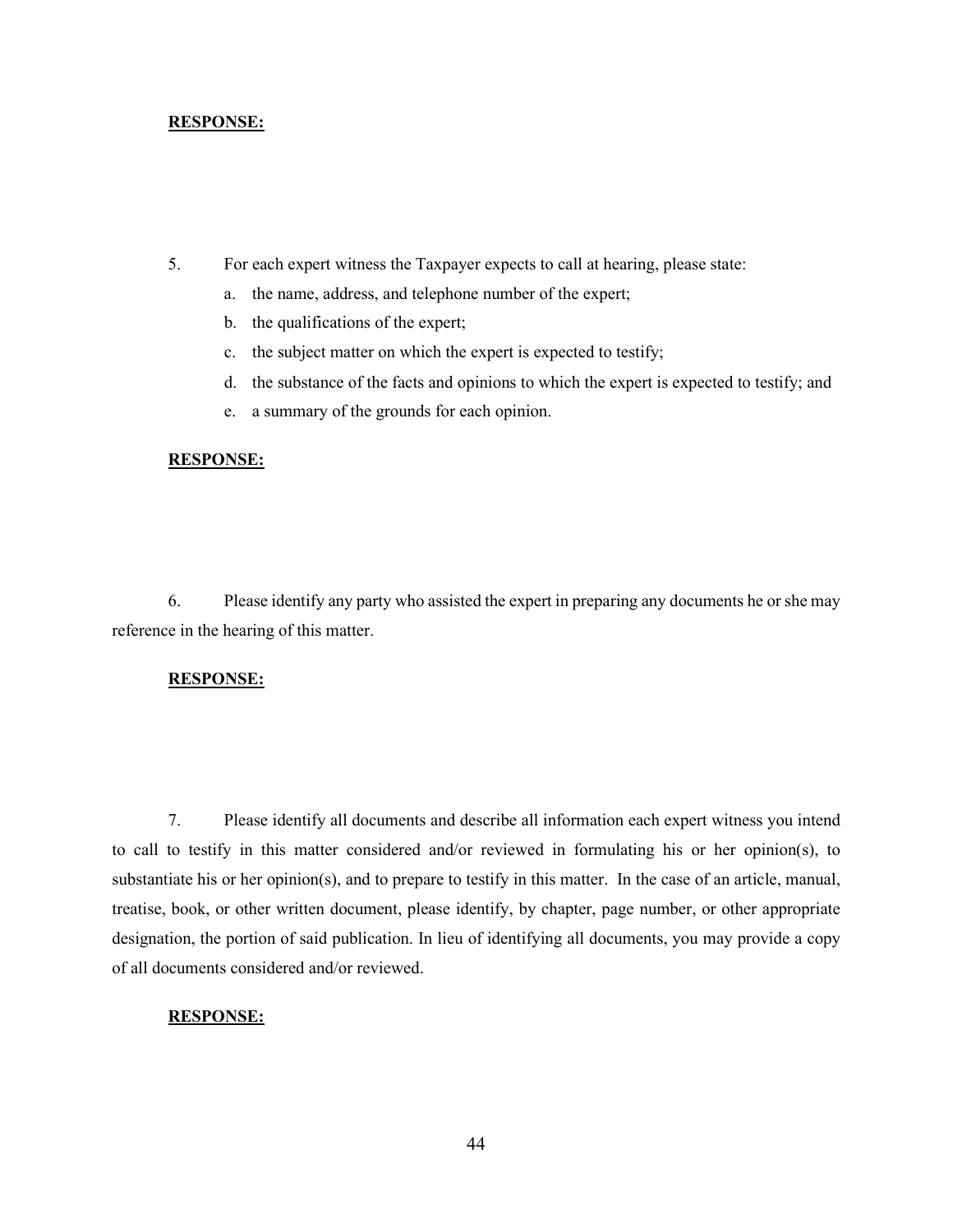#### **RESPONSE:**

- 5. For each expert witness the Taxpayer expects to call at hearing, please state:
	- a. the name, address, and telephone number of the expert;
	- b. the qualifications of the expert;
	- c. the subject matter on which the expert is expected to testify;
	- d. the substance of the facts and opinions to which the expert is expected to testify; and
	- e. a summary of the grounds for each opinion.

#### **RESPONSE:**

6. Please identify any party who assisted the expert in preparing any documents he or she may reference in the hearing of this matter.

#### **RESPONSE:**

7. Please identify all documents and describe all information each expert witness you intend to call to testify in this matter considered and/or reviewed in formulating his or her opinion(s), to substantiate his or her opinion(s), and to prepare to testify in this matter. In the case of an article, manual, treatise, book, or other written document, please identify, by chapter, page number, or other appropriate designation, the portion of said publication. In lieu of identifying all documents, you may provide a copy of all documents considered and/or reviewed.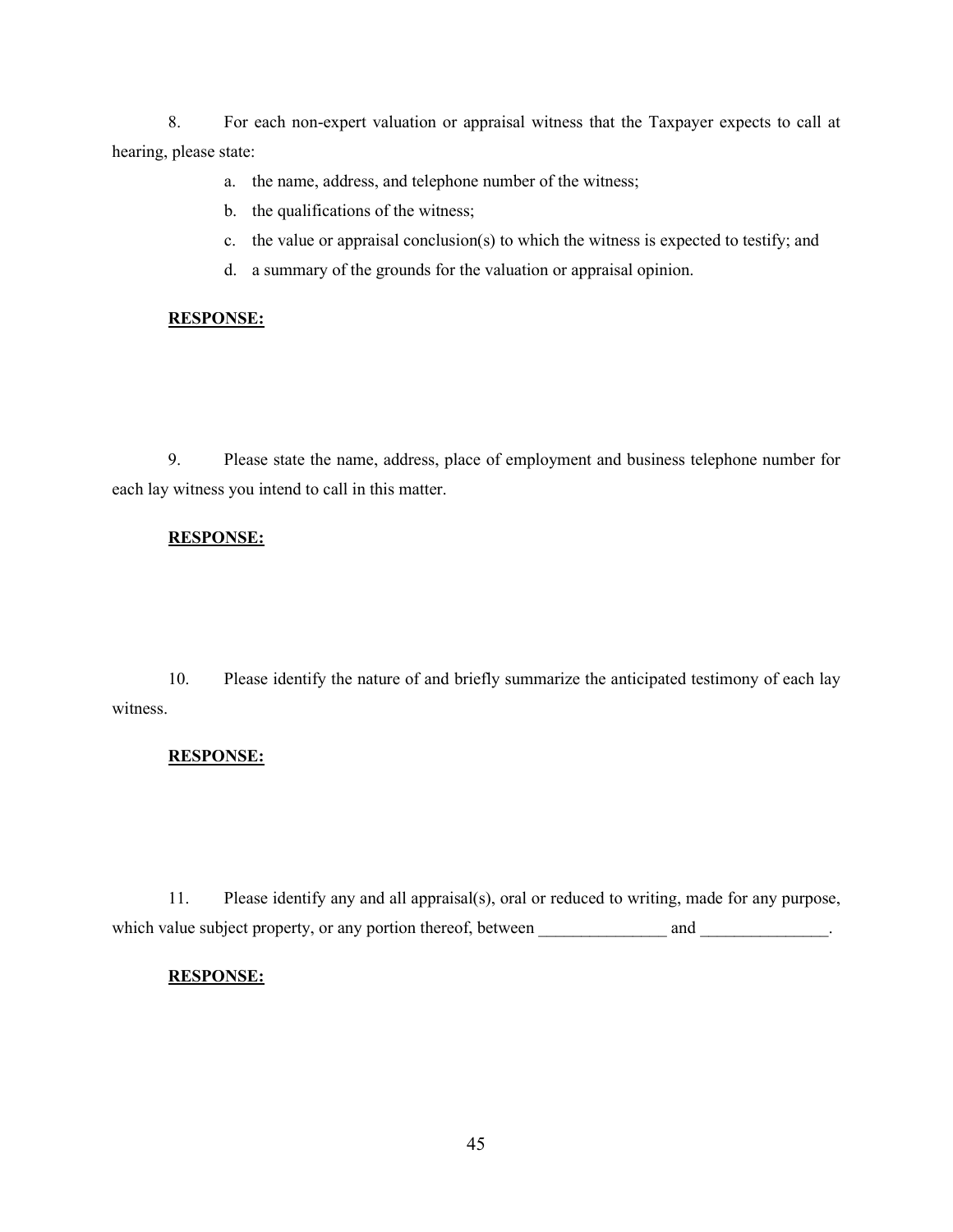8. For each non-expert valuation or appraisal witness that the Taxpayer expects to call at hearing, please state:

a. the name, address, and telephone number of the witness;

b. the qualifications of the witness;

- c. the value or appraisal conclusion(s) to which the witness is expected to testify; and
- d. a summary of the grounds for the valuation or appraisal opinion.

#### **RESPONSE:**

9. Please state the name, address, place of employment and business telephone number for each lay witness you intend to call in this matter.

#### **RESPONSE:**

10. Please identify the nature of and briefly summarize the anticipated testimony of each lay witness.

#### **RESPONSE:**

11. Please identify any and all appraisal(s), oral or reduced to writing, made for any purpose, which value subject property, or any portion thereof, between \_\_\_\_\_\_\_\_\_\_\_\_\_\_\_\_\_\_\_ and \_\_\_\_\_\_\_\_\_\_\_\_\_.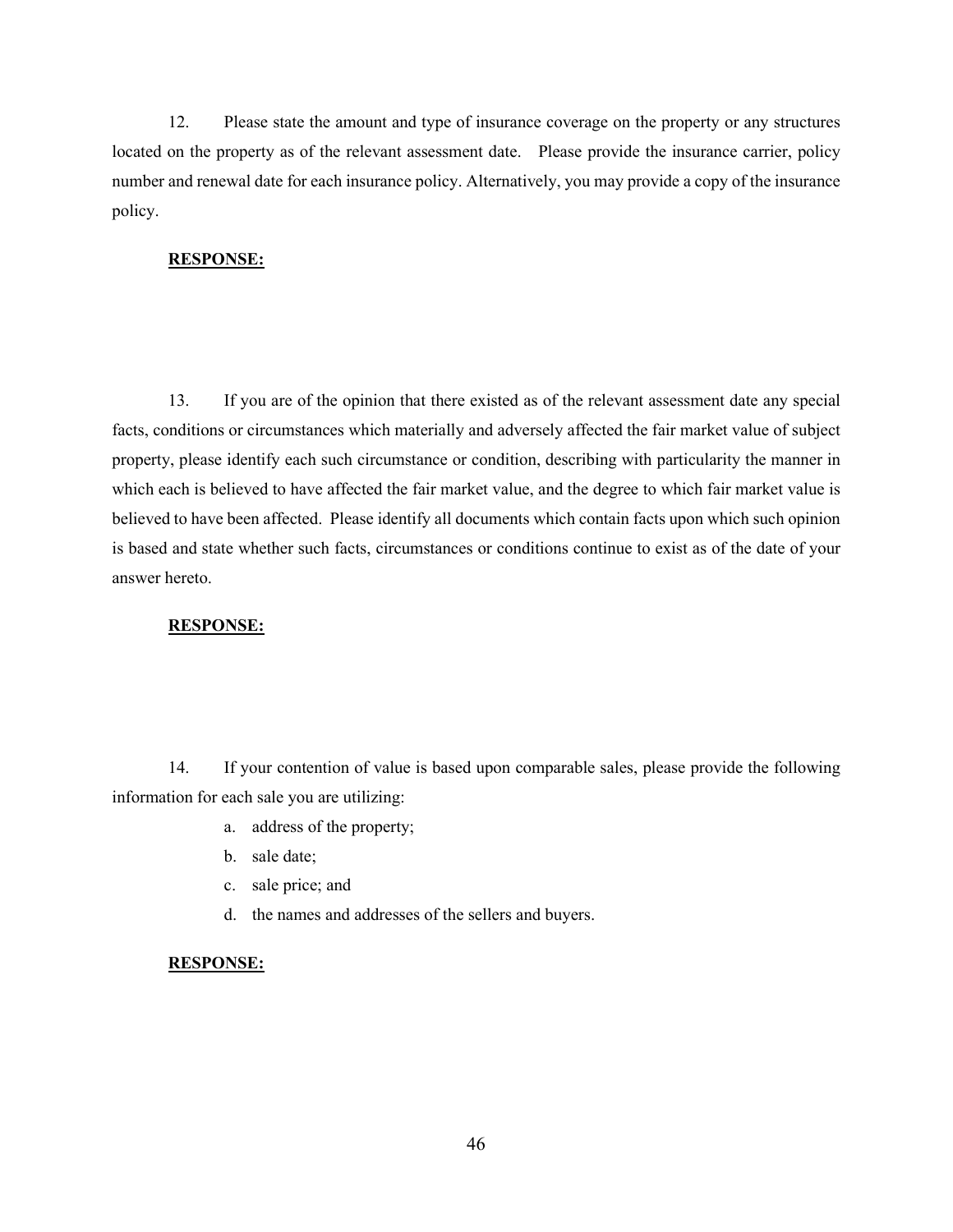12. Please state the amount and type of insurance coverage on the property or any structures located on the property as of the relevant assessment date. Please provide the insurance carrier, policy number and renewal date for each insurance policy. Alternatively, you may provide a copy of the insurance policy.

#### **RESPONSE:**

13. If you are of the opinion that there existed as of the relevant assessment date any special facts, conditions or circumstances which materially and adversely affected the fair market value of subject property, please identify each such circumstance or condition, describing with particularity the manner in which each is believed to have affected the fair market value, and the degree to which fair market value is believed to have been affected. Please identify all documents which contain facts upon which such opinion is based and state whether such facts, circumstances or conditions continue to exist as of the date of your answer hereto.

#### **RESPONSE:**

14. If your contention of value is based upon comparable sales, please provide the following information for each sale you are utilizing:

- a. address of the property;
- b. sale date;
- c. sale price; and
- d. the names and addresses of the sellers and buyers.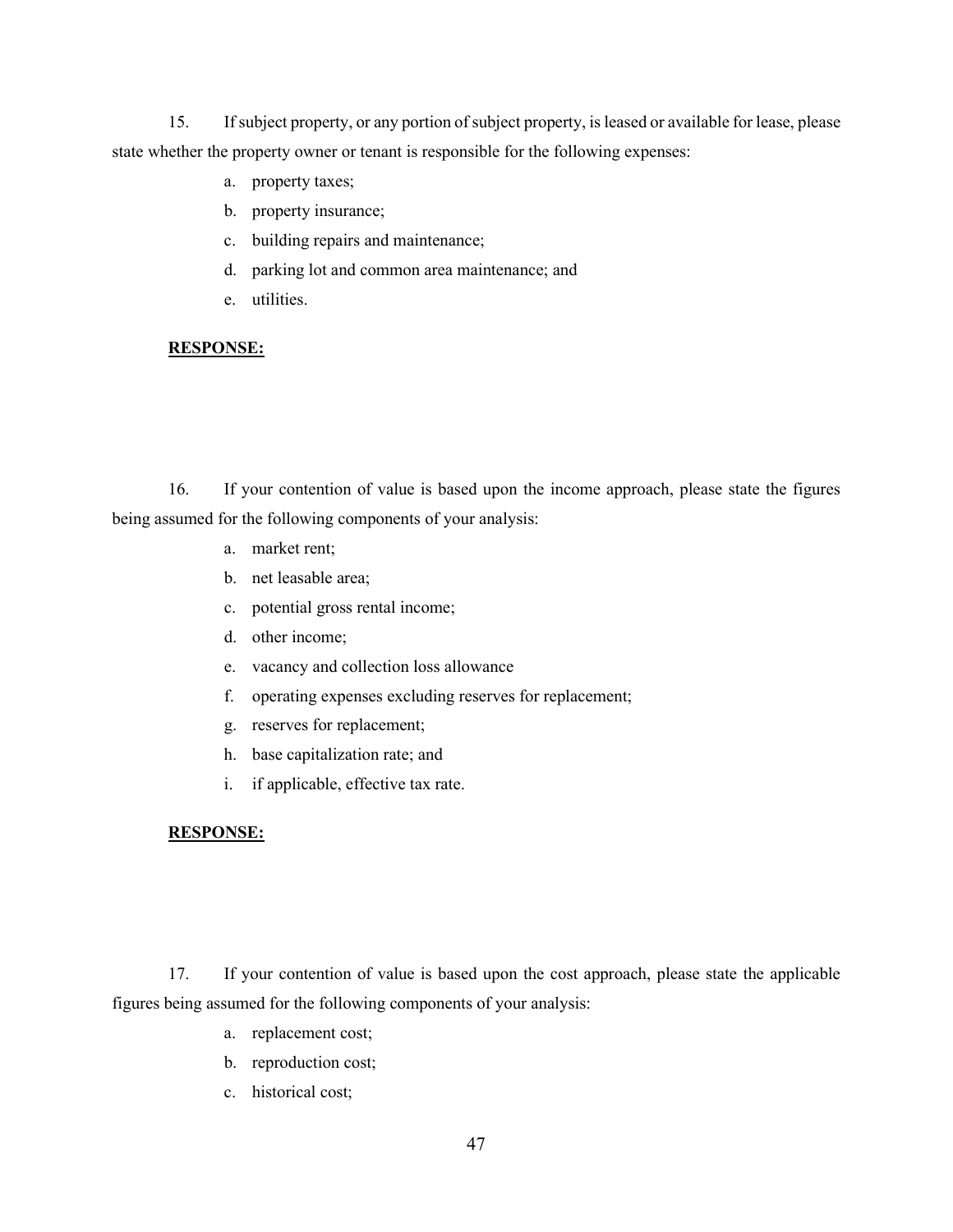15. If subject property, or any portion of subject property, is leased or available for lease, please state whether the property owner or tenant is responsible for the following expenses:

- a. property taxes;
- b. property insurance;
- c. building repairs and maintenance;
- d. parking lot and common area maintenance; and
- e. utilities.

#### **RESPONSE:**

16. If your contention of value is based upon the income approach, please state the figures being assumed for the following components of your analysis:

- a. market rent;
- b. net leasable area;
- c. potential gross rental income;
- d. other income;
- e. vacancy and collection loss allowance
- f. operating expenses excluding reserves for replacement;
- g. reserves for replacement;
- h. base capitalization rate; and
- i. if applicable, effective tax rate.

#### **RESPONSE:**

17. If your contention of value is based upon the cost approach, please state the applicable figures being assumed for the following components of your analysis:

- a. replacement cost;
- b. reproduction cost;
- c. historical cost;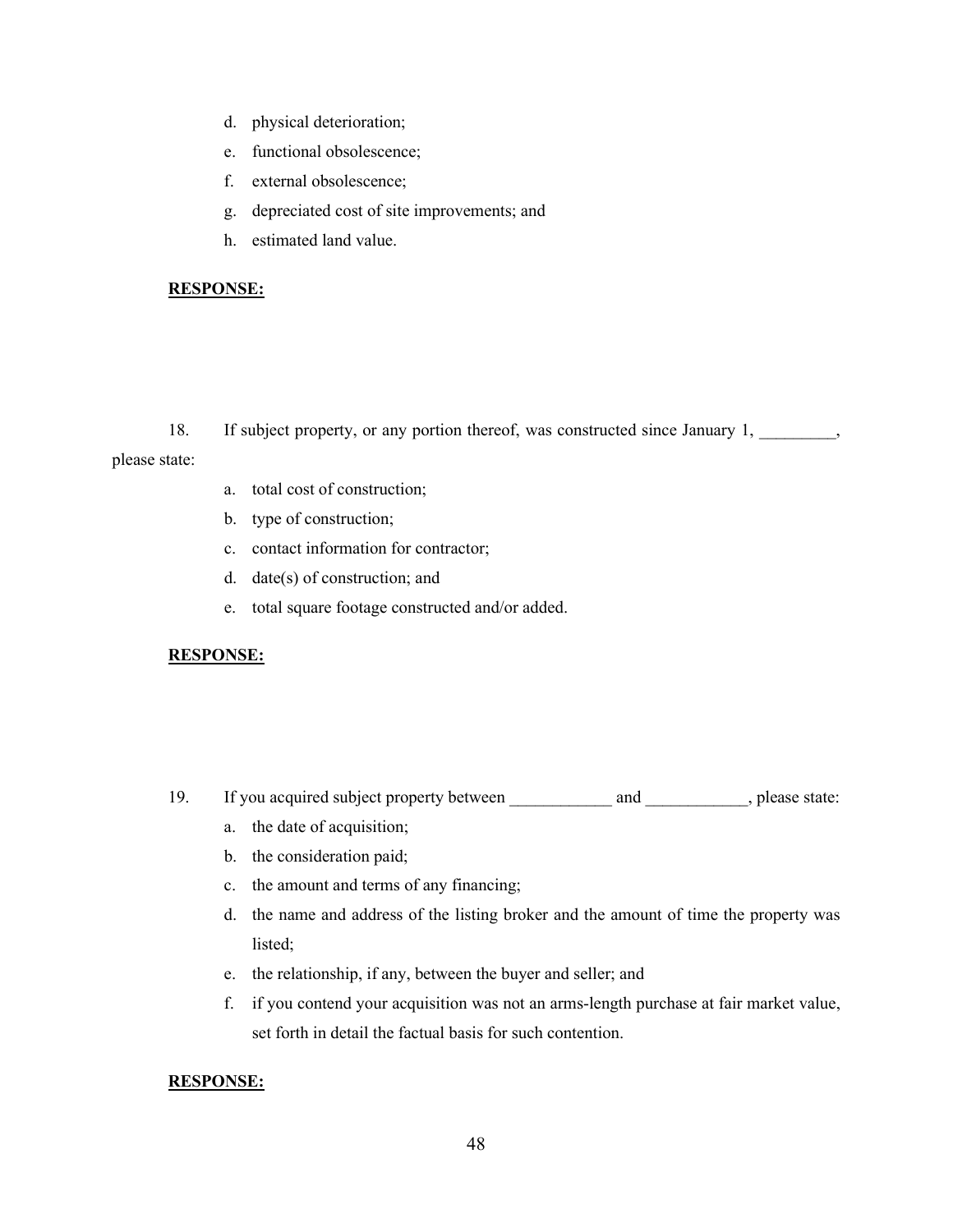- d. physical deterioration;
- e. functional obsolescence;
- f. external obsolescence;
- g. depreciated cost of site improvements; and
- h. estimated land value.

#### **RESPONSE:**

18. If subject property, or any portion thereof, was constructed since January 1, \_\_\_\_\_\_\_,

#### please state:

- a. total cost of construction;
- b. type of construction;
- c. contact information for contractor;
- d. date(s) of construction; and
- e. total square footage constructed and/or added.

#### **RESPONSE:**

- 19. If you acquired subject property between and and , please state:
	- a. the date of acquisition;
	- b. the consideration paid;
	- c. the amount and terms of any financing;
	- d. the name and address of the listing broker and the amount of time the property was listed;
	- e. the relationship, if any, between the buyer and seller; and
	- f. if you contend your acquisition was not an arms-length purchase at fair market value, set forth in detail the factual basis for such contention.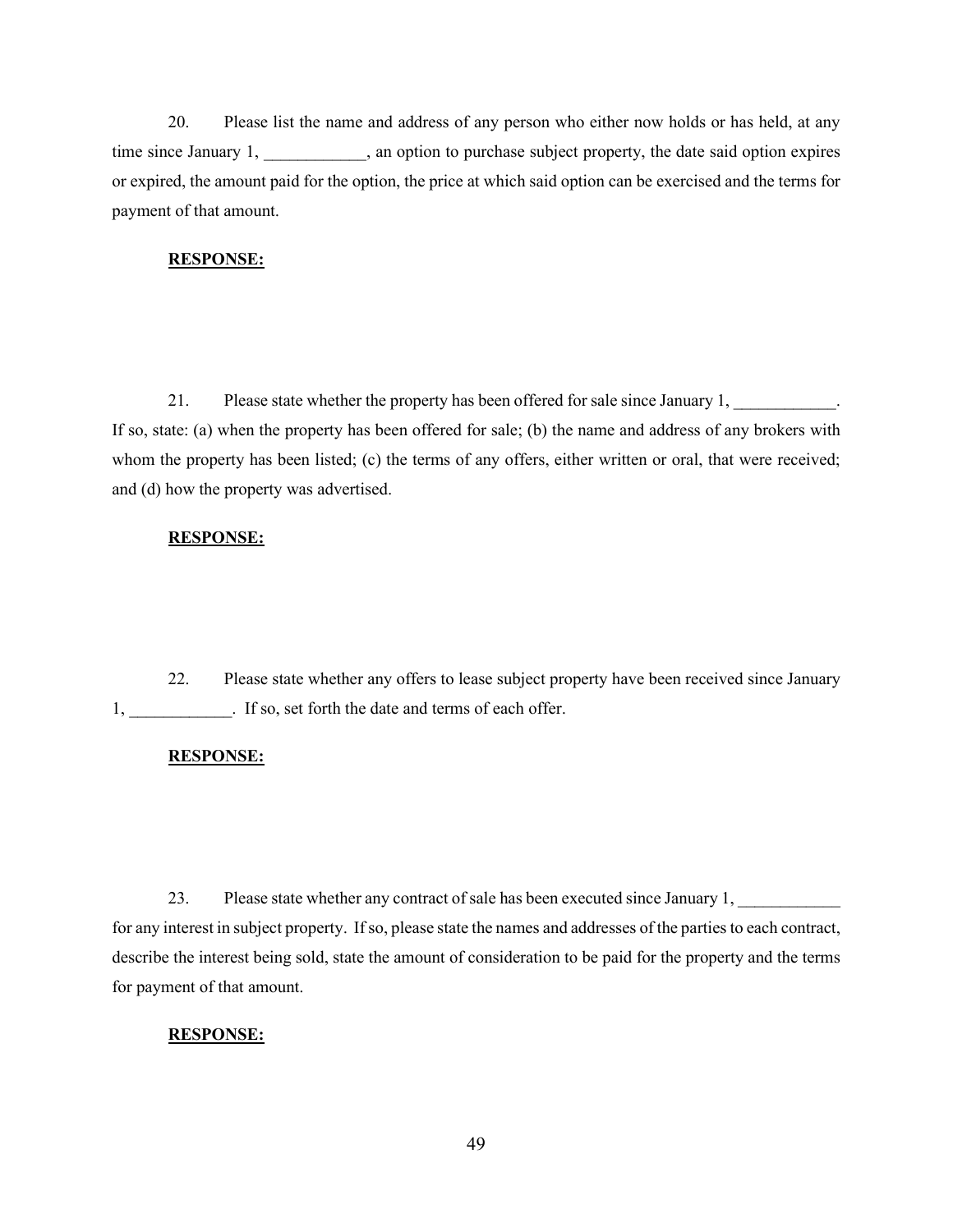20. Please list the name and address of any person who either now holds or has held, at any time since January 1, \_\_\_\_\_\_\_\_\_\_, an option to purchase subject property, the date said option expires or expired, the amount paid for the option, the price at which said option can be exercised and the terms for payment of that amount.

#### **RESPONSE:**

21. Please state whether the property has been offered for sale since January 1, \_\_\_\_\_\_\_\_\_\_\_. If so, state: (a) when the property has been offered for sale; (b) the name and address of any brokers with whom the property has been listed; (c) the terms of any offers, either written or oral, that were received; and (d) how the property was advertised.

#### **RESPONSE:**

22. Please state whether any offers to lease subject property have been received since January 1, \_\_\_\_\_\_\_\_\_\_\_\_. If so, set forth the date and terms of each offer.

#### **RESPONSE:**

23. Please state whether any contract of sale has been executed since January 1, for any interest in subject property. If so, please state the names and addresses of the parties to each contract, describe the interest being sold, state the amount of consideration to be paid for the property and the terms for payment of that amount.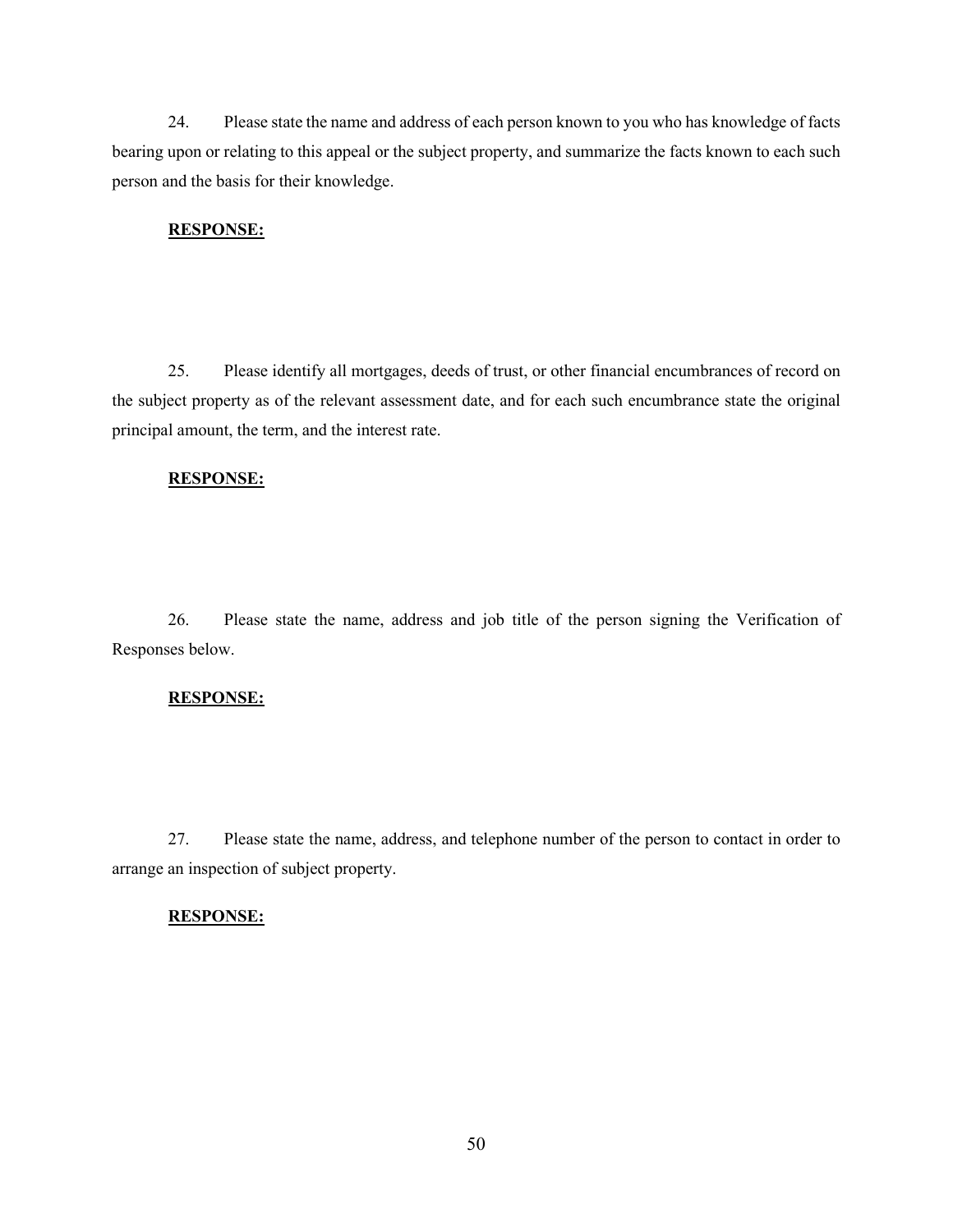24. Please state the name and address of each person known to you who has knowledge of facts bearing upon or relating to this appeal or the subject property, and summarize the facts known to each such person and the basis for their knowledge.

#### **RESPONSE:**

25. Please identify all mortgages, deeds of trust, or other financial encumbrances of record on the subject property as of the relevant assessment date, and for each such encumbrance state the original principal amount, the term, and the interest rate.

#### **RESPONSE:**

26. Please state the name, address and job title of the person signing the Verification of Responses below.

#### **RESPONSE:**

27. Please state the name, address, and telephone number of the person to contact in order to arrange an inspection of subject property.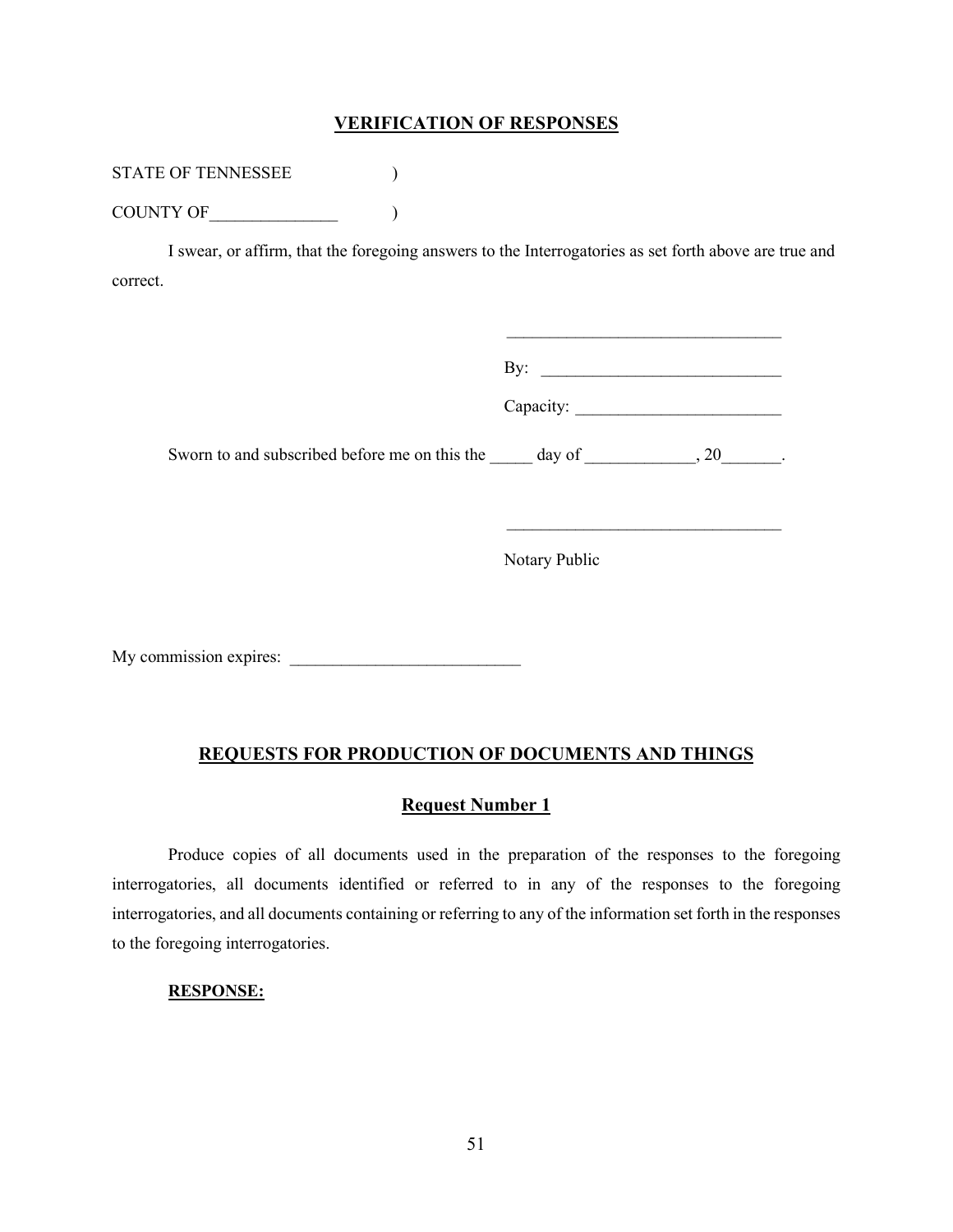#### **VERIFICATION OF RESPONSES**

STATE OF TENNESSEE )

COUNTY OF QUESTION (2001)

I swear, or affirm, that the foregoing answers to the Interrogatories as set forth above are true and correct.

|                                               | $\rm\,By:$ |    |  |
|-----------------------------------------------|------------|----|--|
|                                               | Capacity:  |    |  |
| Sworn to and subscribed before me on this the | day of     | 20 |  |

Notary Public

\_\_\_\_\_\_\_\_\_\_\_\_\_\_\_\_\_\_\_\_\_\_\_\_\_\_\_\_\_\_\_\_

My commission expires: \_\_\_\_\_\_\_\_\_\_\_\_\_\_\_\_\_\_\_\_\_\_\_\_\_\_\_

## **REQUESTS FOR PRODUCTION OF DOCUMENTS AND THINGS**

#### **Request Number 1**

Produce copies of all documents used in the preparation of the responses to the foregoing interrogatories, all documents identified or referred to in any of the responses to the foregoing interrogatories, and all documents containing or referring to any of the information set forth in the responses to the foregoing interrogatories.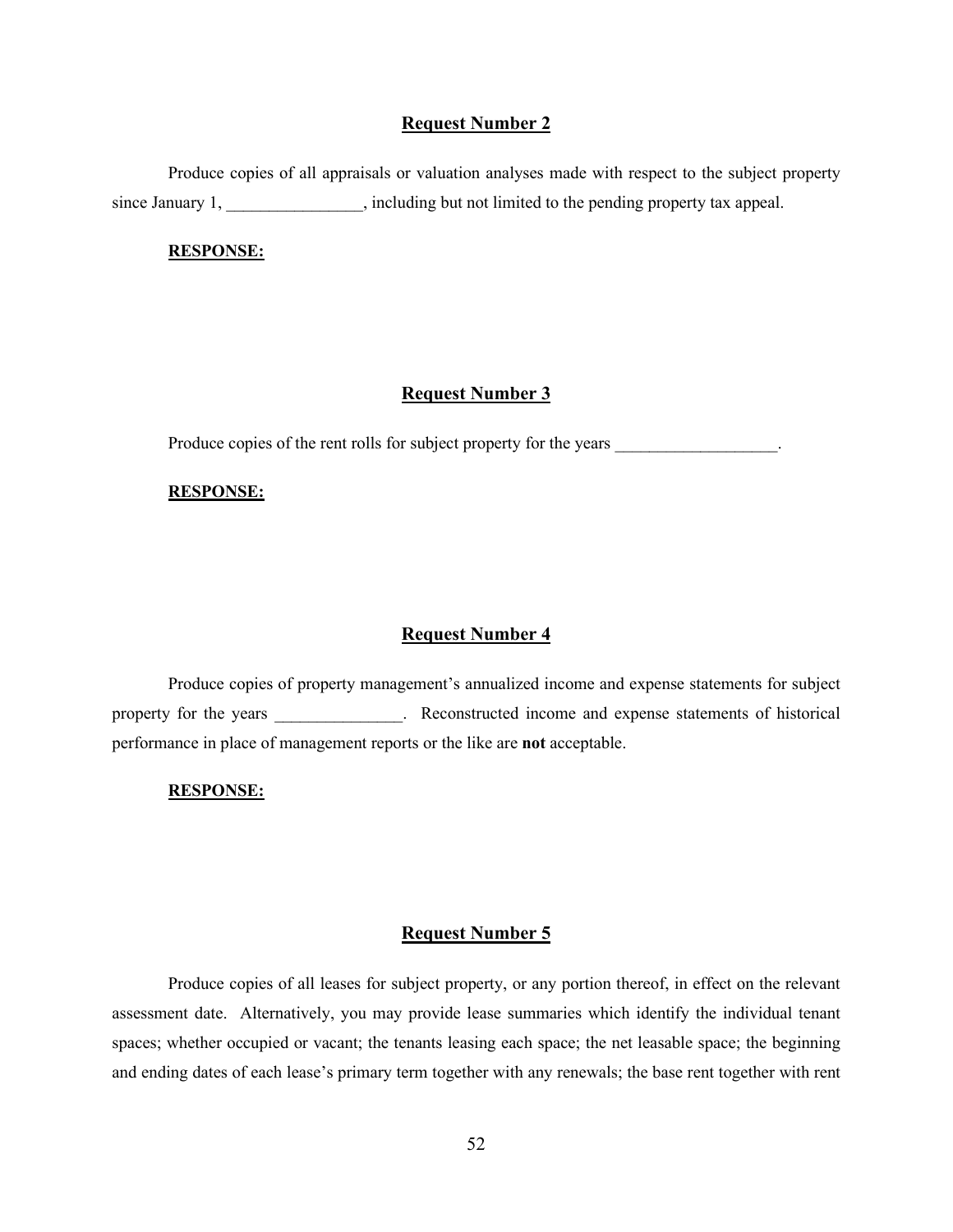#### **Request Number 2**

Produce copies of all appraisals or valuation analyses made with respect to the subject property since January 1, \_\_\_\_\_\_\_\_\_\_\_\_\_, including but not limited to the pending property tax appeal.

#### **RESPONSE:**

#### **Request Number 3**

Produce copies of the rent rolls for subject property for the years \_\_\_\_\_\_\_\_\_\_\_\_\_

#### **RESPONSE:**

#### **Request Number 4**

Produce copies of property management's annualized income and expense statements for subject property for the years expense income and expense statements of historical performance in place of management reports or the like are **not** acceptable.

#### **RESPONSE:**

#### **Request Number 5**

Produce copies of all leases for subject property, or any portion thereof, in effect on the relevant assessment date. Alternatively, you may provide lease summaries which identify the individual tenant spaces; whether occupied or vacant; the tenants leasing each space; the net leasable space; the beginning and ending dates of each lease's primary term together with any renewals; the base rent together with rent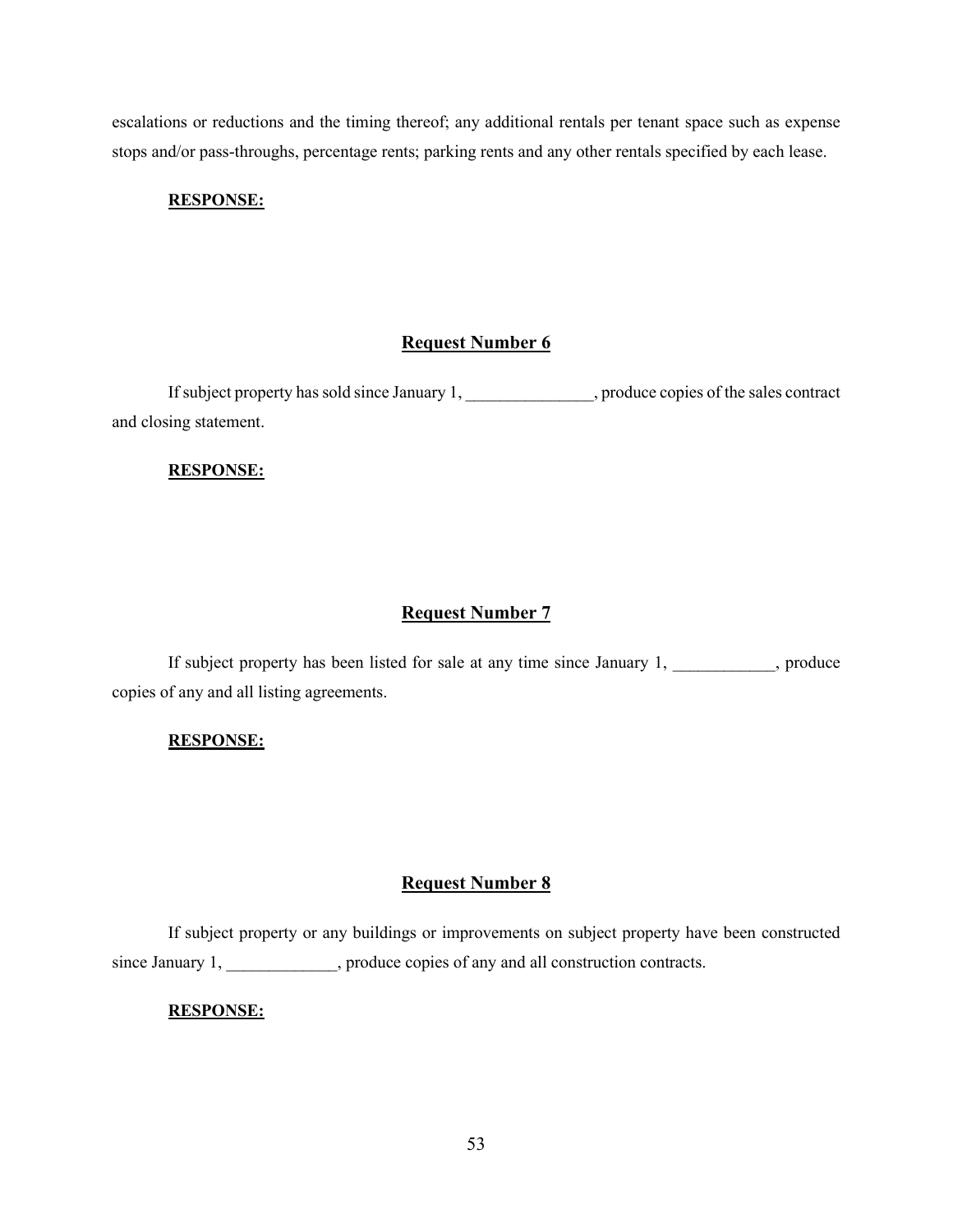escalations or reductions and the timing thereof; any additional rentals per tenant space such as expense stops and/or pass-throughs, percentage rents; parking rents and any other rentals specified by each lease.

## **RESPONSE:**

## **Request Number 6**

If subject property has sold since January 1, produce copies of the sales contract and closing statement.

#### **RESPONSE:**

#### **Request Number 7**

If subject property has been listed for sale at any time since January 1, \_\_\_\_\_\_\_\_\_\_, produce copies of any and all listing agreements.

#### **RESPONSE:**

#### **Request Number 8**

If subject property or any buildings or improvements on subject property have been constructed since January 1, \_\_\_\_\_\_\_\_\_\_, produce copies of any and all construction contracts.